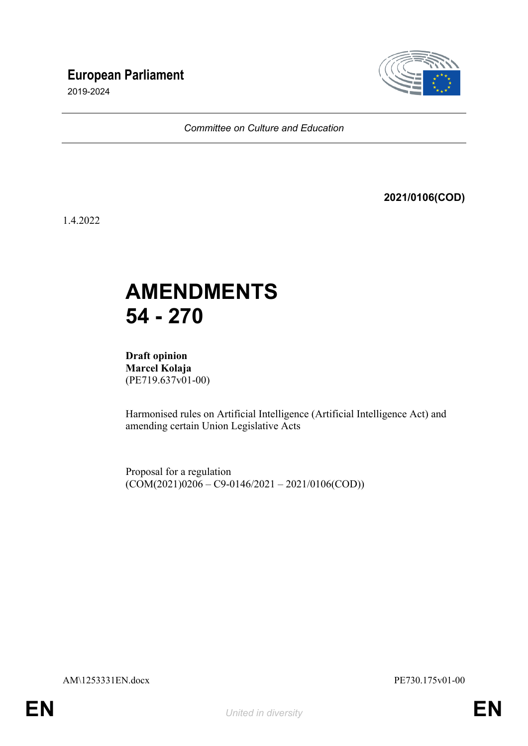## **European Parliament**

2019-2024



*Committee on Culture and Education*

**2021/0106(COD)**

1.4.2022

# **AMENDMENTS 54 - 270**

**Draft opinion Marcel Kolaja** (PE719.637v01-00)

Harmonised rules on Artificial Intelligence (Artificial Intelligence Act) and amending certain Union Legislative Acts

Proposal for a regulation  $(COM(2021)0206 - C9 - 0146/2021 - 2021/0106(COD))$ 

AM\1253331EN.docx PE730.175v01-00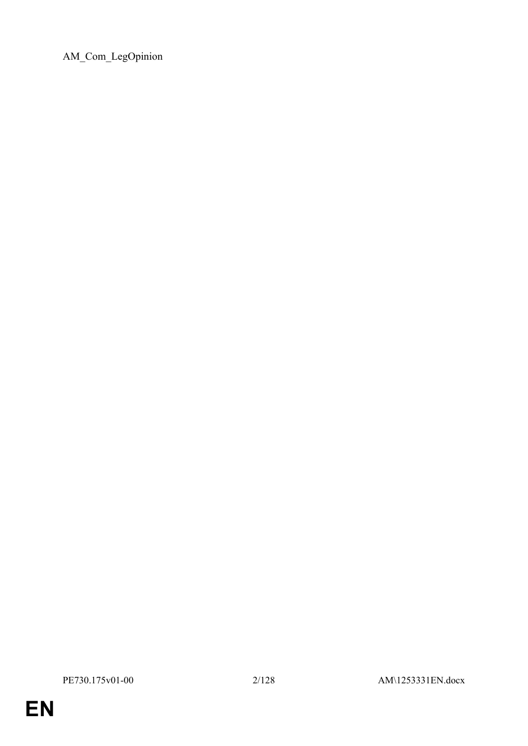AM\_Com\_LegOpinion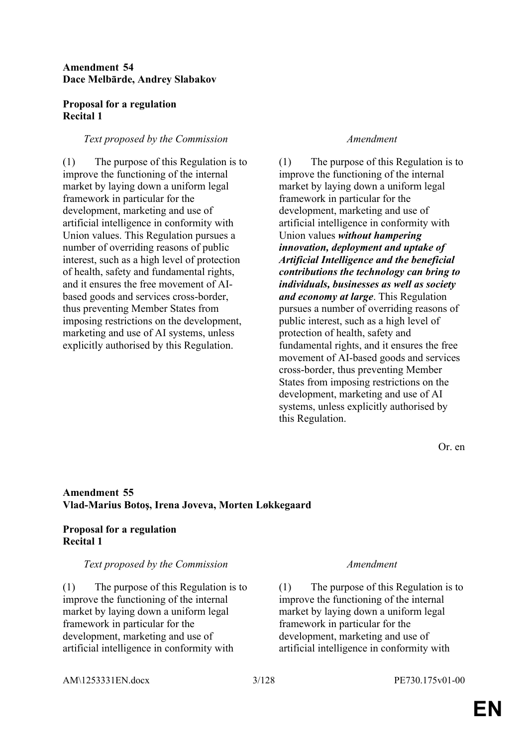### **Amendment 54 Dace Melbārde, Andrey Slabakov**

### **Proposal for a regulation Recital 1**

### *Text proposed by the Commission Amendment*

(1) The purpose of this Regulation is to improve the functioning of the internal market by laying down a uniform legal framework in particular for the development, marketing and use of artificial intelligence in conformity with Union values. This Regulation pursues a number of overriding reasons of public interest, such as a high level of protection of health, safety and fundamental rights, and it ensures the free movement of AIbased goods and services cross-border, thus preventing Member States from imposing restrictions on the development, marketing and use of AI systems, unless explicitly authorised by this Regulation.

(1) The purpose of this Regulation is to improve the functioning of the internal market by laying down a uniform legal framework in particular for the development, marketing and use of artificial intelligence in conformity with Union values *without hampering innovation, deployment and uptake of Artificial Intelligence and the beneficial contributions the technology can bring to individuals, businesses as well as society and economy at large*. This Regulation pursues a number of overriding reasons of public interest, such as a high level of protection of health, safety and fundamental rights, and it ensures the free movement of AI-based goods and services cross-border, thus preventing Member States from imposing restrictions on the development, marketing and use of AI systems, unless explicitly authorised by this Regulation.

Or. en

### **Amendment 55 Vlad-Marius Botoş, Irena Joveva, Morten Løkkegaard**

### **Proposal for a regulation Recital 1**

### *Text proposed by the Commission Amendment*

(1) The purpose of this Regulation is to improve the functioning of the internal market by laying down a uniform legal framework in particular for the development, marketing and use of artificial intelligence in conformity with

(1) The purpose of this Regulation is to improve the functioning of the internal market by laying down a uniform legal framework in particular for the development, marketing and use of artificial intelligence in conformity with

AM\1253331EN.docx 3/128 PE730.175v01-00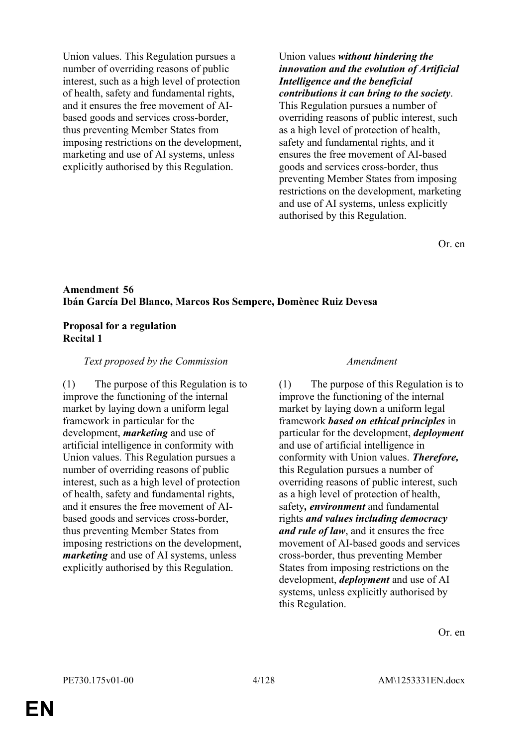Union values. This Regulation pursues a number of overriding reasons of public interest, such as a high level of protection of health, safety and fundamental rights, and it ensures the free movement of AIbased goods and services cross-border, thus preventing Member States from imposing restrictions on the development, marketing and use of AI systems, unless explicitly authorised by this Regulation.

Union values *without hindering the innovation and the evolution of Artificial Intelligence and the beneficial contributions it can bring to the society*. This Regulation pursues a number of overriding reasons of public interest, such as a high level of protection of health, safety and fundamental rights, and it ensures the free movement of AI-based goods and services cross-border, thus preventing Member States from imposing restrictions on the development, marketing and use of AI systems, unless explicitly authorised by this Regulation.

Or. en

### **Amendment 56 Ibán García Del Blanco, Marcos Ros Sempere, Domènec Ruiz Devesa**

### **Proposal for a regulation Recital 1**

### *Text proposed by the Commission Amendment*

(1) The purpose of this Regulation is to improve the functioning of the internal market by laying down a uniform legal framework in particular for the development, *marketing* and use of artificial intelligence in conformity with Union values. This Regulation pursues a number of overriding reasons of public interest, such as a high level of protection of health, safety and fundamental rights, and it ensures the free movement of AIbased goods and services cross-border, thus preventing Member States from imposing restrictions on the development, *marketing* and use of AI systems, unless explicitly authorised by this Regulation.

(1) The purpose of this Regulation is to improve the functioning of the internal market by laying down a uniform legal framework *based on ethical principles* in particular for the development, *deployment* and use of artificial intelligence in conformity with Union values. *Therefore,* this Regulation pursues a number of overriding reasons of public interest, such as a high level of protection of health, safety*, environment* and fundamental rights *and values including democracy and rule of law*, and it ensures the free movement of AI-based goods and services cross-border, thus preventing Member States from imposing restrictions on the development, *deployment* and use of AI systems, unless explicitly authorised by this Regulation.

Or. en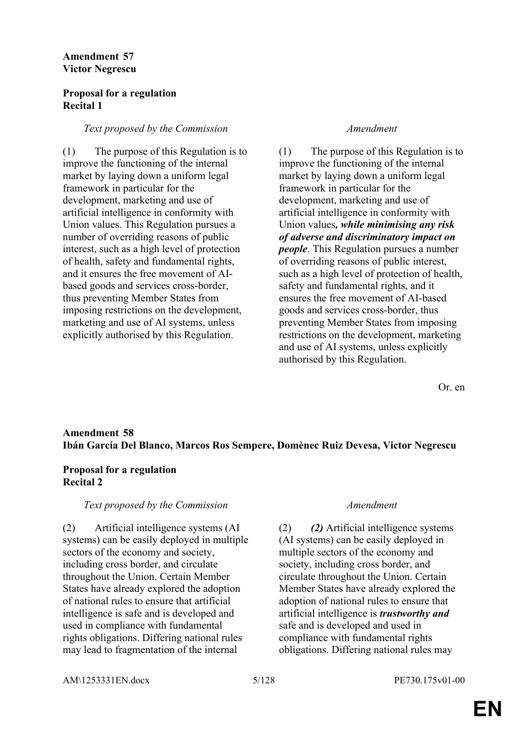### **Amendment 57 Victor Negrescu**

### **Proposal for a regulation Recital 1**

### *Text proposed by the Commission Amendment*

(1) The purpose of this Regulation is to improve the functioning of the internal market by laying down a uniform legal framework in particular for the development, marketing and use of artificial intelligence in conformity with Union values. This Regulation pursues a number of overriding reasons of public interest, such as a high level of protection of health, safety and fundamental rights, and it ensures the free movement of AIbased goods and services cross-border, thus preventing Member States from imposing restrictions on the development, marketing and use of AI systems, unless explicitly authorised by this Regulation.

(1) The purpose of this Regulation is to improve the functioning of the internal market by laying down a uniform legal framework in particular for the development, marketing and use of artificial intelligence in conformity with Union values*, while minimising any risk of adverse and discriminatory impact on people*. This Regulation pursues a number of overriding reasons of public interest, such as a high level of protection of health, safety and fundamental rights, and it ensures the free movement of AI-based goods and services cross-border, thus preventing Member States from imposing restrictions on the development, marketing and use of AI systems, unless explicitly authorised by this Regulation.

Or. en

### **Amendment 58 Ibán García Del Blanco, Marcos Ros Sempere, Domènec Ruiz Devesa, Victor Negrescu**

### **Proposal for a regulation Recital 2**

### *Text proposed by the Commission Amendment*

(2) Artificial intelligence systems (AI systems) can be easily deployed in multiple sectors of the economy and society, including cross border, and circulate throughout the Union. Certain Member States have already explored the adoption of national rules to ensure that artificial intelligence is safe and is developed and used in compliance with fundamental rights obligations. Differing national rules may lead to fragmentation of the internal

(2) *(2)* Artificial intelligence systems (AI systems) can be easily deployed in multiple sectors of the economy and society, including cross border, and circulate throughout the Union. Certain Member States have already explored the adoption of national rules to ensure that artificial intelligence is *trustworthy and* safe and is developed and used in compliance with fundamental rights obligations. Differing national rules may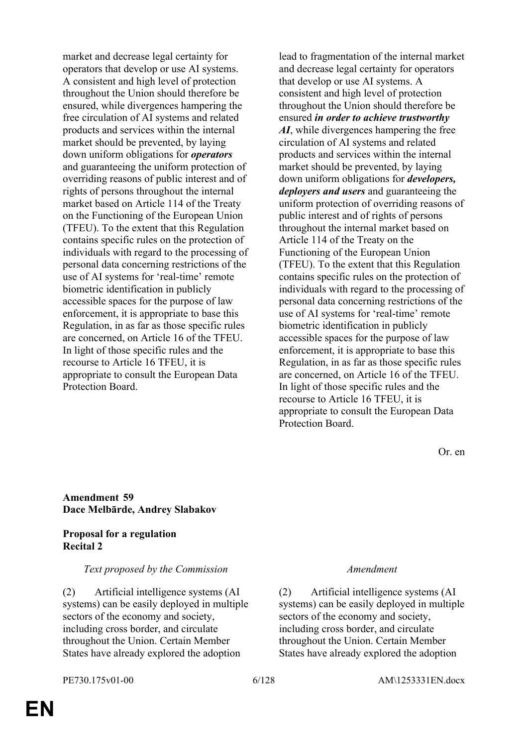market and decrease legal certainty for operators that develop or use AI systems. A consistent and high level of protection throughout the Union should therefore be ensured, while divergences hampering the free circulation of AI systems and related products and services within the internal market should be prevented, by laying down uniform obligations for *operators* and guaranteeing the uniform protection of overriding reasons of public interest and of rights of persons throughout the internal market based on Article 114 of the Treaty on the Functioning of the European Union (TFEU). To the extent that this Regulation contains specific rules on the protection of individuals with regard to the processing of personal data concerning restrictions of the use of AI systems for 'real-time' remote biometric identification in publicly accessible spaces for the purpose of law enforcement, it is appropriate to base this Regulation, in as far as those specific rules are concerned, on Article 16 of the TFEU. In light of those specific rules and the recourse to Article 16 TFEU, it is appropriate to consult the European Data Protection Board.

lead to fragmentation of the internal market and decrease legal certainty for operators that develop or use AI systems. A consistent and high level of protection throughout the Union should therefore be ensured *in order to achieve trustworthy AI*, while divergences hampering the free circulation of AI systems and related products and services within the internal market should be prevented, by laying down uniform obligations for *developers, deployers and users* and guaranteeing the uniform protection of overriding reasons of public interest and of rights of persons throughout the internal market based on Article 114 of the Treaty on the Functioning of the European Union (TFEU). To the extent that this Regulation contains specific rules on the protection of individuals with regard to the processing of personal data concerning restrictions of the use of AI systems for 'real-time' remote biometric identification in publicly accessible spaces for the purpose of law enforcement, it is appropriate to base this Regulation, in as far as those specific rules are concerned, on Article 16 of the TFEU. In light of those specific rules and the recourse to Article 16 TFEU, it is appropriate to consult the European Data Protection Board.

Or. en

### **Amendment 59 Dace Melbārde, Andrey Slabakov**

### **Proposal for a regulation Recital 2**

### *Text proposed by the Commission Amendment*

(2) Artificial intelligence systems (AI systems) can be easily deployed in multiple sectors of the economy and society, including cross border, and circulate throughout the Union. Certain Member States have already explored the adoption

(2) Artificial intelligence systems (AI systems) can be easily deployed in multiple sectors of the economy and society, including cross border, and circulate throughout the Union. Certain Member States have already explored the adoption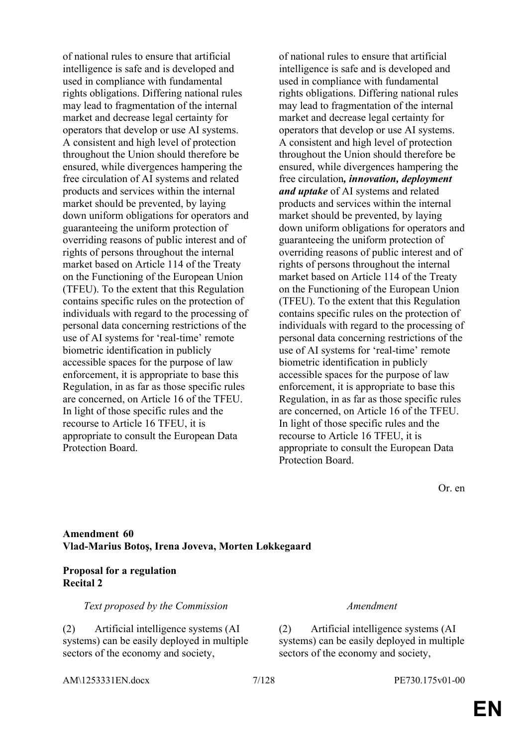of national rules to ensure that artificial intelligence is safe and is developed and used in compliance with fundamental rights obligations. Differing national rules may lead to fragmentation of the internal market and decrease legal certainty for operators that develop or use AI systems. A consistent and high level of protection throughout the Union should therefore be ensured, while divergences hampering the free circulation of AI systems and related products and services within the internal market should be prevented, by laying down uniform obligations for operators and guaranteeing the uniform protection of overriding reasons of public interest and of rights of persons throughout the internal market based on Article 114 of the Treaty on the Functioning of the European Union (TFEU). To the extent that this Regulation contains specific rules on the protection of individuals with regard to the processing of personal data concerning restrictions of the use of AI systems for 'real-time' remote biometric identification in publicly accessible spaces for the purpose of law enforcement, it is appropriate to base this Regulation, in as far as those specific rules are concerned, on Article 16 of the TFEU. In light of those specific rules and the recourse to Article 16 TFEU, it is appropriate to consult the European Data Protection Board.

of national rules to ensure that artificial intelligence is safe and is developed and used in compliance with fundamental rights obligations. Differing national rules may lead to fragmentation of the internal market and decrease legal certainty for operators that develop or use AI systems. A consistent and high level of protection throughout the Union should therefore be ensured, while divergences hampering the free circulation*, innovation, deployment and uptake* of AI systems and related products and services within the internal market should be prevented, by laying down uniform obligations for operators and guaranteeing the uniform protection of overriding reasons of public interest and of rights of persons throughout the internal market based on Article 114 of the Treaty on the Functioning of the European Union (TFEU). To the extent that this Regulation contains specific rules on the protection of individuals with regard to the processing of personal data concerning restrictions of the use of AI systems for 'real-time' remote biometric identification in publicly accessible spaces for the purpose of law enforcement, it is appropriate to base this Regulation, in as far as those specific rules are concerned, on Article 16 of the TFEU. In light of those specific rules and the recourse to Article 16 TFEU, it is appropriate to consult the European Data Protection Board.

Or. en

### **Amendment 60 Vlad-Marius Botoş, Irena Joveva, Morten Løkkegaard**

### **Proposal for a regulation Recital 2**

*Text proposed by the Commission Amendment*

(2) Artificial intelligence systems (AI systems) can be easily deployed in multiple sectors of the economy and society,

(2) Artificial intelligence systems (AI systems) can be easily deployed in multiple sectors of the economy and society,

AM\1253331EN.docx 7/128 PE730.175v01-00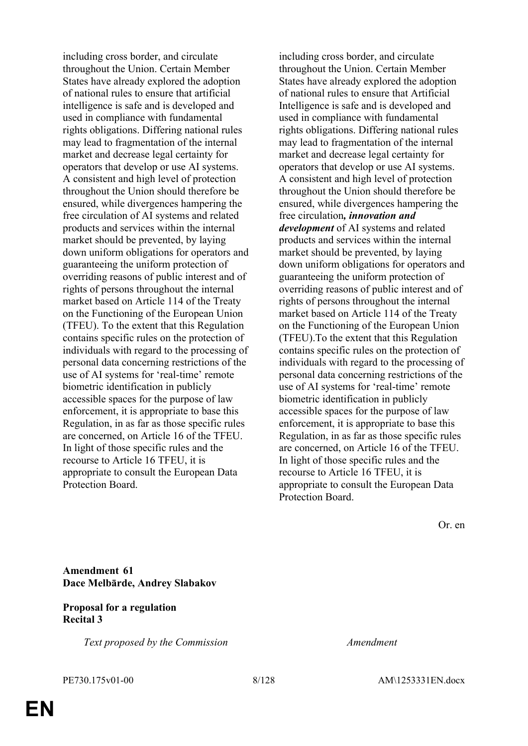including cross border, and circulate throughout the Union. Certain Member States have already explored the adoption of national rules to ensure that artificial intelligence is safe and is developed and used in compliance with fundamental rights obligations. Differing national rules may lead to fragmentation of the internal market and decrease legal certainty for operators that develop or use AI systems. A consistent and high level of protection throughout the Union should therefore be ensured, while divergences hampering the free circulation of AI systems and related products and services within the internal market should be prevented, by laying down uniform obligations for operators and guaranteeing the uniform protection of overriding reasons of public interest and of rights of persons throughout the internal market based on Article 114 of the Treaty on the Functioning of the European Union (TFEU). To the extent that this Regulation contains specific rules on the protection of individuals with regard to the processing of personal data concerning restrictions of the use of AI systems for 'real-time' remote biometric identification in publicly accessible spaces for the purpose of law enforcement, it is appropriate to base this Regulation, in as far as those specific rules are concerned, on Article 16 of the TFEU. In light of those specific rules and the recourse to Article 16 TFEU, it is appropriate to consult the European Data Protection Board.

including cross border, and circulate throughout the Union. Certain Member States have already explored the adoption of national rules to ensure that Artificial Intelligence is safe and is developed and used in compliance with fundamental rights obligations. Differing national rules may lead to fragmentation of the internal market and decrease legal certainty for operators that develop or use AI systems. A consistent and high level of protection throughout the Union should therefore be ensured, while divergences hampering the free circulation*, innovation and development* of AI systems and related products and services within the internal market should be prevented, by laying down uniform obligations for operators and guaranteeing the uniform protection of overriding reasons of public interest and of rights of persons throughout the internal market based on Article 114 of the Treaty on the Functioning of the European Union (TFEU).To the extent that this Regulation contains specific rules on the protection of individuals with regard to the processing of personal data concerning restrictions of the use of AI systems for 'real-time' remote biometric identification in publicly accessible spaces for the purpose of law enforcement, it is appropriate to base this Regulation, in as far as those specific rules are concerned, on Article 16 of the TFEU. In light of those specific rules and the recourse to Article 16 TFEU, it is appropriate to consult the European Data Protection Board.

Or. en

### **Amendment 61 Dace Melbārde, Andrey Slabakov**

### **Proposal for a regulation Recital 3**

*Text proposed by the Commission Amendment*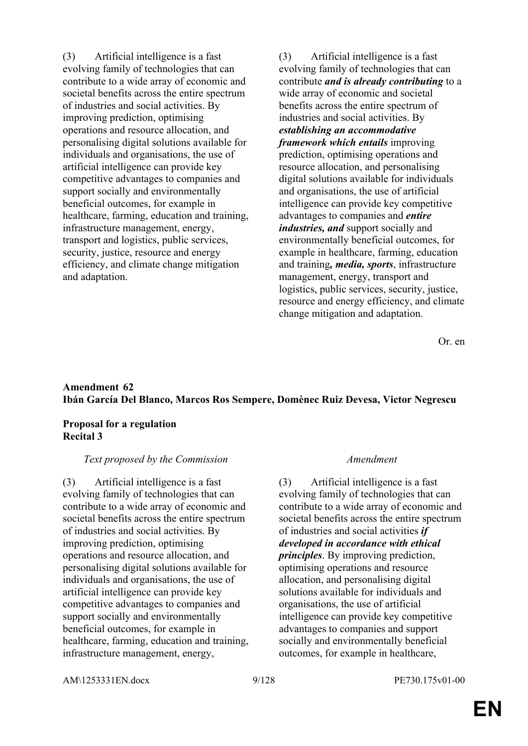(3) Artificial intelligence is a fast evolving family of technologies that can contribute to a wide array of economic and societal benefits across the entire spectrum of industries and social activities. By improving prediction, optimising operations and resource allocation, and personalising digital solutions available for individuals and organisations, the use of artificial intelligence can provide key competitive advantages to companies and support socially and environmentally beneficial outcomes, for example in healthcare, farming, education and training, infrastructure management, energy, transport and logistics, public services, security, justice, resource and energy efficiency, and climate change mitigation and adaptation.

(3) Artificial intelligence is a fast evolving family of technologies that can contribute *and is already contributing* to a wide array of economic and societal benefits across the entire spectrum of industries and social activities. By *establishing an accommodative framework which entails* improving prediction, optimising operations and resource allocation, and personalising digital solutions available for individuals and organisations, the use of artificial intelligence can provide key competitive advantages to companies and *entire industries, and* support socially and environmentally beneficial outcomes, for example in healthcare, farming, education and training*, media, sports*, infrastructure management, energy, transport and logistics, public services, security, justice, resource and energy efficiency, and climate change mitigation and adaptation.

Or. en

### **Amendment 62 Ibán García Del Blanco, Marcos Ros Sempere, Domènec Ruiz Devesa, Victor Negrescu**

### **Proposal for a regulation Recital 3**

### *Text proposed by the Commission Amendment*

(3) Artificial intelligence is a fast evolving family of technologies that can contribute to a wide array of economic and societal benefits across the entire spectrum of industries and social activities. By improving prediction, optimising operations and resource allocation, and personalising digital solutions available for individuals and organisations, the use of artificial intelligence can provide key competitive advantages to companies and support socially and environmentally beneficial outcomes, for example in healthcare, farming, education and training, infrastructure management, energy,

(3) Artificial intelligence is a fast evolving family of technologies that can contribute to a wide array of economic and societal benefits across the entire spectrum of industries and social activities *if developed in accordance with ethical principles*. By improving prediction, optimising operations and resource allocation, and personalising digital solutions available for individuals and organisations, the use of artificial intelligence can provide key competitive advantages to companies and support socially and environmentally beneficial outcomes, for example in healthcare,

AM\1253331EN.docx 9/128 PE730.175v01-00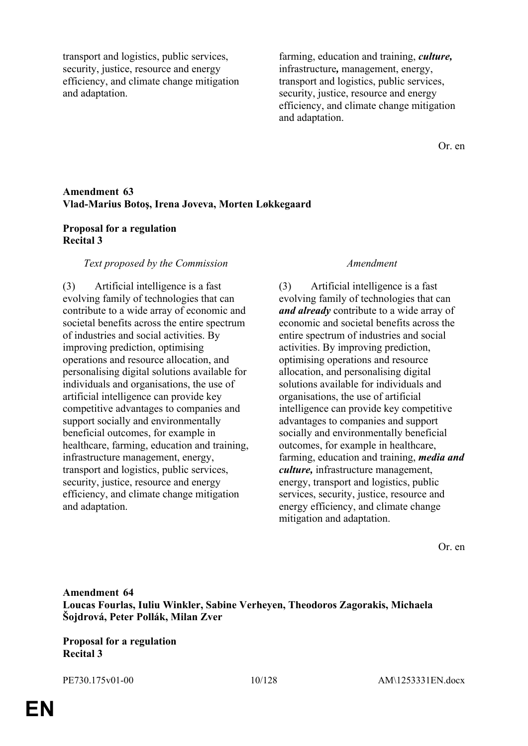transport and logistics, public services, security, justice, resource and energy efficiency, and climate change mitigation and adaptation.

farming, education and training, *culture,* infrastructure*,* management, energy, transport and logistics, public services, security, justice, resource and energy efficiency, and climate change mitigation and adaptation.

Or. en

### **Amendment 63 Vlad-Marius Botoş, Irena Joveva, Morten Løkkegaard**

### **Proposal for a regulation Recital 3**

### *Text proposed by the Commission Amendment*

(3) Artificial intelligence is a fast evolving family of technologies that can contribute to a wide array of economic and societal benefits across the entire spectrum of industries and social activities. By improving prediction, optimising operations and resource allocation, and personalising digital solutions available for individuals and organisations, the use of artificial intelligence can provide key competitive advantages to companies and support socially and environmentally beneficial outcomes, for example in healthcare, farming, education and training, infrastructure management, energy, transport and logistics, public services, security, justice, resource and energy efficiency, and climate change mitigation and adaptation.

(3) Artificial intelligence is a fast evolving family of technologies that can *and already* contribute to a wide array of economic and societal benefits across the entire spectrum of industries and social activities. By improving prediction, optimising operations and resource allocation, and personalising digital solutions available for individuals and organisations, the use of artificial intelligence can provide key competitive advantages to companies and support socially and environmentally beneficial outcomes, for example in healthcare, farming, education and training, *media and culture,* infrastructure management, energy, transport and logistics, public services, security, justice, resource and energy efficiency, and climate change mitigation and adaptation.

Or. en

### **Amendment 64 Loucas Fourlas, Iuliu Winkler, Sabine Verheyen, Theodoros Zagorakis, Michaela Šojdrová, Peter Pollák, Milan Zver**

**Proposal for a regulation Recital 3**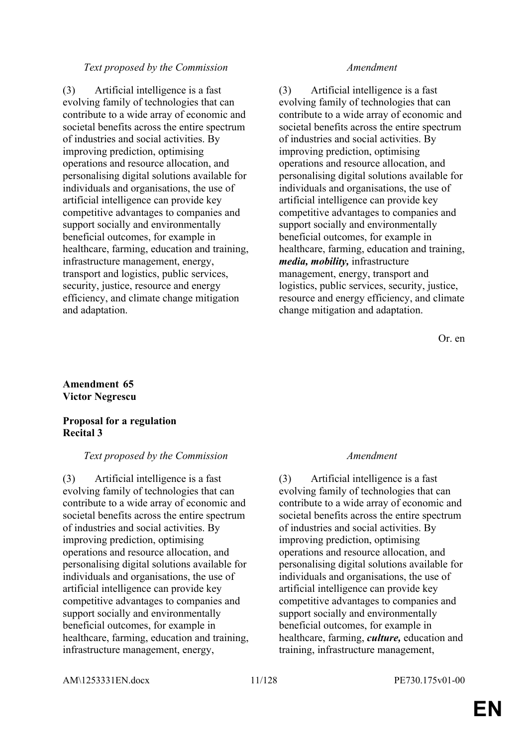### *Text proposed by the Commission Amendment*

(3) Artificial intelligence is a fast evolving family of technologies that can contribute to a wide array of economic and societal benefits across the entire spectrum of industries and social activities. By improving prediction, optimising operations and resource allocation, and personalising digital solutions available for individuals and organisations, the use of artificial intelligence can provide key competitive advantages to companies and support socially and environmentally beneficial outcomes, for example in healthcare, farming, education and training, infrastructure management, energy, transport and logistics, public services, security, justice, resource and energy efficiency, and climate change mitigation and adaptation.

(3) Artificial intelligence is a fast evolving family of technologies that can contribute to a wide array of economic and societal benefits across the entire spectrum of industries and social activities. By improving prediction, optimising operations and resource allocation, and personalising digital solutions available for individuals and organisations, the use of artificial intelligence can provide key competitive advantages to companies and support socially and environmentally beneficial outcomes, for example in healthcare, farming, education and training, *media, mobility,* infrastructure management, energy, transport and logistics, public services, security, justice, resource and energy efficiency, and climate change mitigation and adaptation.

Or. en

### **Amendment 65 Victor Negrescu**

### **Proposal for a regulation Recital 3**

### *Text proposed by the Commission Amendment*

(3) Artificial intelligence is a fast evolving family of technologies that can contribute to a wide array of economic and societal benefits across the entire spectrum of industries and social activities. By improving prediction, optimising operations and resource allocation, and personalising digital solutions available for individuals and organisations, the use of artificial intelligence can provide key competitive advantages to companies and support socially and environmentally beneficial outcomes, for example in healthcare, farming, education and training, infrastructure management, energy,

(3) Artificial intelligence is a fast evolving family of technologies that can contribute to a wide array of economic and societal benefits across the entire spectrum of industries and social activities. By improving prediction, optimising operations and resource allocation, and personalising digital solutions available for individuals and organisations, the use of artificial intelligence can provide key competitive advantages to companies and support socially and environmentally beneficial outcomes, for example in healthcare, farming, *culture,* education and training, infrastructure management,

AM\1253331EN.docx 11/128 PE730.175v01-00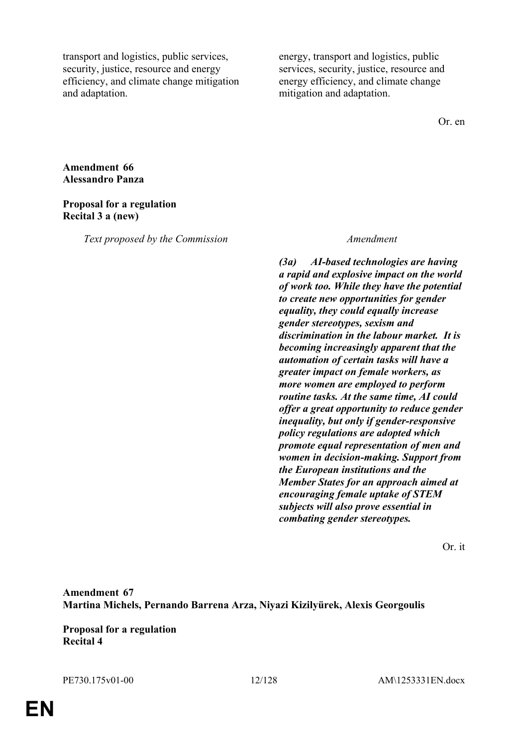transport and logistics, public services, security, justice, resource and energy efficiency, and climate change mitigation and adaptation.

energy, transport and logistics, public services, security, justice, resource and energy efficiency, and climate change mitigation and adaptation.

Or. en

### **Amendment 66 Alessandro Panza**

### **Proposal for a regulation Recital 3 a (new)**

*Text proposed by the Commission Amendment*

*(3a) AI-based technologies are having a rapid and explosive impact on the world of work too. While they have the potential to create new opportunities for gender equality, they could equally increase gender stereotypes, sexism and discrimination in the labour market. It is becoming increasingly apparent that the automation of certain tasks will have a greater impact on female workers, as more women are employed to perform routine tasks. At the same time, AI could offer a great opportunity to reduce gender inequality, but only if gender-responsive policy regulations are adopted which promote equal representation of men and women in decision-making. Support from the European institutions and the Member States for an approach aimed at encouraging female uptake of STEM subjects will also prove essential in combating gender stereotypes.*

Or. it

**Amendment 67 Martina Michels, Pernando Barrena Arza, Niyazi Kizilyürek, Alexis Georgoulis**

**Proposal for a regulation Recital 4**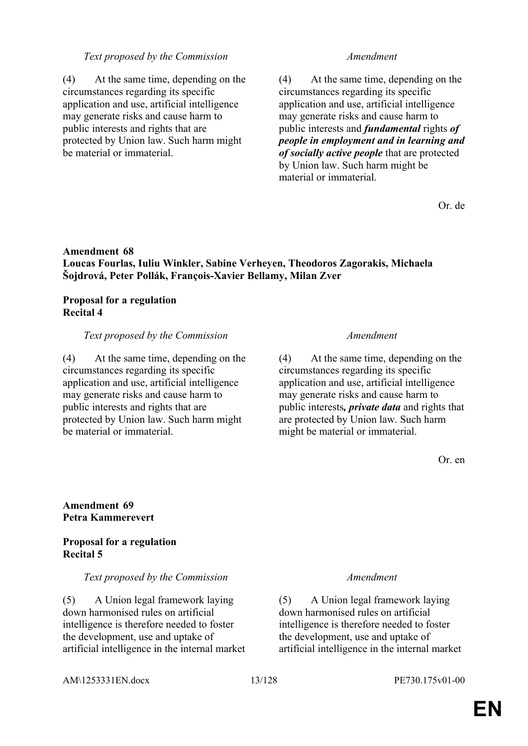### *Text proposed by the Commission Amendment*

(4) At the same time, depending on the circumstances regarding its specific application and use, artificial intelligence may generate risks and cause harm to public interests and rights that are protected by Union law. Such harm might be material or immaterial.

(4) At the same time, depending on the circumstances regarding its specific application and use, artificial intelligence may generate risks and cause harm to public interests and *fundamental* rights *of people in employment and in learning and of socially active people* that are protected by Union law. Such harm might be material or immaterial.

Or. de

### **Amendment 68 Loucas Fourlas, Iuliu Winkler, Sabine Verheyen, Theodoros Zagorakis, Michaela Šojdrová, Peter Pollák, François-Xavier Bellamy, Milan Zver**

### **Proposal for a regulation Recital 4**

### *Text proposed by the Commission Amendment*

(4) At the same time, depending on the circumstances regarding its specific application and use, artificial intelligence may generate risks and cause harm to public interests and rights that are protected by Union law. Such harm might be material or immaterial.

(4) At the same time, depending on the circumstances regarding its specific application and use, artificial intelligence may generate risks and cause harm to public interests*, private data* and rights that are protected by Union law. Such harm might be material or immaterial.

Or. en

### **Amendment 69 Petra Kammerevert**

### **Proposal for a regulation Recital 5**

### *Text proposed by the Commission Amendment*

(5) A Union legal framework laying down harmonised rules on artificial intelligence is therefore needed to foster the development, use and uptake of artificial intelligence in the internal market

(5) A Union legal framework laying down harmonised rules on artificial intelligence is therefore needed to foster the development, use and uptake of artificial intelligence in the internal market

AM\1253331EN.docx 13/128 PE730.175v01-00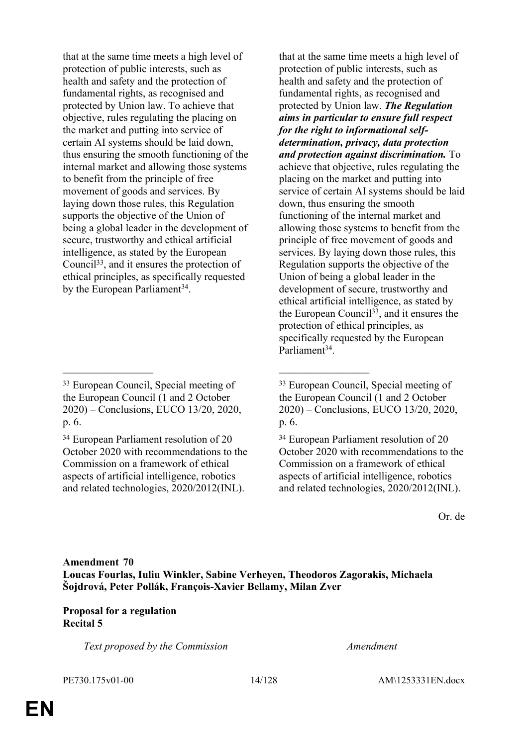that at the same time meets a high level of protection of public interests, such as health and safety and the protection of fundamental rights, as recognised and protected by Union law. To achieve that objective, rules regulating the placing on the market and putting into service of certain AI systems should be laid down, thus ensuring the smooth functioning of the internal market and allowing those systems to benefit from the principle of free movement of goods and services. By laying down those rules, this Regulation supports the objective of the Union of being a global leader in the development of secure, trustworthy and ethical artificial intelligence, as stated by the European Council<sup>33</sup>, and it ensures the protection of ethical principles, as specifically requested by the European Parliament<sup>34</sup>.

\_\_\_\_\_\_\_\_\_\_\_\_\_\_\_\_\_ \_\_\_\_\_\_\_\_\_\_\_\_\_\_\_\_\_

that at the same time meets a high level of protection of public interests, such as health and safety and the protection of fundamental rights, as recognised and protected by Union law. *The Regulation aims in particular to ensure full respect for the right to informational selfdetermination, privacy, data protection and protection against discrimination.* To achieve that objective, rules regulating the placing on the market and putting into service of certain AI systems should be laid down, thus ensuring the smooth functioning of the internal market and allowing those systems to benefit from the principle of free movement of goods and services. By laying down those rules, this Regulation supports the objective of the Union of being a global leader in the development of secure, trustworthy and ethical artificial intelligence, as stated by the European Council<sup>33</sup>, and it ensures the protection of ethical principles, as specifically requested by the European Parliament<sup>34</sup>.

Or. de

### **Amendment 70 Loucas Fourlas, Iuliu Winkler, Sabine Verheyen, Theodoros Zagorakis, Michaela Šojdrová, Peter Pollák, François-Xavier Bellamy, Milan Zver**

### **Proposal for a regulation Recital 5**

*Text proposed by the Commission Amendment*

<sup>33</sup> European Council, Special meeting of the European Council (1 and 2 October 2020) – Conclusions, EUCO 13/20, 2020, p. 6.

<sup>34</sup> European Parliament resolution of 20 October 2020 with recommendations to the Commission on a framework of ethical aspects of artificial intelligence, robotics and related technologies, 2020/2012(INL).

<sup>33</sup> European Council, Special meeting of the European Council (1 and 2 October 2020) – Conclusions, EUCO 13/20, 2020, p. 6.

<sup>34</sup> European Parliament resolution of 20 October 2020 with recommendations to the Commission on a framework of ethical aspects of artificial intelligence, robotics and related technologies, 2020/2012(INL).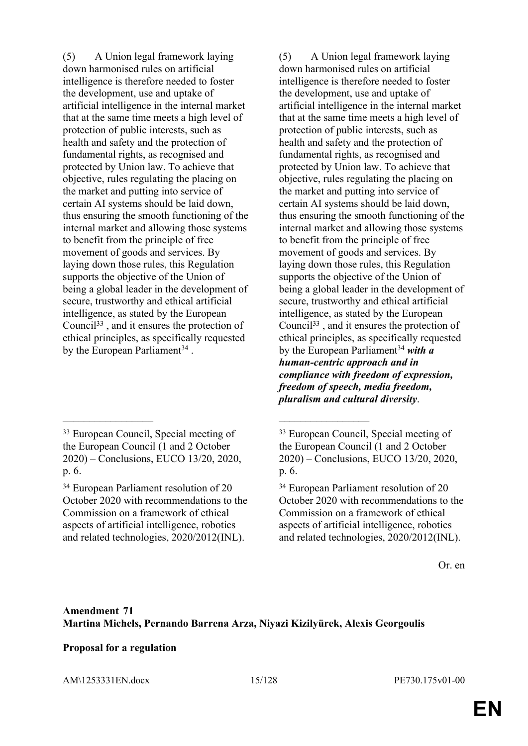(5) A Union legal framework laying down harmonised rules on artificial intelligence is therefore needed to foster the development, use and uptake of artificial intelligence in the internal market that at the same time meets a high level of protection of public interests, such as health and safety and the protection of fundamental rights, as recognised and protected by Union law. To achieve that objective, rules regulating the placing on the market and putting into service of certain AI systems should be laid down, thus ensuring the smooth functioning of the internal market and allowing those systems to benefit from the principle of free movement of goods and services. By laying down those rules, this Regulation supports the objective of the Union of being a global leader in the development of secure, trustworthy and ethical artificial intelligence, as stated by the European Council<sup>33</sup> , and it ensures the protection of ethical principles, as specifically requested by the European Parliament<sup>34</sup>.

(5) A Union legal framework laying down harmonised rules on artificial intelligence is therefore needed to foster the development, use and uptake of artificial intelligence in the internal market that at the same time meets a high level of protection of public interests, such as health and safety and the protection of fundamental rights, as recognised and protected by Union law. To achieve that objective, rules regulating the placing on the market and putting into service of certain AI systems should be laid down, thus ensuring the smooth functioning of the internal market and allowing those systems to benefit from the principle of free movement of goods and services. By laying down those rules, this Regulation supports the objective of the Union of being a global leader in the development of secure, trustworthy and ethical artificial intelligence, as stated by the European Council<sup>33</sup> , and it ensures the protection of ethical principles, as specifically requested by the European Parliament<sup>34</sup> with a *human-centric approach and in compliance with freedom of expression, freedom of speech, media freedom, pluralism and cultural diversity*.

Or. en

\_\_\_\_\_\_\_\_\_\_\_\_\_\_\_\_\_ \_\_\_\_\_\_\_\_\_\_\_\_\_\_\_\_\_

### **Proposal for a regulation**

AM\1253331EN.docx 15/128 PE730.175v01-00

<sup>33</sup> European Council, Special meeting of the European Council (1 and 2 October 2020) – Conclusions, EUCO 13/20, 2020, p. 6.

<sup>34</sup> European Parliament resolution of 20 October 2020 with recommendations to the Commission on a framework of ethical aspects of artificial intelligence, robotics and related technologies, 2020/2012(INL).

<sup>33</sup> European Council, Special meeting of the European Council (1 and 2 October 2020) – Conclusions, EUCO 13/20, 2020, p. 6.

<sup>34</sup> European Parliament resolution of 20 October 2020 with recommendations to the Commission on a framework of ethical aspects of artificial intelligence, robotics and related technologies, 2020/2012(INL).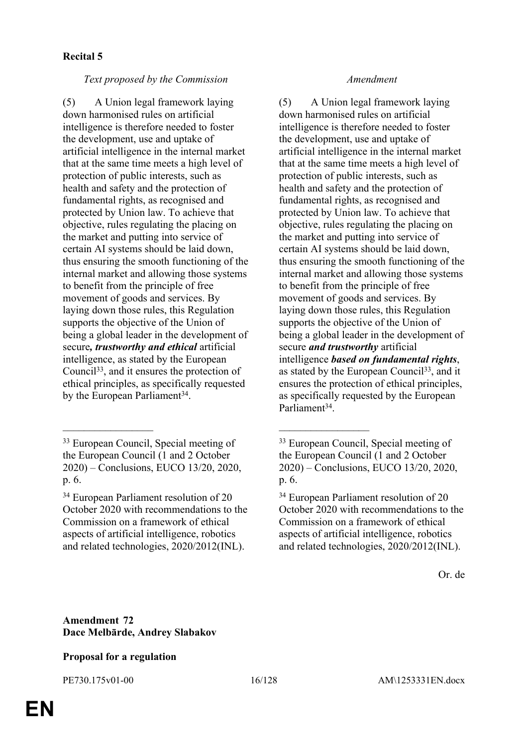### **Recital 5**

### *Text proposed by the Commission Amendment*

(5) A Union legal framework laying down harmonised rules on artificial intelligence is therefore needed to foster the development, use and uptake of artificial intelligence in the internal market that at the same time meets a high level of protection of public interests, such as health and safety and the protection of fundamental rights, as recognised and protected by Union law. To achieve that objective, rules regulating the placing on the market and putting into service of certain AI systems should be laid down, thus ensuring the smooth functioning of the internal market and allowing those systems to benefit from the principle of free movement of goods and services. By laying down those rules, this Regulation supports the objective of the Union of being a global leader in the development of secure*, trustworthy and ethical* artificial intelligence, as stated by the European Council<sup>33</sup>, and it ensures the protection of ethical principles, as specifically requested by the European Parliament<sup>34</sup>.

\_\_\_\_\_\_\_\_\_\_\_\_\_\_\_\_\_ \_\_\_\_\_\_\_\_\_\_\_\_\_\_\_\_\_

(5) A Union legal framework laying down harmonised rules on artificial intelligence is therefore needed to foster the development, use and uptake of artificial intelligence in the internal market that at the same time meets a high level of protection of public interests, such as health and safety and the protection of fundamental rights, as recognised and protected by Union law. To achieve that objective, rules regulating the placing on the market and putting into service of certain AI systems should be laid down, thus ensuring the smooth functioning of the internal market and allowing those systems to benefit from the principle of free movement of goods and services. By laying down those rules, this Regulation supports the objective of the Union of being a global leader in the development of secure *and trustworthy* artificial intelligence *based on fundamental rights*, as stated by the European Council<sup>33</sup>, and it ensures the protection of ethical principles, as specifically requested by the European Parliament<sup>34</sup>.

Or. de

### **Amendment 72 Dace Melbārde, Andrey Slabakov**

### **Proposal for a regulation**

<sup>33</sup> European Council, Special meeting of the European Council (1 and 2 October 2020) – Conclusions, EUCO 13/20, 2020, p. 6.

<sup>34</sup> European Parliament resolution of 20 October 2020 with recommendations to the Commission on a framework of ethical aspects of artificial intelligence, robotics and related technologies, 2020/2012(INL).

<sup>33</sup> European Council, Special meeting of the European Council (1 and 2 October 2020) – Conclusions, EUCO 13/20, 2020, p. 6.

<sup>34</sup> European Parliament resolution of 20 October 2020 with recommendations to the Commission on a framework of ethical aspects of artificial intelligence, robotics and related technologies, 2020/2012(INL).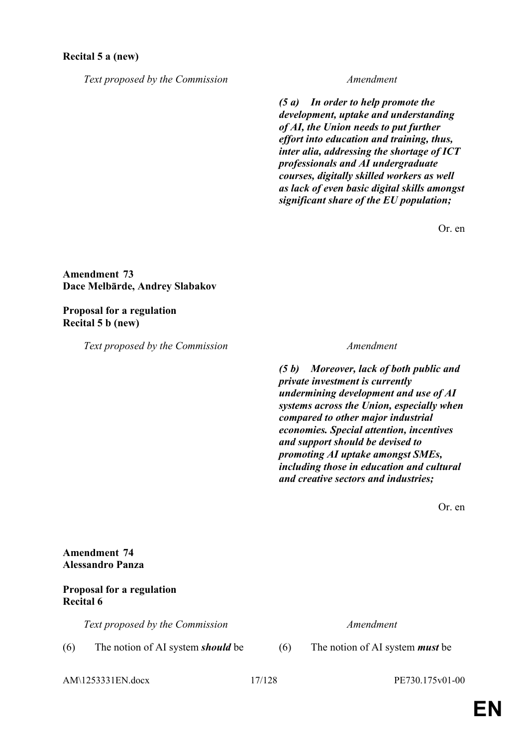### **Recital 5 a (new)**

*Text proposed by the Commission Amendment*

*(5 a) In order to help promote the development, uptake and understanding of AI, the Union needs to put further effort into education and training, thus, inter alia, addressing the shortage of ICT professionals and AI undergraduate courses, digitally skilled workers as well as lack of even basic digital skills amongst significant share of the EU population;*

Or. en

**Amendment 73 Dace Melbārde, Andrey Slabakov**

**Proposal for a regulation Recital 5 b (new)**

*Text proposed by the Commission Amendment*

*(5 b) Moreover, lack of both public and private investment is currently undermining development and use of AI systems across the Union, especially when compared to other major industrial economies. Special attention, incentives and support should be devised to promoting AI uptake amongst SMEs, including those in education and cultural and creative sectors and industries;*

Or. en

### **Amendment 74 Alessandro Panza**

### **Proposal for a regulation Recital 6**

*Text proposed by the Commission Amendment*

(6) The notion of AI system *should* be (6) The notion of AI system *must* be

AM\1253331EN.docx 17/128 PE730.175v01-00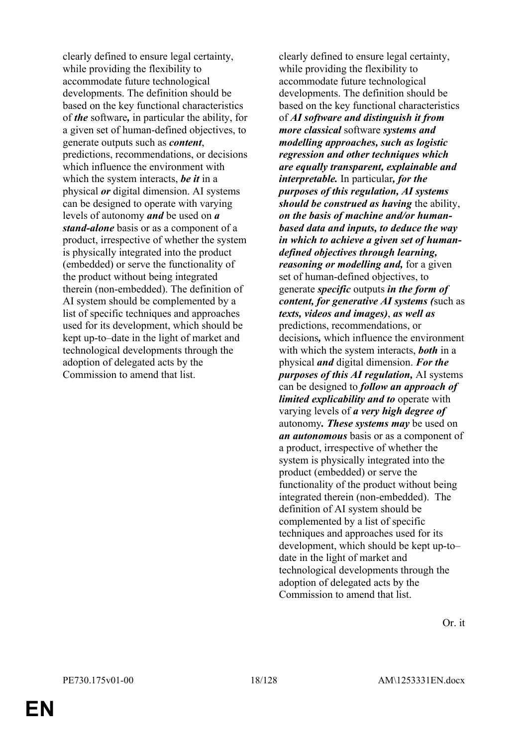clearly defined to ensure legal certainty, while providing the flexibility to accommodate future technological developments. The definition should be based on the key functional characteristics of *the* software*,* in particular the ability, for a given set of human-defined objectives, to generate outputs such as *content*, predictions, recommendations, or decisions which influence the environment with which the system interacts, *be it* in a physical *or* digital dimension. AI systems can be designed to operate with varying levels of autonomy *and* be used on *a stand-alone* basis or as a component of a product, irrespective of whether the system is physically integrated into the product (embedded) or serve the functionality of the product without being integrated therein (non-embedded). The definition of AI system should be complemented by a list of specific techniques and approaches used for its development, which should be kept up-to–date in the light of market and technological developments through the adoption of delegated acts by the Commission to amend that list.

clearly defined to ensure legal certainty, while providing the flexibility to accommodate future technological developments. The definition should be based on the key functional characteristics of *AI software and distinguish it from more classical* software *systems and modelling approaches, such as logistic regression and other techniques which are equally transparent, explainable and interpretable.* In particular*, for the purposes of this regulation, AI systems should be construed as having* the ability, *on the basis of machine and/or humanbased data and inputs, to deduce the way in which to achieve a given set of humandefined objectives through learning, reasoning or modelling and,* for a given set of human-defined objectives, to generate *specific* outputs *in the form of content, for generative AI systems (*such as *texts, videos and images)*, *as well as* predictions, recommendations, or decisions*,* which influence the environment with which the system interacts, *both* in a physical *and* digital dimension. *For the purposes of this AI regulation,* AI systems can be designed to *follow an approach of limited explicability and to* operate with varying levels of *a very high degree of* autonomy*. These systems may* be used on *an autonomous* basis or as a component of a product, irrespective of whether the system is physically integrated into the product (embedded) or serve the functionality of the product without being integrated therein (non-embedded). The definition of AI system should be complemented by a list of specific techniques and approaches used for its development, which should be kept up-to– date in the light of market and technological developments through the adoption of delegated acts by the Commission to amend that list.

Or. it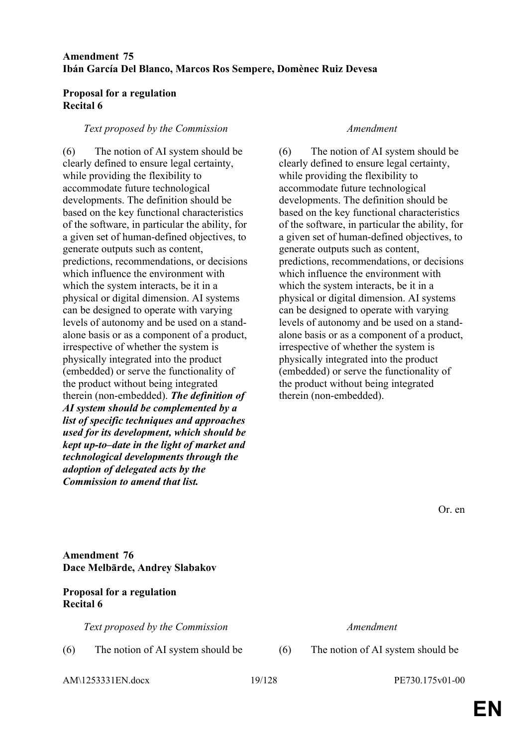### **Amendment 75 Ibán García Del Blanco, Marcos Ros Sempere, Domènec Ruiz Devesa**

### **Proposal for a regulation Recital 6**

### *Text proposed by the Commission Amendment*

(6) The notion of AI system should be clearly defined to ensure legal certainty, while providing the flexibility to accommodate future technological developments. The definition should be based on the key functional characteristics of the software, in particular the ability, for a given set of human-defined objectives, to generate outputs such as content, predictions, recommendations, or decisions which influence the environment with which the system interacts, be it in a physical or digital dimension. AI systems can be designed to operate with varying levels of autonomy and be used on a standalone basis or as a component of a product, irrespective of whether the system is physically integrated into the product (embedded) or serve the functionality of the product without being integrated therein (non-embedded). *The definition of AI system should be complemented by a list of specific techniques and approaches used for its development, which should be kept up-to–date in the light of market and technological developments through the adoption of delegated acts by the Commission to amend that list.*

(6) The notion of AI system should be clearly defined to ensure legal certainty, while providing the flexibility to accommodate future technological developments. The definition should be based on the key functional characteristics of the software, in particular the ability, for a given set of human-defined objectives, to generate outputs such as content, predictions, recommendations, or decisions which influence the environment with which the system interacts, be it in a physical or digital dimension. AI systems can be designed to operate with varying levels of autonomy and be used on a standalone basis or as a component of a product, irrespective of whether the system is physically integrated into the product (embedded) or serve the functionality of the product without being integrated therein (non-embedded).

Or. en

### **Amendment 76 Dace Melbārde, Andrey Slabakov**

### **Proposal for a regulation Recital 6**

*Text proposed by the Commission Amendment*

(6) The notion of AI system should be (6) The notion of AI system should be

AM\1253331EN.docx 19/128 PE730.175v01-00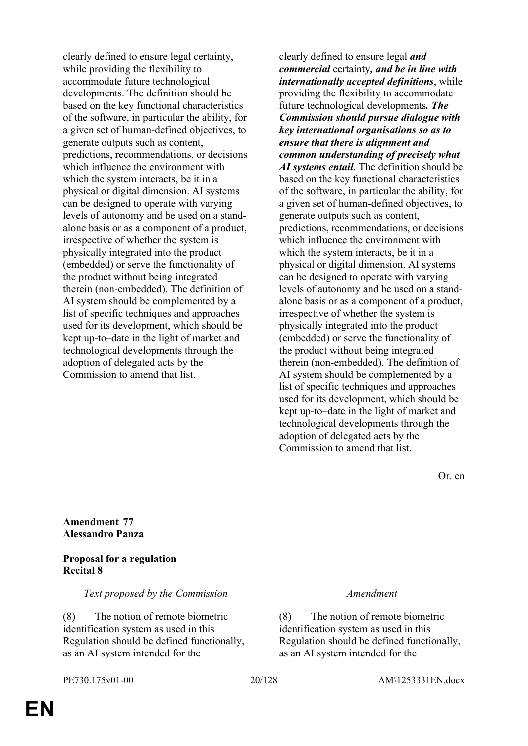clearly defined to ensure legal certainty, while providing the flexibility to accommodate future technological developments. The definition should be based on the key functional characteristics of the software, in particular the ability, for a given set of human-defined objectives, to generate outputs such as content, predictions, recommendations, or decisions which influence the environment with which the system interacts, be it in a physical or digital dimension. AI systems can be designed to operate with varying levels of autonomy and be used on a standalone basis or as a component of a product, irrespective of whether the system is physically integrated into the product (embedded) or serve the functionality of the product without being integrated therein (non-embedded). The definition of AI system should be complemented by a list of specific techniques and approaches used for its development, which should be kept up-to–date in the light of market and technological developments through the adoption of delegated acts by the Commission to amend that list.

clearly defined to ensure legal *and commercial* certainty*, and be in line with internationally accepted definitions*, while providing the flexibility to accommodate future technological developments*. The Commission should pursue dialogue with key international organisations so as to ensure that there is alignment and common understanding of precisely what AI systems entail*. The definition should be based on the key functional characteristics of the software, in particular the ability, for a given set of human-defined objectives, to generate outputs such as content, predictions, recommendations, or decisions which influence the environment with which the system interacts, be it in a physical or digital dimension. AI systems can be designed to operate with varying levels of autonomy and be used on a standalone basis or as a component of a product, irrespective of whether the system is physically integrated into the product (embedded) or serve the functionality of the product without being integrated therein (non-embedded). The definition of AI system should be complemented by a list of specific techniques and approaches used for its development, which should be kept up-to–date in the light of market and technological developments through the adoption of delegated acts by the Commission to amend that list.

Or. en

**Amendment 77 Alessandro Panza**

### **Proposal for a regulation Recital 8**

*Text proposed by the Commission Amendment*

(8) The notion of remote biometric identification system as used in this Regulation should be defined functionally, as an AI system intended for the

PE730.175v01-00 20/128 AM\1253331EN.docx

(8) The notion of remote biometric identification system as used in this Regulation should be defined functionally, as an AI system intended for the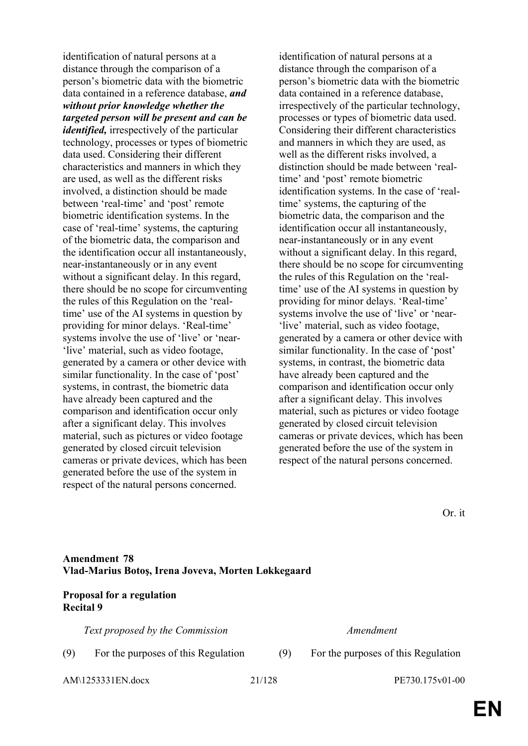identification of natural persons at a distance through the comparison of a person's biometric data with the biometric data contained in a reference database, *and without prior knowledge whether the targeted person will be present and can be identified,* irrespectively of the particular technology, processes or types of biometric data used. Considering their different characteristics and manners in which they are used, as well as the different risks involved, a distinction should be made between 'real-time' and 'post' remote biometric identification systems. In the case of 'real-time' systems, the capturing of the biometric data, the comparison and the identification occur all instantaneously, near-instantaneously or in any event without a significant delay. In this regard, there should be no scope for circumventing the rules of this Regulation on the 'realtime' use of the AI systems in question by providing for minor delays. 'Real-time' systems involve the use of 'live' or 'near-'live' material, such as video footage, generated by a camera or other device with similar functionality. In the case of 'post' systems, in contrast, the biometric data have already been captured and the comparison and identification occur only after a significant delay. This involves material, such as pictures or video footage generated by closed circuit television cameras or private devices, which has been generated before the use of the system in respect of the natural persons concerned.

identification of natural persons at a distance through the comparison of a person's biometric data with the biometric data contained in a reference database, irrespectively of the particular technology, processes or types of biometric data used. Considering their different characteristics and manners in which they are used, as well as the different risks involved, a distinction should be made between 'realtime' and 'post' remote biometric identification systems. In the case of 'realtime' systems, the capturing of the biometric data, the comparison and the identification occur all instantaneously, near-instantaneously or in any event without a significant delay. In this regard, there should be no scope for circumventing the rules of this Regulation on the 'realtime' use of the AI systems in question by providing for minor delays. 'Real-time' systems involve the use of 'live' or 'near- 'live' material, such as video footage, generated by a camera or other device with similar functionality. In the case of 'post' systems, in contrast, the biometric data have already been captured and the comparison and identification occur only after a significant delay. This involves material, such as pictures or video footage generated by closed circuit television cameras or private devices, which has been generated before the use of the system in respect of the natural persons concerned.

Or. it

### **Amendment 78 Vlad-Marius Botoş, Irena Joveva, Morten Løkkegaard**

### **Proposal for a regulation Recital 9**

*Text proposed by the Commission Amendment*

AM\1253331EN.docx 21/128 PE730.175v01-00

(9) For the purposes of this Regulation (9) For the purposes of this Regulation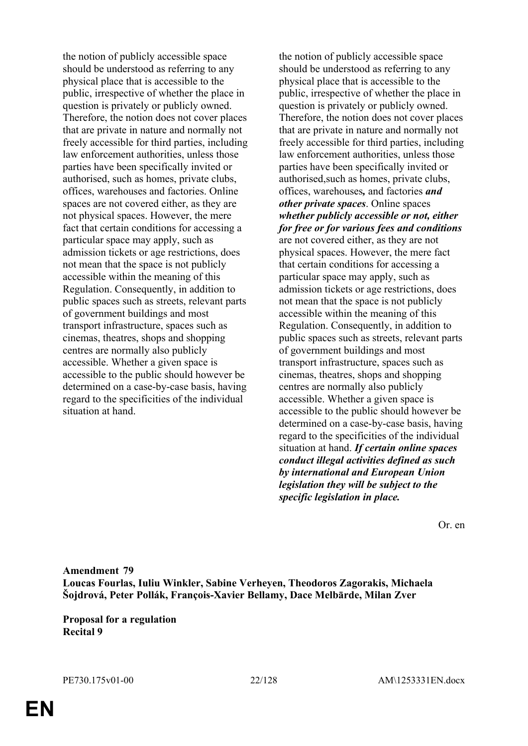the notion of publicly accessible space should be understood as referring to any physical place that is accessible to the public, irrespective of whether the place in question is privately or publicly owned. Therefore, the notion does not cover places that are private in nature and normally not freely accessible for third parties, including law enforcement authorities, unless those parties have been specifically invited or authorised, such as homes, private clubs, offices, warehouses and factories. Online spaces are not covered either, as they are not physical spaces. However, the mere fact that certain conditions for accessing a particular space may apply, such as admission tickets or age restrictions, does not mean that the space is not publicly accessible within the meaning of this Regulation. Consequently, in addition to public spaces such as streets, relevant parts of government buildings and most transport infrastructure, spaces such as cinemas, theatres, shops and shopping centres are normally also publicly accessible. Whether a given space is accessible to the public should however be determined on a case-by-case basis, having regard to the specificities of the individual situation at hand.

the notion of publicly accessible space should be understood as referring to any physical place that is accessible to the public, irrespective of whether the place in question is privately or publicly owned. Therefore, the notion does not cover places that are private in nature and normally not freely accessible for third parties, including law enforcement authorities, unless those parties have been specifically invited or authorised,such as homes, private clubs, offices, warehouses*,* and factories *and other private spaces*. Online spaces *whether publicly accessible or not, either for free or for various fees and conditions* are not covered either, as they are not physical spaces. However, the mere fact that certain conditions for accessing a particular space may apply, such as admission tickets or age restrictions, does not mean that the space is not publicly accessible within the meaning of this Regulation. Consequently, in addition to public spaces such as streets, relevant parts of government buildings and most transport infrastructure, spaces such as cinemas, theatres, shops and shopping centres are normally also publicly accessible. Whether a given space is accessible to the public should however be determined on a case-by-case basis, having regard to the specificities of the individual situation at hand. *If certain online spaces conduct illegal activities defined as such by international and European Union legislation they will be subject to the specific legislation in place.*

Or. en

**Amendment 79 Loucas Fourlas, Iuliu Winkler, Sabine Verheyen, Theodoros Zagorakis, Michaela Šojdrová, Peter Pollák, François-Xavier Bellamy, Dace Melbārde, Milan Zver**

**Proposal for a regulation Recital 9**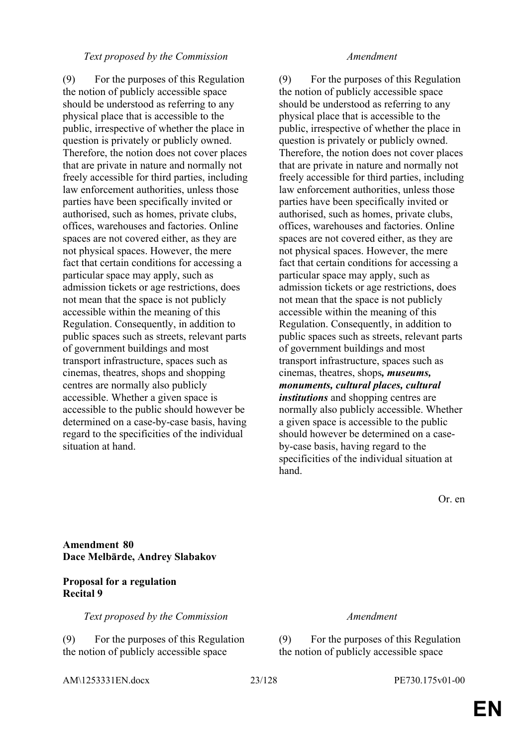### *Text proposed by the Commission Amendment*

(9) For the purposes of this Regulation the notion of publicly accessible space should be understood as referring to any physical place that is accessible to the public, irrespective of whether the place in question is privately or publicly owned. Therefore, the notion does not cover places that are private in nature and normally not freely accessible for third parties, including law enforcement authorities, unless those parties have been specifically invited or authorised, such as homes, private clubs, offices, warehouses and factories. Online spaces are not covered either, as they are not physical spaces. However, the mere fact that certain conditions for accessing a particular space may apply, such as admission tickets or age restrictions, does not mean that the space is not publicly accessible within the meaning of this Regulation. Consequently, in addition to public spaces such as streets, relevant parts of government buildings and most transport infrastructure, spaces such as cinemas, theatres, shops and shopping centres are normally also publicly accessible. Whether a given space is accessible to the public should however be determined on a case-by-case basis, having regard to the specificities of the individual situation at hand.

(9) For the purposes of this Regulation the notion of publicly accessible space should be understood as referring to any physical place that is accessible to the public, irrespective of whether the place in question is privately or publicly owned. Therefore, the notion does not cover places that are private in nature and normally not freely accessible for third parties, including law enforcement authorities, unless those parties have been specifically invited or authorised, such as homes, private clubs, offices, warehouses and factories. Online spaces are not covered either, as they are not physical spaces. However, the mere fact that certain conditions for accessing a particular space may apply, such as admission tickets or age restrictions, does not mean that the space is not publicly accessible within the meaning of this Regulation. Consequently, in addition to public spaces such as streets, relevant parts of government buildings and most transport infrastructure, spaces such as cinemas, theatres, shops*, museums, monuments, cultural places, cultural institutions* and shopping centres are normally also publicly accessible. Whether a given space is accessible to the public should however be determined on a caseby-case basis, having regard to the specificities of the individual situation at hand.

Or. en

### **Amendment 80 Dace Melbārde, Andrey Slabakov**

### **Proposal for a regulation Recital 9**

*Text proposed by the Commission Amendment*

(9) For the purposes of this Regulation the notion of publicly accessible space

AM\1253331EN.docx 23/128 PE730.175v01-00

(9) For the purposes of this Regulation the notion of publicly accessible space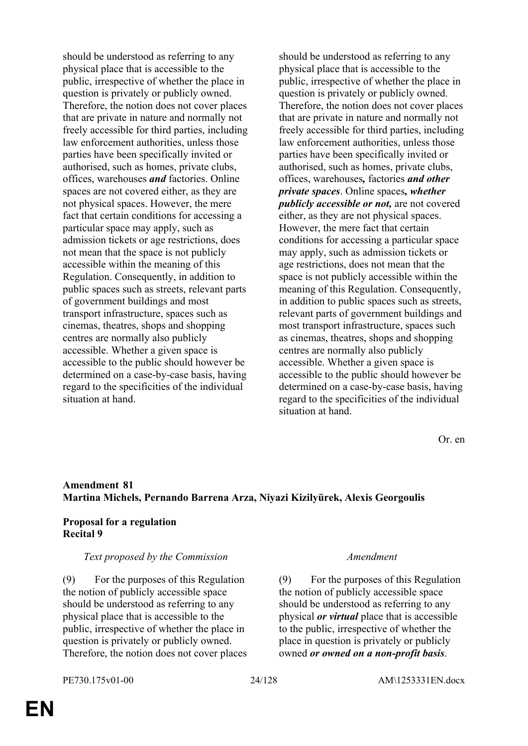should be understood as referring to any physical place that is accessible to the public, irrespective of whether the place in question is privately or publicly owned. Therefore, the notion does not cover places that are private in nature and normally not freely accessible for third parties, including law enforcement authorities, unless those parties have been specifically invited or authorised, such as homes, private clubs, offices, warehouses *and* factories. Online spaces are not covered either, as they are not physical spaces. However, the mere fact that certain conditions for accessing a particular space may apply, such as admission tickets or age restrictions, does not mean that the space is not publicly accessible within the meaning of this Regulation. Consequently, in addition to public spaces such as streets, relevant parts of government buildings and most transport infrastructure, spaces such as cinemas, theatres, shops and shopping centres are normally also publicly accessible. Whether a given space is accessible to the public should however be determined on a case-by-case basis, having regard to the specificities of the individual situation at hand.

should be understood as referring to any physical place that is accessible to the public, irrespective of whether the place in question is privately or publicly owned. Therefore, the notion does not cover places that are private in nature and normally not freely accessible for third parties, including law enforcement authorities, unless those parties have been specifically invited or authorised, such as homes, private clubs, offices, warehouses*,* factories *and other private spaces*. Online spaces*, whether publicly accessible or not,* are not covered either, as they are not physical spaces. However, the mere fact that certain conditions for accessing a particular space may apply, such as admission tickets or age restrictions, does not mean that the space is not publicly accessible within the meaning of this Regulation. Consequently, in addition to public spaces such as streets, relevant parts of government buildings and most transport infrastructure, spaces such as cinemas, theatres, shops and shopping centres are normally also publicly accessible. Whether a given space is accessible to the public should however be determined on a case-by-case basis, having regard to the specificities of the individual situation at hand.

Or. en

### **Amendment 81 Martina Michels, Pernando Barrena Arza, Niyazi Kizilyürek, Alexis Georgoulis**

### **Proposal for a regulation Recital 9**

### *Text proposed by the Commission Amendment*

(9) For the purposes of this Regulation the notion of publicly accessible space should be understood as referring to any physical place that is accessible to the public, irrespective of whether the place in question is privately or publicly owned. Therefore, the notion does not cover places

(9) For the purposes of this Regulation the notion of publicly accessible space should be understood as referring to any physical *or virtual* place that is accessible to the public, irrespective of whether the place in question is privately or publicly owned *or owned on a non-profit basis*.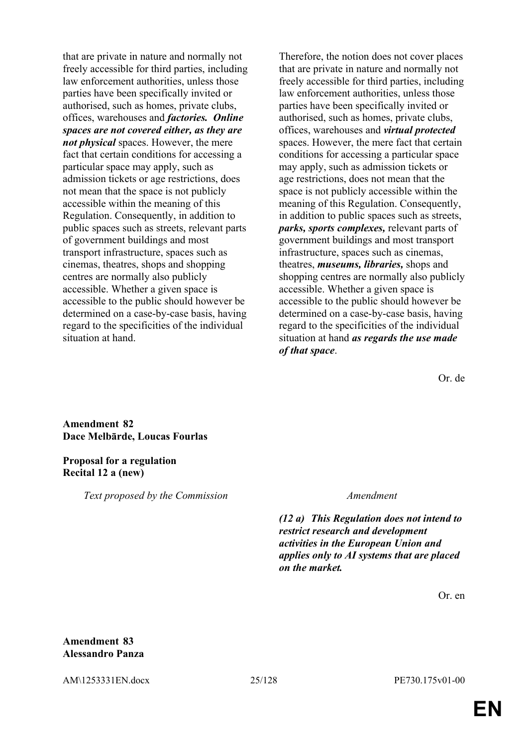that are private in nature and normally not freely accessible for third parties, including law enforcement authorities, unless those parties have been specifically invited or authorised, such as homes, private clubs, offices, warehouses and *factories. Online spaces are not covered either, as they are not physical* spaces. However, the mere fact that certain conditions for accessing a particular space may apply, such as admission tickets or age restrictions, does not mean that the space is not publicly accessible within the meaning of this Regulation. Consequently, in addition to public spaces such as streets, relevant parts of government buildings and most transport infrastructure, spaces such as cinemas, theatres, shops and shopping centres are normally also publicly accessible. Whether a given space is accessible to the public should however be determined on a case-by-case basis, having regard to the specificities of the individual situation at hand.

Therefore, the notion does not cover places that are private in nature and normally not freely accessible for third parties, including law enforcement authorities, unless those parties have been specifically invited or authorised, such as homes, private clubs, offices, warehouses and *virtual protected* spaces. However, the mere fact that certain conditions for accessing a particular space may apply, such as admission tickets or age restrictions, does not mean that the space is not publicly accessible within the meaning of this Regulation. Consequently, in addition to public spaces such as streets, *parks, sports complexes,* relevant parts of government buildings and most transport infrastructure, spaces such as cinemas, theatres, *museums, libraries,* shops and shopping centres are normally also publicly accessible. Whether a given space is accessible to the public should however be determined on a case-by-case basis, having regard to the specificities of the individual situation at hand *as regards the use made of that space*.

Or. de

**Amendment 82 Dace Melbārde, Loucas Fourlas**

**Proposal for a regulation Recital 12 a (new)**

*Text proposed by the Commission Amendment*

*(12 a) This Regulation does not intend to restrict research and development activities in the European Union and applies only to AI systems that are placed on the market.*

Or. en

### **Amendment 83 Alessandro Panza**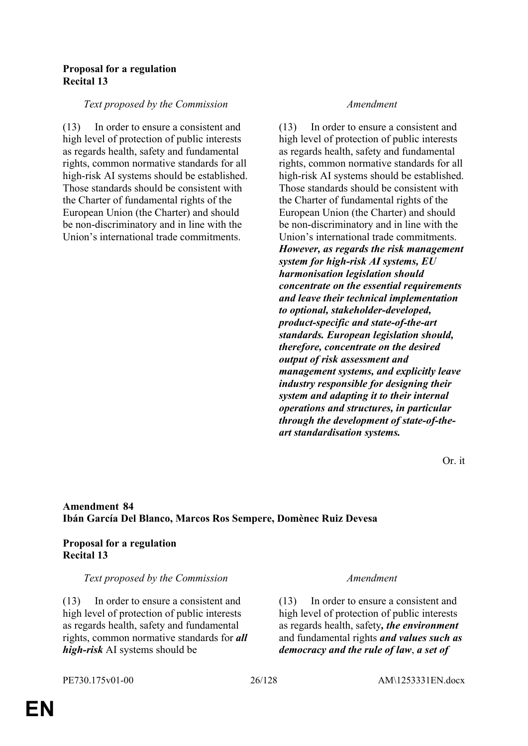### **Proposal for a regulation Recital 13**

### *Text proposed by the Commission Amendment*

(13) In order to ensure a consistent and high level of protection of public interests as regards health, safety and fundamental rights, common normative standards for all high-risk AI systems should be established. Those standards should be consistent with the Charter of fundamental rights of the European Union (the Charter) and should be non-discriminatory and in line with the Union's international trade commitments.

(13) In order to ensure a consistent and high level of protection of public interests as regards health, safety and fundamental rights, common normative standards for all high-risk AI systems should be established. Those standards should be consistent with the Charter of fundamental rights of the European Union (the Charter) and should be non-discriminatory and in line with the Union's international trade commitments. *However, as regards the risk management system for high-risk AI systems, EU harmonisation legislation should concentrate on the essential requirements and leave their technical implementation to optional, stakeholder-developed, product-specific and state-of-the-art standards. European legislation should, therefore, concentrate on the desired output of risk assessment and management systems, and explicitly leave industry responsible for designing their system and adapting it to their internal operations and structures, in particular through the development of state-of-theart standardisation systems.*

Or. it

### **Amendment 84 Ibán García Del Blanco, Marcos Ros Sempere, Domènec Ruiz Devesa**

### **Proposal for a regulation Recital 13**

### *Text proposed by the Commission Amendment*

(13) In order to ensure a consistent and high level of protection of public interests as regards health, safety and fundamental rights, common normative standards for *all high-risk* AI systems should be

(13) In order to ensure a consistent and high level of protection of public interests as regards health, safety*, the environment* and fundamental rights *and values such as democracy and the rule of law*, *a set of*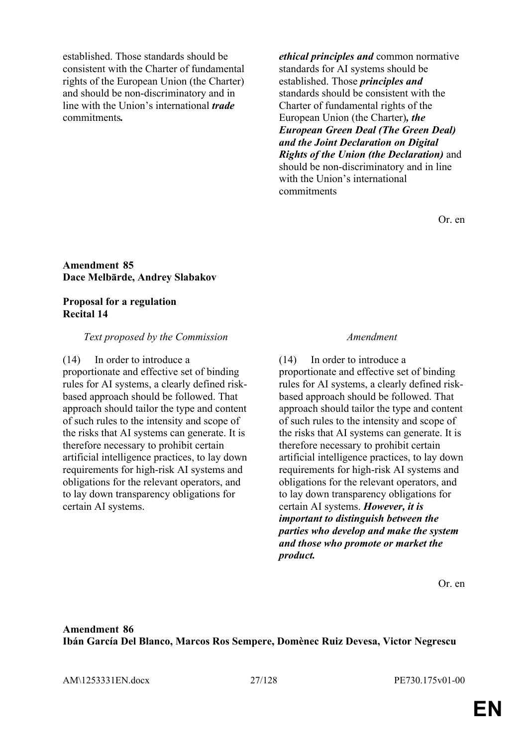established. Those standards should be consistent with the Charter of fundamental rights of the European Union (the Charter) and should be non-discriminatory and in line with the Union's international *trade* commitments*.*

*ethical principles and* common normative standards for AI systems should be established. Those *principles and* standards should be consistent with the Charter of fundamental rights of the European Union (the Charter)*, the European Green Deal (The Green Deal) and the Joint Declaration on Digital Rights of the Union (the Declaration)* and should be non-discriminatory and in line with the Union's international commitments

Or. en

### **Amendment 85 Dace Melbārde, Andrey Slabakov**

### **Proposal for a regulation Recital 14**

### *Text proposed by the Commission Amendment*

(14) In order to introduce a proportionate and effective set of binding rules for AI systems, a clearly defined riskbased approach should be followed. That approach should tailor the type and content of such rules to the intensity and scope of the risks that AI systems can generate. It is therefore necessary to prohibit certain artificial intelligence practices, to lay down requirements for high-risk AI systems and obligations for the relevant operators, and to lay down transparency obligations for certain AI systems.

(14) In order to introduce a proportionate and effective set of binding rules for AI systems, a clearly defined riskbased approach should be followed. That approach should tailor the type and content of such rules to the intensity and scope of the risks that AI systems can generate. It is therefore necessary to prohibit certain artificial intelligence practices, to lay down requirements for high-risk AI systems and obligations for the relevant operators, and to lay down transparency obligations for certain AI systems. *However, it is important to distinguish between the parties who develop and make the system and those who promote or market the product.*

Or. en

### **Amendment 86 Ibán García Del Blanco, Marcos Ros Sempere, Domènec Ruiz Devesa, Victor Negrescu**

AM\1253331EN.docx 27/128 PE730.175v01-00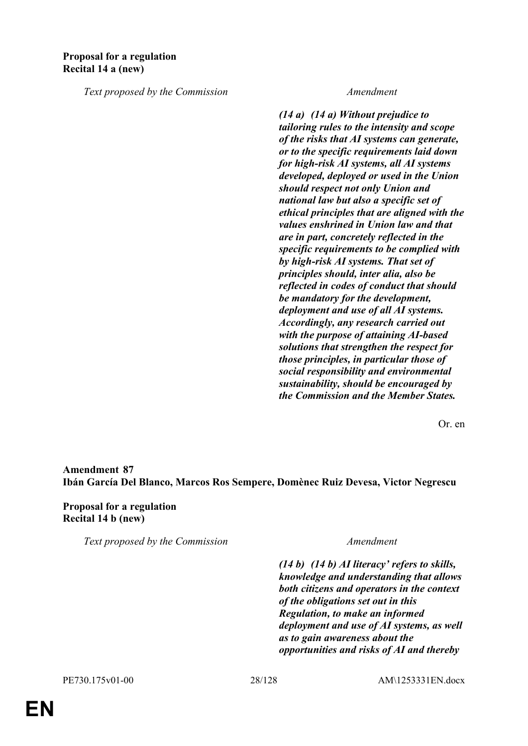*Text proposed by the Commission Amendment*

*(14 a) (14 a) Without prejudice to tailoring rules to the intensity and scope of the risks that AI systems can generate, or to the specific requirements laid down for high-risk AI systems, all AI systems developed, deployed or used in the Union should respect not only Union and national law but also a specific set of ethical principles that are aligned with the values enshrined in Union law and that are in part, concretely reflected in the specific requirements to be complied with by high-risk AI systems. That set of principles should, inter alia, also be reflected in codes of conduct that should be mandatory for the development, deployment and use of all AI systems. Accordingly, any research carried out with the purpose of attaining AI-based solutions that strengthen the respect for those principles, in particular those of social responsibility and environmental sustainability, should be encouraged by the Commission and the Member States.*

Or. en

**Amendment 87 Ibán García Del Blanco, Marcos Ros Sempere, Domènec Ruiz Devesa, Victor Negrescu**

**Proposal for a regulation Recital 14 b (new)**

*Text proposed by the Commission Amendment*

*(14 b) (14 b) AI literacy' refers to skills, knowledge and understanding that allows both citizens and operators in the context of the obligations set out in this Regulation, to make an informed deployment and use of AI systems, as well as to gain awareness about the opportunities and risks of AI and thereby*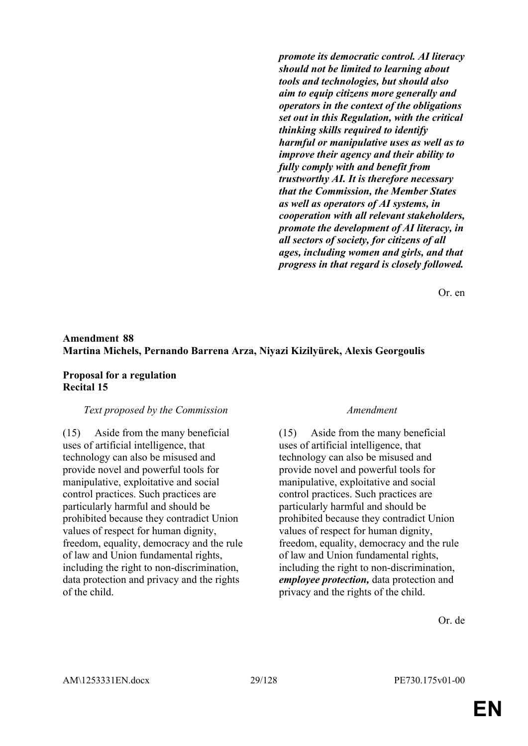*promote its democratic control. AI literacy should not be limited to learning about tools and technologies, but should also aim to equip citizens more generally and operators in the context of the obligations set out in this Regulation, with the critical thinking skills required to identify harmful or manipulative uses as well as to improve their agency and their ability to fully comply with and benefit from trustworthy AI. It is therefore necessary that the Commission, the Member States as well as operators of AI systems, in cooperation with all relevant stakeholders, promote the development of AI literacy, in all sectors of society, for citizens of all ages, including women and girls, and that progress in that regard is closely followed.*

Or. en

### **Amendment 88 Martina Michels, Pernando Barrena Arza, Niyazi Kizilyürek, Alexis Georgoulis**

### **Proposal for a regulation Recital 15**

### *Text proposed by the Commission Amendment*

(15) Aside from the many beneficial uses of artificial intelligence, that technology can also be misused and provide novel and powerful tools for manipulative, exploitative and social control practices. Such practices are particularly harmful and should be prohibited because they contradict Union values of respect for human dignity, freedom, equality, democracy and the rule of law and Union fundamental rights, including the right to non-discrimination, data protection and privacy and the rights of the child.

(15) Aside from the many beneficial uses of artificial intelligence, that technology can also be misused and provide novel and powerful tools for manipulative, exploitative and social control practices. Such practices are particularly harmful and should be prohibited because they contradict Union values of respect for human dignity, freedom, equality, democracy and the rule of law and Union fundamental rights, including the right to non-discrimination, *employee protection,* data protection and privacy and the rights of the child.

Or. de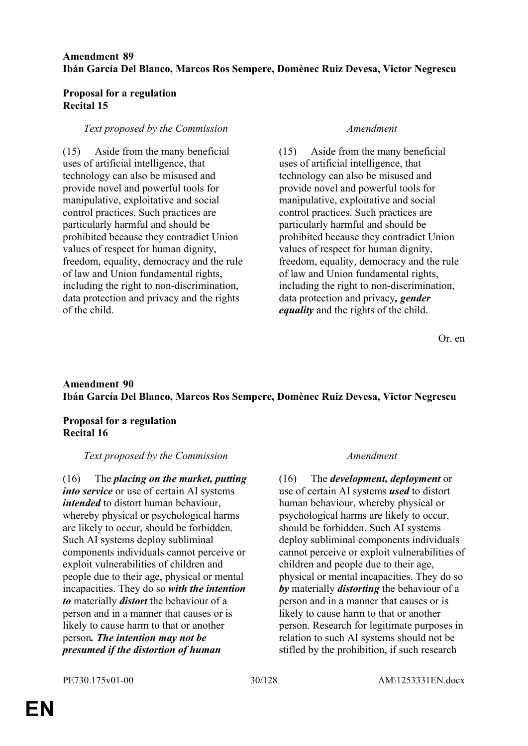### **Amendment 89 Ibán García Del Blanco, Marcos Ros Sempere, Domènec Ruiz Devesa, Victor Negrescu**

### **Proposal for a regulation Recital 15**

### *Text proposed by the Commission Amendment*

(15) Aside from the many beneficial uses of artificial intelligence, that technology can also be misused and provide novel and powerful tools for manipulative, exploitative and social control practices. Such practices are particularly harmful and should be prohibited because they contradict Union values of respect for human dignity, freedom, equality, democracy and the rule of law and Union fundamental rights, including the right to non-discrimination, data protection and privacy and the rights of the child.

(15) Aside from the many beneficial uses of artificial intelligence, that technology can also be misused and provide novel and powerful tools for manipulative, exploitative and social control practices. Such practices are particularly harmful and should be prohibited because they contradict Union values of respect for human dignity, freedom, equality, democracy and the rule of law and Union fundamental rights, including the right to non-discrimination, data protection and privacy*, gender equality* and the rights of the child.

Or. en

### **Amendment 90 Ibán García Del Blanco, Marcos Ros Sempere, Domènec Ruiz Devesa, Victor Negrescu**

### **Proposal for a regulation Recital 16**

### *Text proposed by the Commission Amendment*

(16) The *placing on the market, putting into service* or use of certain AI systems *intended* to distort human behaviour, whereby physical or psychological harms are likely to occur, should be forbidden. Such AI systems deploy subliminal components individuals cannot perceive or exploit vulnerabilities of children and people due to their age, physical or mental incapacities. They do so *with the intention to* materially *distort* the behaviour of a person and in a manner that causes or is likely to cause harm to that or another person*. The intention may not be presumed if the distortion of human* 

(16) The *development, deployment* or use of certain AI systems *used* to distort human behaviour, whereby physical or psychological harms are likely to occur, should be forbidden. Such AI systems deploy subliminal components individuals cannot perceive or exploit vulnerabilities of children and people due to their age, physical or mental incapacities. They do so *by* materially *distorting* the behaviour of a person and in a manner that causes or is likely to cause harm to that or another person. Research for legitimate purposes in relation to such AI systems should not be stifled by the prohibition, if such research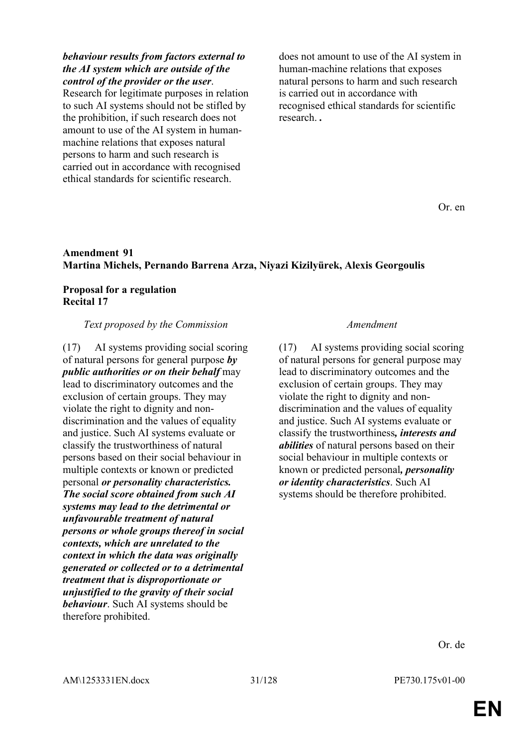### *behaviour results from factors external to the AI system which are outside of the control of the provider or the user*.

Research for legitimate purposes in relation to such AI systems should not be stifled by the prohibition, if such research does not amount to use of the AI system in humanmachine relations that exposes natural persons to harm and such research is carried out in accordance with recognised ethical standards for scientific research.

does not amount to use of the AI system in human-machine relations that exposes natural persons to harm and such research is carried out in accordance with recognised ethical standards for scientific research. *.*

Or. en

### **Amendment 91 Martina Michels, Pernando Barrena Arza, Niyazi Kizilyürek, Alexis Georgoulis**

### **Proposal for a regulation Recital 17**

### *Text proposed by the Commission Amendment*

(17) AI systems providing social scoring of natural persons for general purpose *by public authorities or on their behalf* may lead to discriminatory outcomes and the exclusion of certain groups. They may violate the right to dignity and nondiscrimination and the values of equality and justice. Such AI systems evaluate or classify the trustworthiness of natural persons based on their social behaviour in multiple contexts or known or predicted personal *or personality characteristics. The social score obtained from such AI systems may lead to the detrimental or unfavourable treatment of natural persons or whole groups thereof in social contexts, which are unrelated to the context in which the data was originally generated or collected or to a detrimental treatment that is disproportionate or unjustified to the gravity of their social behaviour*. Such AI systems should be therefore prohibited.

(17) AI systems providing social scoring of natural persons for general purpose may lead to discriminatory outcomes and the exclusion of certain groups. They may violate the right to dignity and nondiscrimination and the values of equality and justice. Such AI systems evaluate or classify the trustworthiness*, interests and abilities* of natural persons based on their social behaviour in multiple contexts or known or predicted personal*, personality or identity characteristics*. Such AI systems should be therefore prohibited.

Or. de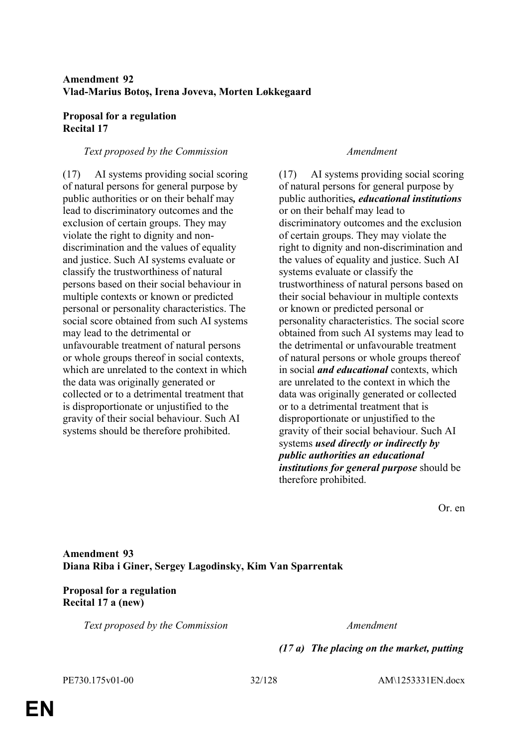### **Amendment 92 Vlad-Marius Botoş, Irena Joveva, Morten Løkkegaard**

### **Proposal for a regulation Recital 17**

### *Text proposed by the Commission Amendment*

(17) AI systems providing social scoring of natural persons for general purpose by public authorities or on their behalf may lead to discriminatory outcomes and the exclusion of certain groups. They may violate the right to dignity and nondiscrimination and the values of equality and justice. Such AI systems evaluate or classify the trustworthiness of natural persons based on their social behaviour in multiple contexts or known or predicted personal or personality characteristics. The social score obtained from such AI systems may lead to the detrimental or unfavourable treatment of natural persons or whole groups thereof in social contexts, which are unrelated to the context in which the data was originally generated or collected or to a detrimental treatment that is disproportionate or unjustified to the gravity of their social behaviour. Such AI systems should be therefore prohibited.

(17) AI systems providing social scoring of natural persons for general purpose by public authorities*, educational institutions* or on their behalf may lead to discriminatory outcomes and the exclusion of certain groups. They may violate the right to dignity and non-discrimination and the values of equality and justice. Such AI systems evaluate or classify the trustworthiness of natural persons based on their social behaviour in multiple contexts or known or predicted personal or personality characteristics. The social score obtained from such AI systems may lead to the detrimental or unfavourable treatment of natural persons or whole groups thereof in social *and educational* contexts, which are unrelated to the context in which the data was originally generated or collected or to a detrimental treatment that is disproportionate or unjustified to the gravity of their social behaviour. Such AI systems *used directly or indirectly by public authorities an educational institutions for general purpose* should be therefore prohibited.

Or. en

**Amendment 93 Diana Riba i Giner, Sergey Lagodinsky, Kim Van Sparrentak**

**Proposal for a regulation Recital 17 a (new)**

*Text proposed by the Commission Amendment*

*(17 a) The placing on the market, putting* 

PE730.175v01-00 32/128 AM\1253331EN.docx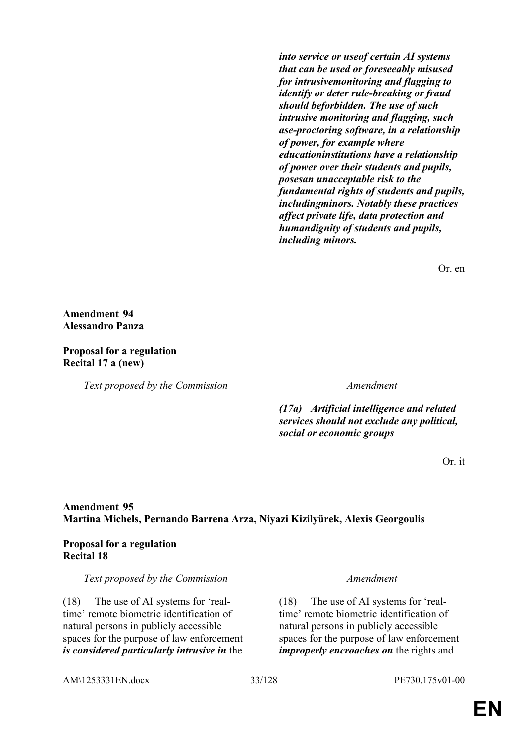*into service or useof certain AI systems that can be used or foreseeably misused for intrusivemonitoring and flagging to identify or deter rule-breaking or fraud should beforbidden. The use of such intrusive monitoring and flagging, such ase-proctoring software, in a relationship of power, for example where educationinstitutions have a relationship of power over their students and pupils, posesan unacceptable risk to the fundamental rights of students and pupils, includingminors. Notably these practices affect private life, data protection and humandignity of students and pupils, including minors.*

Or. en

**Amendment 94 Alessandro Panza**

**Proposal for a regulation Recital 17 a (new)**

*Text proposed by the Commission Amendment*

*(17a) Artificial intelligence and related services should not exclude any political, social or economic groups*

Or. it

### **Amendment 95 Martina Michels, Pernando Barrena Arza, Niyazi Kizilyürek, Alexis Georgoulis**

### **Proposal for a regulation Recital 18**

*Text proposed by the Commission Amendment*

(18) The use of AI systems for 'realtime' remote biometric identification of natural persons in publicly accessible spaces for the purpose of law enforcement *is considered particularly intrusive in* the

(18) The use of AI systems for 'realtime' remote biometric identification of natural persons in publicly accessible spaces for the purpose of law enforcement *improperly encroaches on* the rights and

AM\1253331EN.docx 33/128 PE730.175v01-00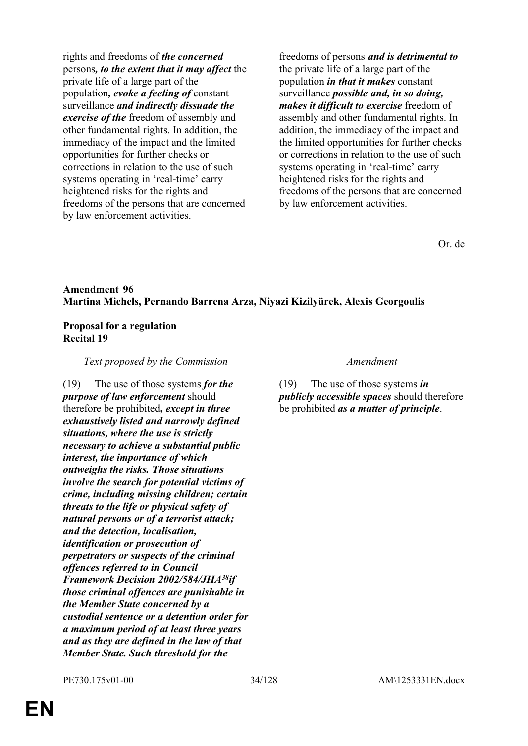rights and freedoms of *the concerned* persons*, to the extent that it may affect* the private life of a large part of the population*, evoke a feeling of* constant surveillance *and indirectly dissuade the exercise of the* freedom of assembly and other fundamental rights. In addition, the immediacy of the impact and the limited opportunities for further checks or corrections in relation to the use of such systems operating in 'real-time' carry heightened risks for the rights and freedoms of the persons that are concerned by law enforcement activities.

freedoms of persons *and is detrimental to* the private life of a large part of the population *in that it makes* constant surveillance *possible and, in so doing, makes it difficult to exercise* freedom of assembly and other fundamental rights. In addition, the immediacy of the impact and the limited opportunities for further checks or corrections in relation to the use of such systems operating in 'real-time' carry heightened risks for the rights and freedoms of the persons that are concerned by law enforcement activities.

Or. de

### **Amendment 96 Martina Michels, Pernando Barrena Arza, Niyazi Kizilyürek, Alexis Georgoulis**

### **Proposal for a regulation Recital 19**

*Text proposed by the Commission Amendment*

(19) The use of those systems *for the purpose of law enforcement* should therefore be prohibited*, except in three exhaustively listed and narrowly defined situations, where the use is strictly necessary to achieve a substantial public interest, the importance of which outweighs the risks. Those situations involve the search for potential victims of crime, including missing children; certain threats to the life or physical safety of natural persons or of a terrorist attack; and the detection, localisation, identification or prosecution of perpetrators or suspects of the criminal offences referred to in Council Framework Decision 2002/584/JHA<sup>38</sup>if those criminal offences are punishable in the Member State concerned by a custodial sentence or a detention order for a maximum period of at least three years and as they are defined in the law of that Member State. Such threshold for the* 

(19) The use of those systems *in publicly accessible spaces* should therefore be prohibited *as a matter of principle*.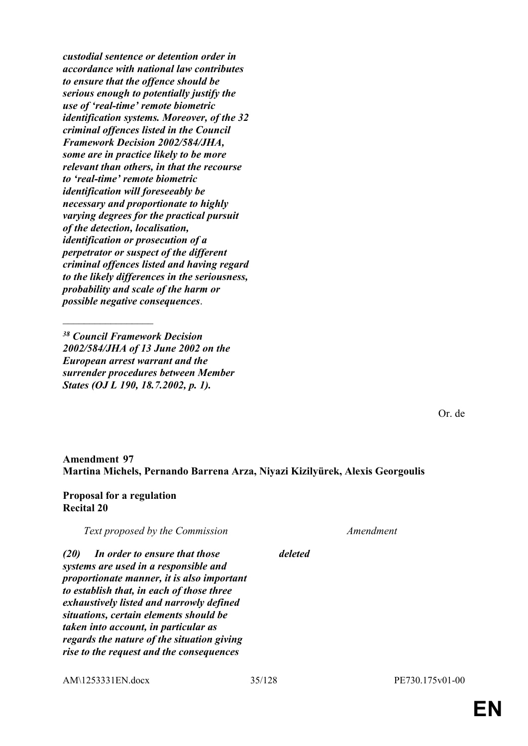*custodial sentence or detention order in accordance with national law contributes to ensure that the offence should be serious enough to potentially justify the use of 'real-time' remote biometric identification systems. Moreover, of the 32 criminal offences listed in the Council Framework Decision 2002/584/JHA, some are in practice likely to be more relevant than others, in that the recourse to 'real-time' remote biometric identification will foreseeably be necessary and proportionate to highly varying degrees for the practical pursuit of the detection, localisation, identification or prosecution of a perpetrator or suspect of the different criminal offences listed and having regard to the likely differences in the seriousness, probability and scale of the harm or possible negative consequences*.

*<sup>38</sup> Council Framework Decision 2002/584/JHA of 13 June 2002 on the European arrest warrant and the surrender procedures between Member States (OJ L 190, 18.7.2002, p. 1).*

 $\frac{1}{2}$ 

Or. de

### **Amendment 97 Martina Michels, Pernando Barrena Arza, Niyazi Kizilyürek, Alexis Georgoulis**

### **Proposal for a regulation Recital 20**

*Text proposed by the Commission Amendment*

*(20) In order to ensure that those systems are used in a responsible and proportionate manner, it is also important to establish that, in each of those three exhaustively listed and narrowly defined situations, certain elements should be taken into account, in particular as regards the nature of the situation giving rise to the request and the consequences* 

AM\1253331EN.docx 35/128 PE730.175v01-00

*deleted*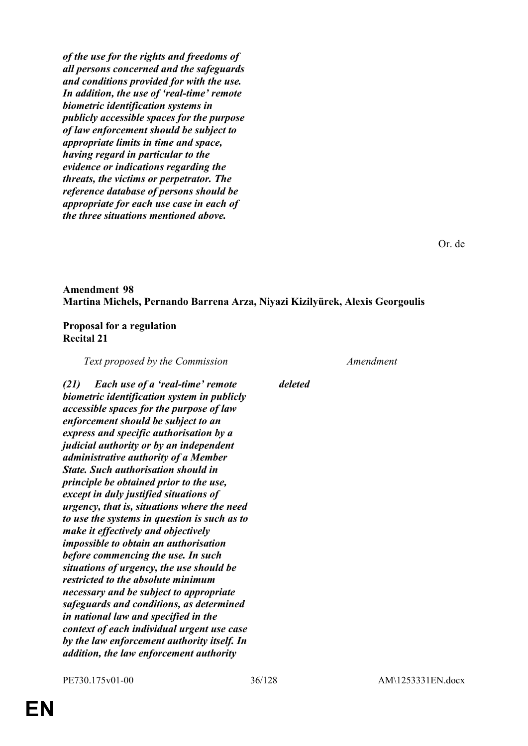*of the use for the rights and freedoms of all persons concerned and the safeguards and conditions provided for with the use. In addition, the use of 'real-time' remote biometric identification systems in publicly accessible spaces for the purpose of law enforcement should be subject to appropriate limits in time and space, having regard in particular to the evidence or indications regarding the threats, the victims or perpetrator. The reference database of persons should be appropriate for each use case in each of the three situations mentioned above.*

Or. de

### **Amendment 98 Martina Michels, Pernando Barrena Arza, Niyazi Kizilyürek, Alexis Georgoulis**

### **Proposal for a regulation Recital 21**

*Text proposed by the Commission Amendment*

*(21) Each use of a 'real-time' remote biometric identification system in publicly accessible spaces for the purpose of law enforcement should be subject to an express and specific authorisation by a judicial authority or by an independent administrative authority of a Member State. Such authorisation should in principle be obtained prior to the use, except in duly justified situations of urgency, that is, situations where the need to use the systems in question is such as to make it effectively and objectively impossible to obtain an authorisation before commencing the use. In such situations of urgency, the use should be restricted to the absolute minimum necessary and be subject to appropriate safeguards and conditions, as determined in national law and specified in the context of each individual urgent use case by the law enforcement authority itself. In addition, the law enforcement authority* 

*deleted*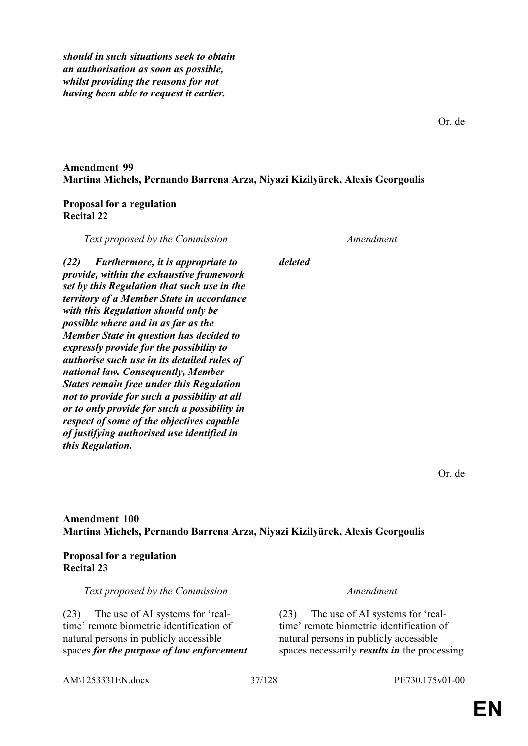*should in such situations seek to obtain an authorisation as soon as possible, whilst providing the reasons for not having been able to request it earlier.*

# **Amendment 99 Martina Michels, Pernando Barrena Arza, Niyazi Kizilyürek, Alexis Georgoulis**

# **Proposal for a regulation Recital 22**

*Text proposed by the Commission Amendment (22) Furthermore, it is appropriate to provide, within the exhaustive framework set by this Regulation that such use in the territory of a Member State in accordance with this Regulation should only be possible where and in as far as the Member State in question has decided to expressly provide for the possibility to authorise such use in its detailed rules of national law. Consequently, Member States remain free under this Regulation not to provide for such a possibility at all or to only provide for such a possibility in respect of some of the objectives capable of justifying authorised use identified in this Regulation. deleted*

Or. de

# **Amendment 100 Martina Michels, Pernando Barrena Arza, Niyazi Kizilyürek, Alexis Georgoulis**

## **Proposal for a regulation Recital 23**

*Text proposed by the Commission Amendment*

(23) The use of AI systems for 'realtime' remote biometric identification of natural persons in publicly accessible spaces *for the purpose of law enforcement*

(23) The use of AI systems for 'realtime' remote biometric identification of natural persons in publicly accessible spaces necessarily *results in* the processing

AM\1253331EN.docx 37/128 PE730.175v01-00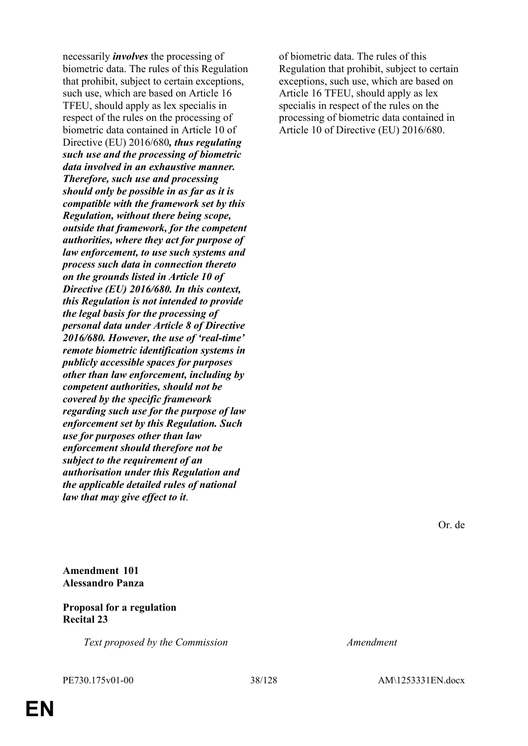necessarily *involves* the processing of biometric data. The rules of this Regulation that prohibit, subject to certain exceptions, such use, which are based on Article 16 TFEU, should apply as lex specialis in respect of the rules on the processing of biometric data contained in Article 10 of Directive (EU) 2016/680*, thus regulating such use and the processing of biometric data involved in an exhaustive manner. Therefore, such use and processing should only be possible in as far as it is compatible with the framework set by this Regulation, without there being scope, outside that framework, for the competent authorities, where they act for purpose of law enforcement, to use such systems and process such data in connection thereto on the grounds listed in Article 10 of Directive (EU) 2016/680. In this context, this Regulation is not intended to provide the legal basis for the processing of personal data under Article 8 of Directive 2016/680. However, the use of 'real-time' remote biometric identification systems in publicly accessible spaces for purposes other than law enforcement, including by competent authorities, should not be covered by the specific framework regarding such use for the purpose of law enforcement set by this Regulation. Such use for purposes other than law enforcement should therefore not be subject to the requirement of an authorisation under this Regulation and the applicable detailed rules of national law that may give effect to it*.

of biometric data. The rules of this Regulation that prohibit, subject to certain exceptions, such use, which are based on Article 16 TFEU, should apply as lex specialis in respect of the rules on the processing of biometric data contained in Article 10 of Directive (EU) 2016/680.

Or. de

*Text proposed by the Commission Amendment*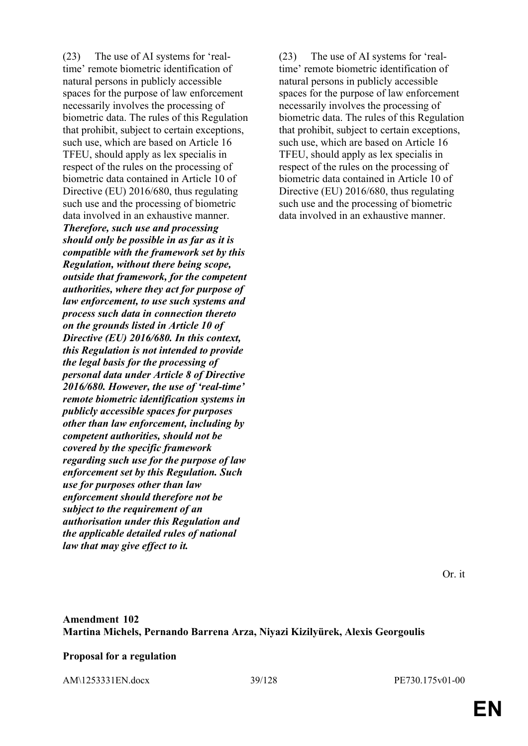(23) The use of AI systems for 'realtime' remote biometric identification of natural persons in publicly accessible spaces for the purpose of law enforcement necessarily involves the processing of biometric data. The rules of this Regulation that prohibit, subject to certain exceptions, such use, which are based on Article 16 TFEU, should apply as lex specialis in respect of the rules on the processing of biometric data contained in Article 10 of Directive (EU) 2016/680, thus regulating such use and the processing of biometric data involved in an exhaustive manner. *Therefore, such use and processing should only be possible in as far as it is compatible with the framework set by this Regulation, without there being scope, outside that framework, for the competent authorities, where they act for purpose of law enforcement, to use such systems and process such data in connection thereto on the grounds listed in Article 10 of Directive (EU) 2016/680. In this context, this Regulation is not intended to provide the legal basis for the processing of personal data under Article 8 of Directive 2016/680. However, the use of 'real-time' remote biometric identification systems in publicly accessible spaces for purposes other than law enforcement, including by competent authorities, should not be covered by the specific framework regarding such use for the purpose of law enforcement set by this Regulation. Such use for purposes other than law enforcement should therefore not be subject to the requirement of an authorisation under this Regulation and the applicable detailed rules of national law that may give effect to it.*

(23) The use of AI systems for 'realtime' remote biometric identification of natural persons in publicly accessible spaces for the purpose of law enforcement necessarily involves the processing of biometric data. The rules of this Regulation that prohibit, subject to certain exceptions, such use, which are based on Article 16 TFEU, should apply as lex specialis in respect of the rules on the processing of biometric data contained in Article 10 of Directive (EU) 2016/680, thus regulating such use and the processing of biometric data involved in an exhaustive manner.

Or. it

# **Amendment 102 Martina Michels, Pernando Barrena Arza, Niyazi Kizilyürek, Alexis Georgoulis**

## **Proposal for a regulation**

AM\1253331EN.docx 39/128 PE730.175v01-00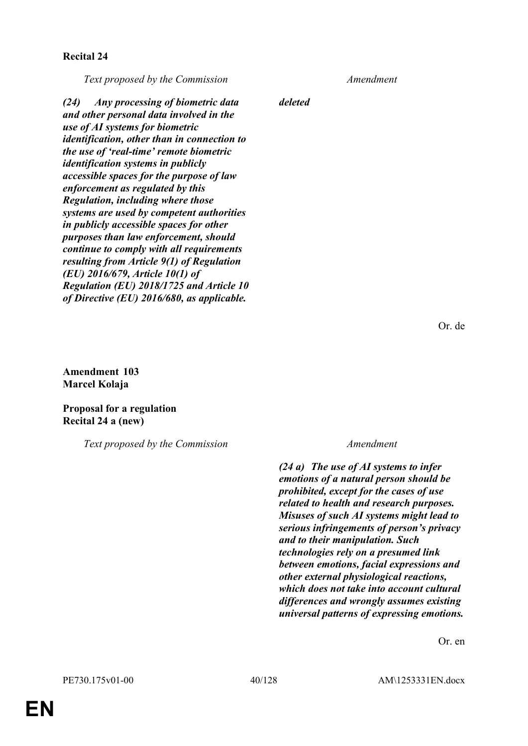## **Recital 24**

*Text proposed by the Commission Amendment*

*(24) Any processing of biometric data and other personal data involved in the use of AI systems for biometric identification, other than in connection to the use of 'real-time' remote biometric identification systems in publicly accessible spaces for the purpose of law enforcement as regulated by this Regulation, including where those systems are used by competent authorities in publicly accessible spaces for other purposes than law enforcement, should continue to comply with all requirements resulting from Article 9(1) of Regulation (EU) 2016/679, Article 10(1) of Regulation (EU) 2018/1725 and Article 10 of Directive (EU) 2016/680, as applicable.*

*deleted*

Or. de

**Amendment 103 Marcel Kolaja**

**Proposal for a regulation Recital 24 a (new)**

*Text proposed by the Commission Amendment*

*(24 a) The use of AI systems to infer emotions of a natural person should be prohibited, except for the cases of use related to health and research purposes. Misuses of such AI systems might lead to serious infringements of person's privacy and to their manipulation. Such technologies rely on a presumed link between emotions, facial expressions and other external physiological reactions, which does not take into account cultural differences and wrongly assumes existing universal patterns of expressing emotions.*

Or. en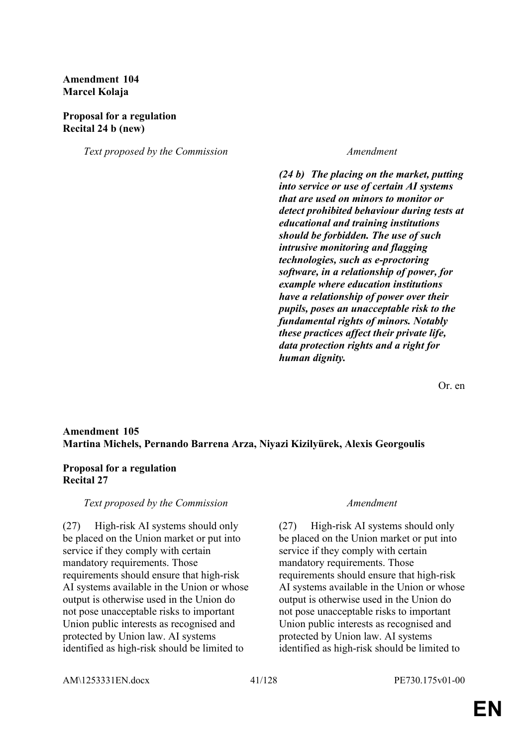# **Amendment 104 Marcel Kolaja**

# **Proposal for a regulation Recital 24 b (new)**

*Text proposed by the Commission Amendment*

*(24 b) The placing on the market, putting into service or use of certain AI systems that are used on minors to monitor or detect prohibited behaviour during tests at educational and training institutions should be forbidden. The use of such intrusive monitoring and flagging technologies, such as e-proctoring software, in a relationship of power, for example where education institutions have a relationship of power over their pupils, poses an unacceptable risk to the fundamental rights of minors. Notably these practices affect their private life, data protection rights and a right for human dignity.*

Or. en

## **Amendment 105 Martina Michels, Pernando Barrena Arza, Niyazi Kizilyürek, Alexis Georgoulis**

## **Proposal for a regulation Recital 27**

## *Text proposed by the Commission Amendment*

(27) High-risk AI systems should only be placed on the Union market or put into service if they comply with certain mandatory requirements. Those requirements should ensure that high-risk AI systems available in the Union or whose output is otherwise used in the Union do not pose unacceptable risks to important Union public interests as recognised and protected by Union law. AI systems identified as high-risk should be limited to

(27) High-risk AI systems should only be placed on the Union market or put into service if they comply with certain mandatory requirements. Those requirements should ensure that high-risk AI systems available in the Union or whose output is otherwise used in the Union do not pose unacceptable risks to important Union public interests as recognised and protected by Union law. AI systems identified as high-risk should be limited to

AM\1253331EN.docx 41/128 PE730.175v01-00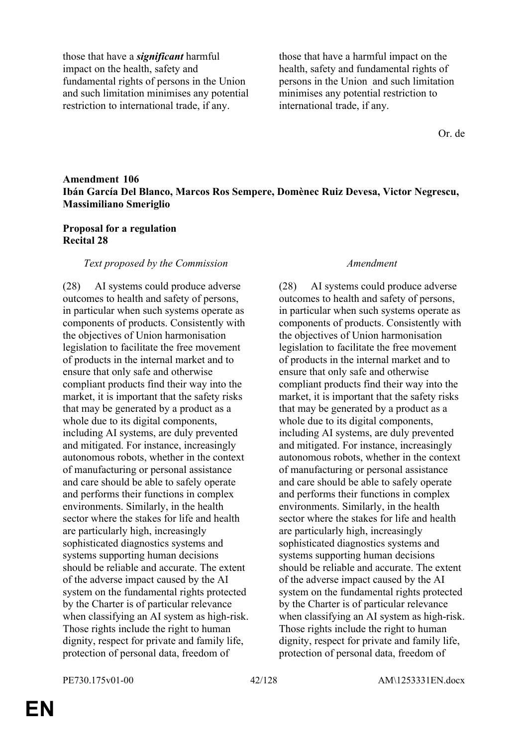those that have a *significant* harmful impact on the health, safety and fundamental rights of persons in the Union and such limitation minimises any potential restriction to international trade, if any.

those that have a harmful impact on the health, safety and fundamental rights of persons in the Union and such limitation minimises any potential restriction to international trade, if any.

Or. de

# **Amendment 106 Ibán García Del Blanco, Marcos Ros Sempere, Domènec Ruiz Devesa, Victor Negrescu, Massimiliano Smeriglio**

## **Proposal for a regulation Recital 28**

### *Text proposed by the Commission Amendment*

(28) AI systems could produce adverse outcomes to health and safety of persons, in particular when such systems operate as components of products. Consistently with the objectives of Union harmonisation legislation to facilitate the free movement of products in the internal market and to ensure that only safe and otherwise compliant products find their way into the market, it is important that the safety risks that may be generated by a product as a whole due to its digital components, including AI systems, are duly prevented and mitigated. For instance, increasingly autonomous robots, whether in the context of manufacturing or personal assistance and care should be able to safely operate and performs their functions in complex environments. Similarly, in the health sector where the stakes for life and health are particularly high, increasingly sophisticated diagnostics systems and systems supporting human decisions should be reliable and accurate. The extent of the adverse impact caused by the AI system on the fundamental rights protected by the Charter is of particular relevance when classifying an AI system as high-risk. Those rights include the right to human dignity, respect for private and family life, protection of personal data, freedom of

(28) AI systems could produce adverse outcomes to health and safety of persons, in particular when such systems operate as components of products. Consistently with the objectives of Union harmonisation legislation to facilitate the free movement of products in the internal market and to ensure that only safe and otherwise compliant products find their way into the market, it is important that the safety risks that may be generated by a product as a whole due to its digital components, including AI systems, are duly prevented and mitigated. For instance, increasingly autonomous robots, whether in the context of manufacturing or personal assistance and care should be able to safely operate and performs their functions in complex environments. Similarly, in the health sector where the stakes for life and health are particularly high, increasingly sophisticated diagnostics systems and systems supporting human decisions should be reliable and accurate. The extent of the adverse impact caused by the AI system on the fundamental rights protected by the Charter is of particular relevance when classifying an AI system as high-risk. Those rights include the right to human dignity, respect for private and family life, protection of personal data, freedom of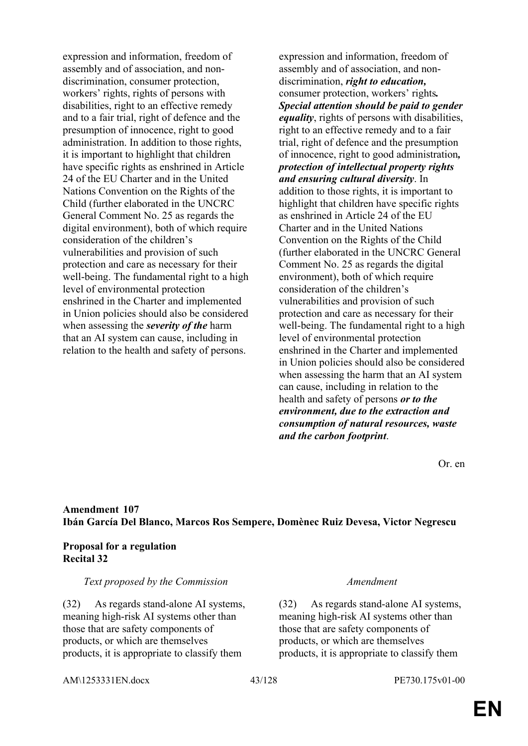expression and information, freedom of assembly and of association, and nondiscrimination, consumer protection, workers' rights, rights of persons with disabilities, right to an effective remedy and to a fair trial, right of defence and the presumption of innocence, right to good administration. In addition to those rights, it is important to highlight that children have specific rights as enshrined in Article 24 of the EU Charter and in the United Nations Convention on the Rights of the Child (further elaborated in the UNCRC General Comment No. 25 as regards the digital environment), both of which require consideration of the children's vulnerabilities and provision of such protection and care as necessary for their well-being. The fundamental right to a high level of environmental protection enshrined in the Charter and implemented in Union policies should also be considered when assessing the *severity of the* harm that an AI system can cause, including in relation to the health and safety of persons.

expression and information, freedom of assembly and of association, and nondiscrimination, *right to education,* consumer protection, workers' rights*. Special attention should be paid to gender equality*, rights of persons with disabilities, right to an effective remedy and to a fair trial, right of defence and the presumption of innocence, right to good administration*, protection of intellectual property rights and ensuring cultural diversity*. In addition to those rights, it is important to highlight that children have specific rights as enshrined in Article 24 of the EU Charter and in the United Nations Convention on the Rights of the Child (further elaborated in the UNCRC General Comment No. 25 as regards the digital environment), both of which require consideration of the children's vulnerabilities and provision of such protection and care as necessary for their well-being. The fundamental right to a high level of environmental protection enshrined in the Charter and implemented in Union policies should also be considered when assessing the harm that an AI system can cause, including in relation to the health and safety of persons *or to the environment, due to the extraction and consumption of natural resources, waste and the carbon footprint*.

Or. en

# **Amendment 107 Ibán García Del Blanco, Marcos Ros Sempere, Domènec Ruiz Devesa, Victor Negrescu**

# **Proposal for a regulation Recital 32**

# *Text proposed by the Commission Amendment*

(32) As regards stand-alone AI systems, meaning high-risk AI systems other than those that are safety components of products, or which are themselves products, it is appropriate to classify them

(32) As regards stand-alone AI systems, meaning high-risk AI systems other than those that are safety components of products, or which are themselves products, it is appropriate to classify them

AM\1253331EN.docx 43/128 PE730.175v01-00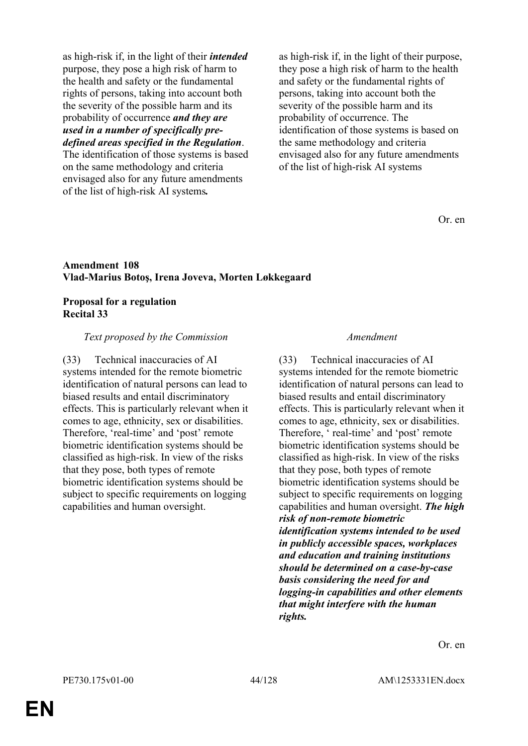as high-risk if, in the light of their *intended* purpose, they pose a high risk of harm to the health and safety or the fundamental rights of persons, taking into account both the severity of the possible harm and its probability of occurrence *and they are used in a number of specifically predefined areas specified in the Regulation*.

The identification of those systems is based on the same methodology and criteria envisaged also for any future amendments of the list of high-risk AI systems*.*

as high-risk if, in the light of their purpose, they pose a high risk of harm to the health and safety or the fundamental rights of persons, taking into account both the severity of the possible harm and its probability of occurrence. The identification of those systems is based on the same methodology and criteria envisaged also for any future amendments of the list of high-risk AI systems

Or. en

### **Amendment 108 Vlad-Marius Botoş, Irena Joveva, Morten Løkkegaard**

### **Proposal for a regulation Recital 33**

## *Text proposed by the Commission Amendment*

(33) Technical inaccuracies of AI systems intended for the remote biometric identification of natural persons can lead to biased results and entail discriminatory effects. This is particularly relevant when it comes to age, ethnicity, sex or disabilities. Therefore, 'real-time' and 'post' remote biometric identification systems should be classified as high-risk. In view of the risks that they pose, both types of remote biometric identification systems should be subject to specific requirements on logging capabilities and human oversight.

(33) Technical inaccuracies of AI systems intended for the remote biometric identification of natural persons can lead to biased results and entail discriminatory effects. This is particularly relevant when it comes to age, ethnicity, sex or disabilities. Therefore, ' real-time' and 'post' remote biometric identification systems should be classified as high-risk. In view of the risks that they pose, both types of remote biometric identification systems should be subject to specific requirements on logging capabilities and human oversight. *The high risk of non-remote biometric identification systems intended to be used in publicly accessible spaces, workplaces and education and training institutions should be determined on a case-by-case basis considering the need for and logging-in capabilities and other elements that might interfere with the human rights.*

Or. en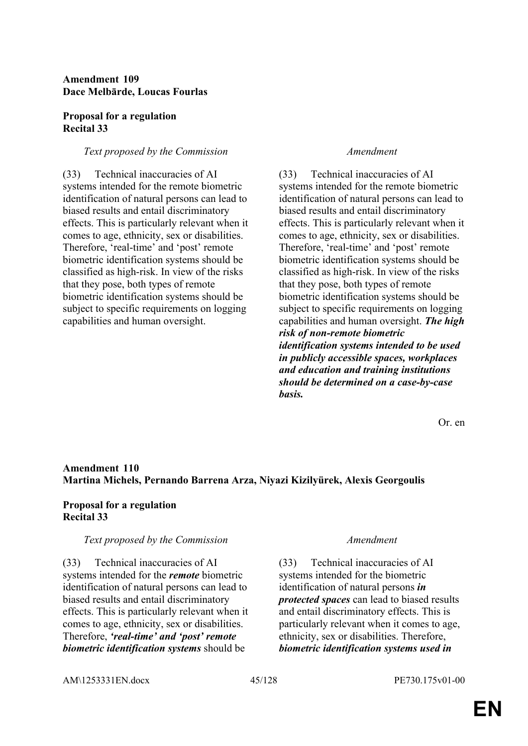# **Amendment 109 Dace Melbārde, Loucas Fourlas**

### **Proposal for a regulation Recital 33**

## *Text proposed by the Commission Amendment*

(33) Technical inaccuracies of AI systems intended for the remote biometric identification of natural persons can lead to biased results and entail discriminatory effects. This is particularly relevant when it comes to age, ethnicity, sex or disabilities. Therefore, 'real-time' and 'post' remote biometric identification systems should be classified as high-risk. In view of the risks that they pose, both types of remote biometric identification systems should be subject to specific requirements on logging capabilities and human oversight.

(33) Technical inaccuracies of AI systems intended for the remote biometric identification of natural persons can lead to biased results and entail discriminatory effects. This is particularly relevant when it comes to age, ethnicity, sex or disabilities. Therefore, 'real-time' and 'post' remote biometric identification systems should be classified as high-risk. In view of the risks that they pose, both types of remote biometric identification systems should be subject to specific requirements on logging capabilities and human oversight. *The high risk of non-remote biometric identification systems intended to be used in publicly accessible spaces, workplaces and education and training institutions should be determined on a case-by-case basis.*

Or. en

# **Amendment 110 Martina Michels, Pernando Barrena Arza, Niyazi Kizilyürek, Alexis Georgoulis**

# **Proposal for a regulation Recital 33**

## *Text proposed by the Commission Amendment*

(33) Technical inaccuracies of AI systems intended for the *remote* biometric identification of natural persons can lead to biased results and entail discriminatory effects. This is particularly relevant when it comes to age, ethnicity, sex or disabilities. Therefore, *'real-time' and 'post' remote biometric identification systems* should be

(33) Technical inaccuracies of AI systems intended for the biometric identification of natural persons *in protected spaces* can lead to biased results and entail discriminatory effects. This is particularly relevant when it comes to age, ethnicity, sex or disabilities. Therefore, *biometric identification systems used in* 

AM\1253331EN.docx 45/128 PE730.175v01-00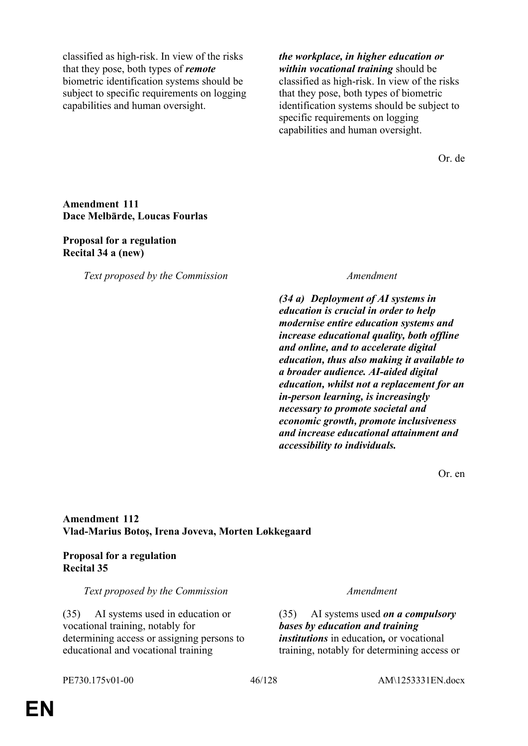classified as high-risk. In view of the risks that they pose, both types of *remote* biometric identification systems should be subject to specific requirements on logging capabilities and human oversight.

*the workplace, in higher education or within vocational training* should be classified as high-risk. In view of the risks that they pose, both types of biometric identification systems should be subject to specific requirements on logging capabilities and human oversight.

Or. de

## **Amendment 111 Dace Melbārde, Loucas Fourlas**

### **Proposal for a regulation Recital 34 a (new)**

*Text proposed by the Commission Amendment*

*(34 a) Deployment of AI systems in education is crucial in order to help modernise entire education systems and increase educational quality, both offline and online, and to accelerate digital education, thus also making it available to a broader audience. AI-aided digital education, whilst not a replacement for an in-person learning, is increasingly necessary to promote societal and economic growth, promote inclusiveness and increase educational attainment and accessibility to individuals.*

Or. en

# **Amendment 112 Vlad-Marius Botoş, Irena Joveva, Morten Løkkegaard**

# **Proposal for a regulation Recital 35**

## *Text proposed by the Commission Amendment*

(35) AI systems used in education or vocational training, notably for determining access or assigning persons to educational and vocational training

(35) AI systems used *on a compulsory bases by education and training institutions* in education*,* or vocational training, notably for determining access or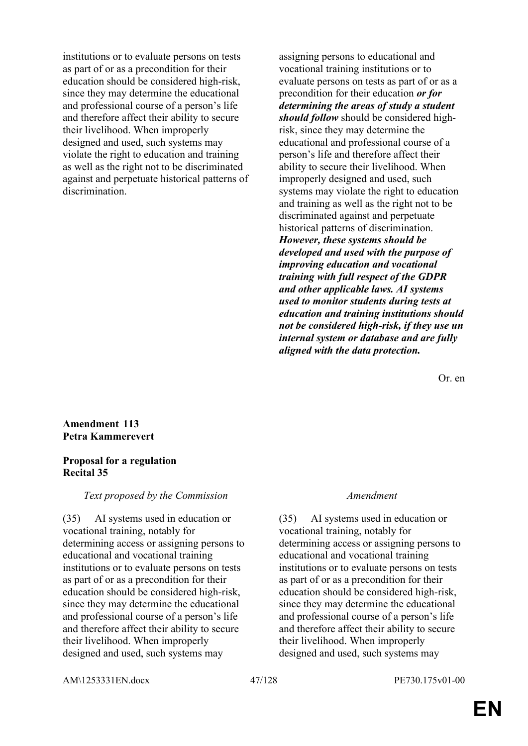institutions or to evaluate persons on tests as part of or as a precondition for their education should be considered high-risk, since they may determine the educational and professional course of a person's life and therefore affect their ability to secure their livelihood. When improperly designed and used, such systems may violate the right to education and training as well as the right not to be discriminated against and perpetuate historical patterns of discrimination.

assigning persons to educational and vocational training institutions or to evaluate persons on tests as part of or as a precondition for their education *or for determining the areas of study a student should follow* should be considered highrisk, since they may determine the educational and professional course of a person's life and therefore affect their ability to secure their livelihood. When improperly designed and used, such systems may violate the right to education and training as well as the right not to be discriminated against and perpetuate historical patterns of discrimination. *However, these systems should be developed and used with the purpose of improving education and vocational training with full respect of the GDPR and other applicable laws. AI systems used to monitor students during tests at education and training institutions should not be considered high-risk, if they use un internal system or database and are fully aligned with the data protection.*

Or. en

## **Amendment 113 Petra Kammerevert**

## **Proposal for a regulation Recital 35**

*Text proposed by the Commission Amendment*

(35) AI systems used in education or vocational training, notably for determining access or assigning persons to educational and vocational training institutions or to evaluate persons on tests as part of or as a precondition for their education should be considered high-risk, since they may determine the educational and professional course of a person's life and therefore affect their ability to secure their livelihood. When improperly designed and used, such systems may

(35) AI systems used in education or vocational training, notably for determining access or assigning persons to educational and vocational training institutions or to evaluate persons on tests as part of or as a precondition for their education should be considered high-risk, since they may determine the educational and professional course of a person's life and therefore affect their ability to secure their livelihood. When improperly designed and used, such systems may

AM\1253331EN.docx 47/128 PE730.175v01-00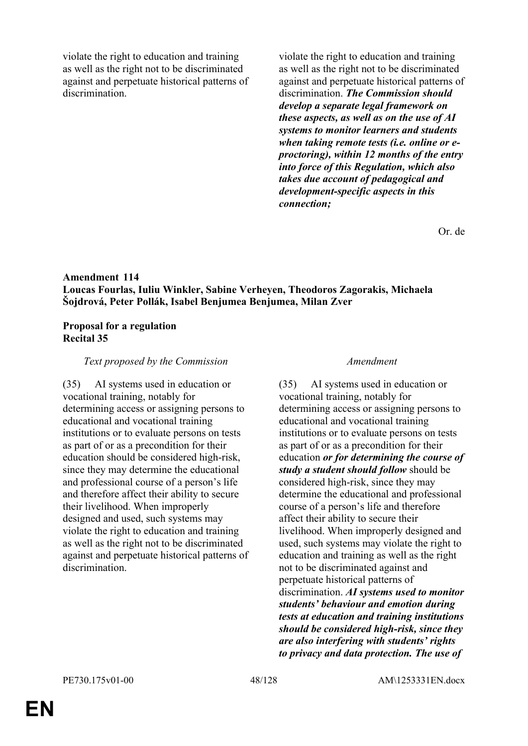violate the right to education and training as well as the right not to be discriminated against and perpetuate historical patterns of discrimination.

violate the right to education and training as well as the right not to be discriminated against and perpetuate historical patterns of discrimination. *The Commission should develop a separate legal framework on these aspects, as well as on the use of AI systems to monitor learners and students when taking remote tests (i.e. online or eproctoring), within 12 months of the entry into force of this Regulation, which also takes due account of pedagogical and development-specific aspects in this connection;*

Or. de

# **Amendment 114 Loucas Fourlas, Iuliu Winkler, Sabine Verheyen, Theodoros Zagorakis, Michaela Šojdrová, Peter Pollák, Isabel Benjumea Benjumea, Milan Zver**

## **Proposal for a regulation Recital 35**

### *Text proposed by the Commission Amendment*

(35) AI systems used in education or vocational training, notably for determining access or assigning persons to educational and vocational training institutions or to evaluate persons on tests as part of or as a precondition for their education should be considered high-risk, since they may determine the educational and professional course of a person's life and therefore affect their ability to secure their livelihood. When improperly designed and used, such systems may violate the right to education and training as well as the right not to be discriminated against and perpetuate historical patterns of discrimination.

(35) AI systems used in education or vocational training, notably for determining access or assigning persons to educational and vocational training institutions or to evaluate persons on tests as part of or as a precondition for their education *or for determining the course of study a student should follow* should be considered high-risk, since they may determine the educational and professional course of a person's life and therefore affect their ability to secure their livelihood. When improperly designed and used, such systems may violate the right to education and training as well as the right not to be discriminated against and perpetuate historical patterns of discrimination. *AI systems used to monitor students' behaviour and emotion during tests at education and training institutions should be considered high-risk, since they are also interfering with students' rights to privacy and data protection. The use of*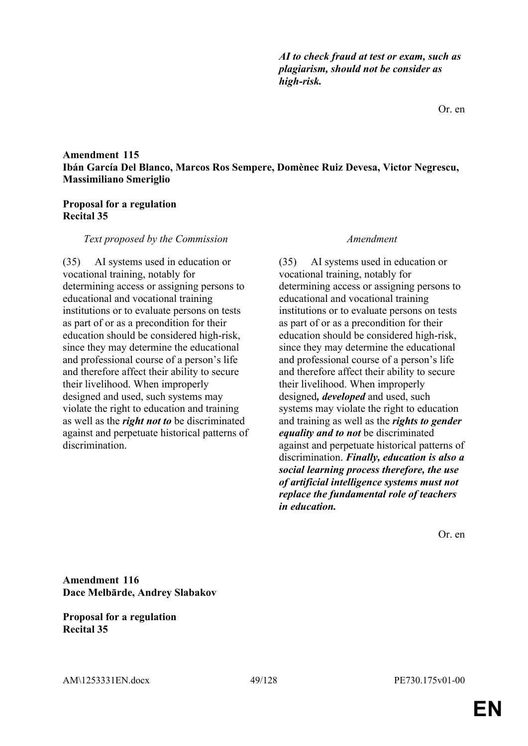*AI to check fraud at test or exam, such as plagiarism, should not be consider as high-risk.*

## **Amendment 115 Ibán García Del Blanco, Marcos Ros Sempere, Domènec Ruiz Devesa, Victor Negrescu, Massimiliano Smeriglio**

## **Proposal for a regulation Recital 35**

### *Text proposed by the Commission Amendment*

(35) AI systems used in education or vocational training, notably for determining access or assigning persons to educational and vocational training institutions or to evaluate persons on tests as part of or as a precondition for their education should be considered high-risk, since they may determine the educational and professional course of a person's life and therefore affect their ability to secure their livelihood. When improperly designed and used, such systems may violate the right to education and training as well as the *right not to* be discriminated against and perpetuate historical patterns of discrimination.

(35) AI systems used in education or vocational training, notably for determining access or assigning persons to educational and vocational training institutions or to evaluate persons on tests as part of or as a precondition for their education should be considered high-risk, since they may determine the educational and professional course of a person's life and therefore affect their ability to secure their livelihood. When improperly designed*, developed* and used, such systems may violate the right to education and training as well as the *rights to gender equality and to not* be discriminated against and perpetuate historical patterns of discrimination. *Finally, education is also a social learning process therefore, the use of artificial intelligence systems must not replace the fundamental role of teachers in education.*

Or. en

**Amendment 116 Dace Melbārde, Andrey Slabakov**

**Proposal for a regulation Recital 35**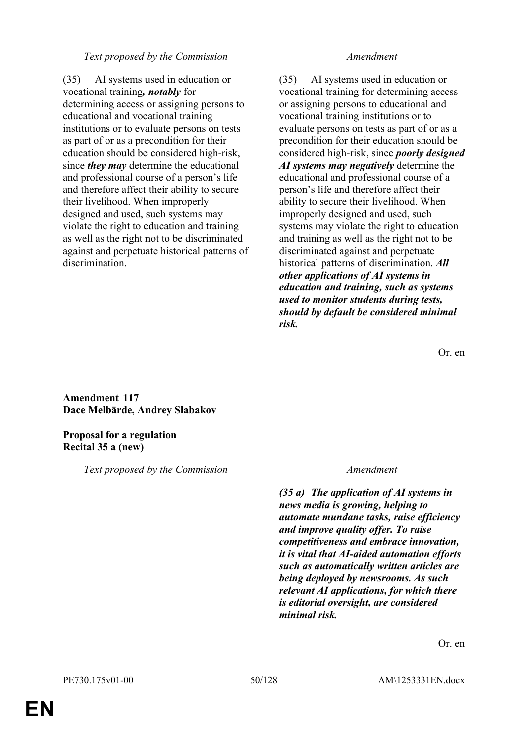## *Text proposed by the Commission Amendment*

(35) AI systems used in education or vocational training*, notably* for determining access or assigning persons to educational and vocational training institutions or to evaluate persons on tests as part of or as a precondition for their education should be considered high-risk, since *they may* determine the educational and professional course of a person's life and therefore affect their ability to secure their livelihood. When improperly designed and used, such systems may violate the right to education and training as well as the right not to be discriminated against and perpetuate historical patterns of discrimination.

(35) AI systems used in education or vocational training for determining access or assigning persons to educational and vocational training institutions or to evaluate persons on tests as part of or as a precondition for their education should be considered high-risk, since *poorly designed AI systems may negatively* determine the educational and professional course of a person's life and therefore affect their ability to secure their livelihood. When improperly designed and used, such systems may violate the right to education and training as well as the right not to be discriminated against and perpetuate historical patterns of discrimination. *All other applications of AI systems in education and training, such as systems used to monitor students during tests, should by default be considered minimal risk.*

Or. en

**Amendment 117 Dace Melbārde, Andrey Slabakov**

# **Proposal for a regulation Recital 35 a (new)**

*Text proposed by the Commission Amendment*

*(35 a) The application of AI systems in news media is growing, helping to automate mundane tasks, raise efficiency and improve quality offer. To raise competitiveness and embrace innovation, it is vital that AI-aided automation efforts such as automatically written articles are being deployed by newsrooms. As such relevant AI applications, for which there is editorial oversight, are considered minimal risk.*

Or. en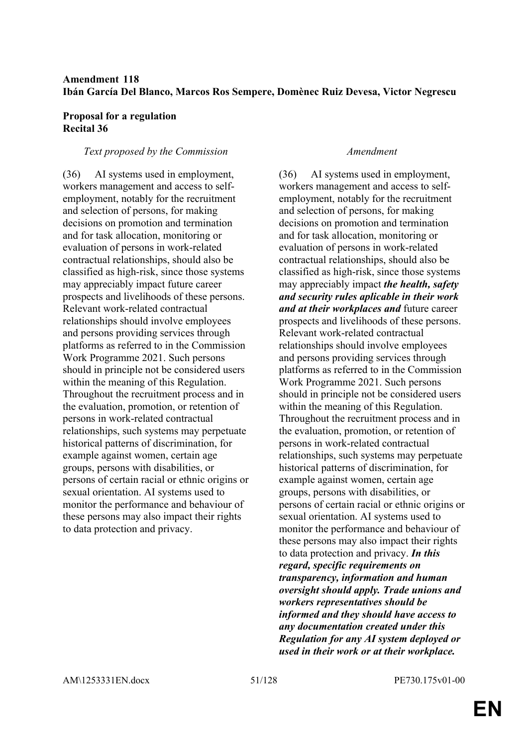# **Amendment 118 Ibán García Del Blanco, Marcos Ros Sempere, Domènec Ruiz Devesa, Victor Negrescu**

## **Proposal for a regulation Recital 36**

## *Text proposed by the Commission Amendment*

(36) AI systems used in employment, workers management and access to selfemployment, notably for the recruitment and selection of persons, for making decisions on promotion and termination and for task allocation, monitoring or evaluation of persons in work-related contractual relationships, should also be classified as high-risk, since those systems may appreciably impact future career prospects and livelihoods of these persons. Relevant work-related contractual relationships should involve employees and persons providing services through platforms as referred to in the Commission Work Programme 2021. Such persons should in principle not be considered users within the meaning of this Regulation. Throughout the recruitment process and in the evaluation, promotion, or retention of persons in work-related contractual relationships, such systems may perpetuate historical patterns of discrimination, for example against women, certain age groups, persons with disabilities, or persons of certain racial or ethnic origins or sexual orientation. AI systems used to monitor the performance and behaviour of these persons may also impact their rights to data protection and privacy.

(36) AI systems used in employment, workers management and access to selfemployment, notably for the recruitment and selection of persons, for making decisions on promotion and termination and for task allocation, monitoring or evaluation of persons in work-related contractual relationships, should also be classified as high-risk, since those systems may appreciably impact *the health, safety and security rules aplicable in their work and at their workplaces and* future career prospects and livelihoods of these persons. Relevant work-related contractual relationships should involve employees and persons providing services through platforms as referred to in the Commission Work Programme 2021. Such persons should in principle not be considered users within the meaning of this Regulation. Throughout the recruitment process and in the evaluation, promotion, or retention of persons in work-related contractual relationships, such systems may perpetuate historical patterns of discrimination, for example against women, certain age groups, persons with disabilities, or persons of certain racial or ethnic origins or sexual orientation. AI systems used to monitor the performance and behaviour of these persons may also impact their rights to data protection and privacy. *In this regard, specific requirements on transparency, information and human oversight should apply. Trade unions and workers representatives should be informed and they should have access to any documentation created under this Regulation for any AI system deployed or used in their work or at their workplace.*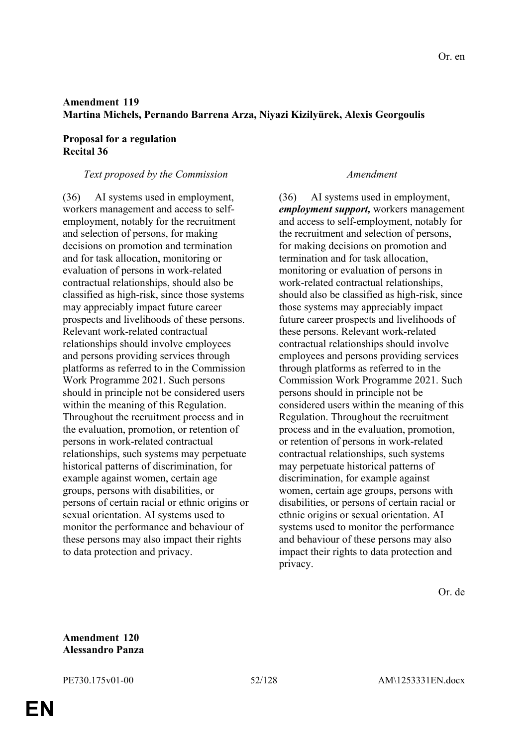# **Amendment 119 Martina Michels, Pernando Barrena Arza, Niyazi Kizilyürek, Alexis Georgoulis**

# **Proposal for a regulation Recital 36**

# *Text proposed by the Commission Amendment*

(36) AI systems used in employment, workers management and access to selfemployment, notably for the recruitment and selection of persons, for making decisions on promotion and termination and for task allocation, monitoring or evaluation of persons in work-related contractual relationships, should also be classified as high-risk, since those systems may appreciably impact future career prospects and livelihoods of these persons. Relevant work-related contractual relationships should involve employees and persons providing services through platforms as referred to in the Commission Work Programme 2021. Such persons should in principle not be considered users within the meaning of this Regulation. Throughout the recruitment process and in the evaluation, promotion, or retention of persons in work-related contractual relationships, such systems may perpetuate historical patterns of discrimination, for example against women, certain age groups, persons with disabilities, or persons of certain racial or ethnic origins or sexual orientation. AI systems used to monitor the performance and behaviour of these persons may also impact their rights to data protection and privacy.

(36) AI systems used in employment, *employment support,* workers management and access to self-employment, notably for the recruitment and selection of persons, for making decisions on promotion and termination and for task allocation, monitoring or evaluation of persons in work-related contractual relationships, should also be classified as high-risk, since those systems may appreciably impact future career prospects and livelihoods of these persons. Relevant work-related contractual relationships should involve employees and persons providing services through platforms as referred to in the Commission Work Programme 2021. Such persons should in principle not be considered users within the meaning of this Regulation. Throughout the recruitment process and in the evaluation, promotion, or retention of persons in work-related contractual relationships, such systems may perpetuate historical patterns of discrimination, for example against women, certain age groups, persons with disabilities, or persons of certain racial or ethnic origins or sexual orientation. AI systems used to monitor the performance and behaviour of these persons may also impact their rights to data protection and privacy.

# **Amendment 120 Alessandro Panza**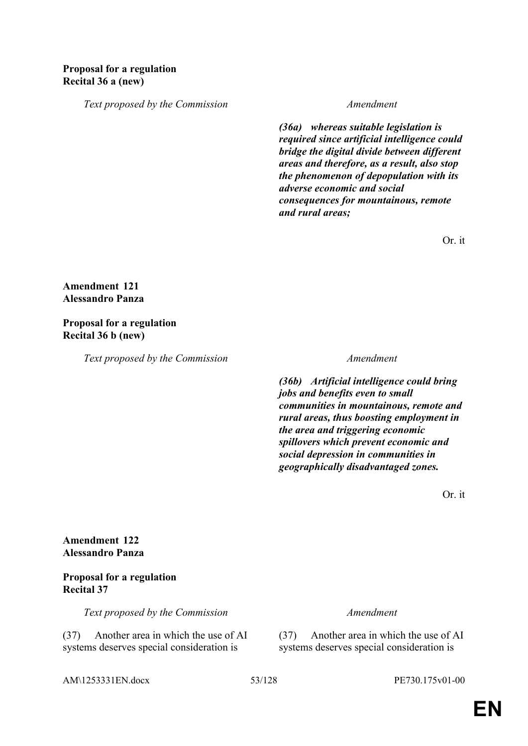# **Proposal for a regulation Recital 36 a (new)**

*Text proposed by the Commission Amendment*

*(36a) whereas suitable legislation is required since artificial intelligence could bridge the digital divide between different areas and therefore, as a result, also stop the phenomenon of depopulation with its adverse economic and social consequences for mountainous, remote and rural areas;*

Or. it

# **Amendment 121 Alessandro Panza**

## **Proposal for a regulation Recital 36 b (new)**

*Text proposed by the Commission Amendment*

*(36b) Artificial intelligence could bring jobs and benefits even to small communities in mountainous, remote and rural areas, thus boosting employment in the area and triggering economic spillovers which prevent economic and social depression in communities in geographically disadvantaged zones.*

Or. it

**Amendment 122 Alessandro Panza**

# **Proposal for a regulation Recital 37**

*Text proposed by the Commission Amendment*

(37) Another area in which the use of AI systems deserves special consideration is

(37) Another area in which the use of AI systems deserves special consideration is

AM\1253331EN.docx 53/128 PE730.175v01-00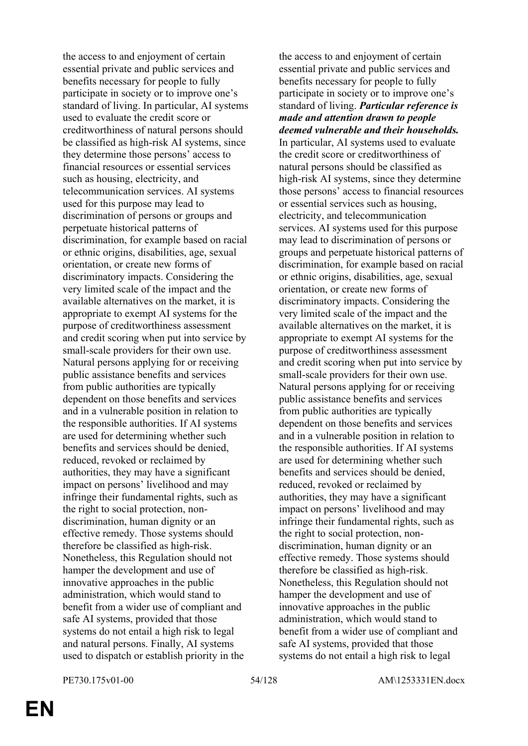the access to and enjoyment of certain essential private and public services and benefits necessary for people to fully participate in society or to improve one's standard of living. In particular, AI systems used to evaluate the credit score or creditworthiness of natural persons should be classified as high-risk AI systems, since they determine those persons' access to financial resources or essential services such as housing, electricity, and telecommunication services. AI systems used for this purpose may lead to discrimination of persons or groups and perpetuate historical patterns of discrimination, for example based on racial or ethnic origins, disabilities, age, sexual orientation, or create new forms of discriminatory impacts. Considering the very limited scale of the impact and the available alternatives on the market, it is appropriate to exempt AI systems for the purpose of creditworthiness assessment and credit scoring when put into service by small-scale providers for their own use. Natural persons applying for or receiving public assistance benefits and services from public authorities are typically dependent on those benefits and services and in a vulnerable position in relation to the responsible authorities. If AI systems are used for determining whether such benefits and services should be denied, reduced, revoked or reclaimed by authorities, they may have a significant impact on persons' livelihood and may infringe their fundamental rights, such as the right to social protection, nondiscrimination, human dignity or an effective remedy. Those systems should therefore be classified as high-risk. Nonetheless, this Regulation should not hamper the development and use of innovative approaches in the public administration, which would stand to benefit from a wider use of compliant and safe AI systems, provided that those systems do not entail a high risk to legal and natural persons. Finally, AI systems used to dispatch or establish priority in the

the access to and enjoyment of certain essential private and public services and benefits necessary for people to fully participate in society or to improve one's standard of living. *Particular reference is made and attention drawn to people deemed vulnerable and their households.* In particular, AI systems used to evaluate the credit score or creditworthiness of natural persons should be classified as high-risk AI systems, since they determine those persons' access to financial resources or essential services such as housing, electricity, and telecommunication services. AI systems used for this purpose may lead to discrimination of persons or groups and perpetuate historical patterns of discrimination, for example based on racial or ethnic origins, disabilities, age, sexual orientation, or create new forms of discriminatory impacts. Considering the very limited scale of the impact and the available alternatives on the market, it is appropriate to exempt AI systems for the purpose of creditworthiness assessment and credit scoring when put into service by small-scale providers for their own use. Natural persons applying for or receiving public assistance benefits and services from public authorities are typically dependent on those benefits and services and in a vulnerable position in relation to the responsible authorities. If AI systems are used for determining whether such benefits and services should be denied, reduced, revoked or reclaimed by authorities, they may have a significant impact on persons' livelihood and may infringe their fundamental rights, such as the right to social protection, nondiscrimination, human dignity or an effective remedy. Those systems should therefore be classified as high-risk. Nonetheless, this Regulation should not hamper the development and use of innovative approaches in the public administration, which would stand to benefit from a wider use of compliant and safe AI systems, provided that those systems do not entail a high risk to legal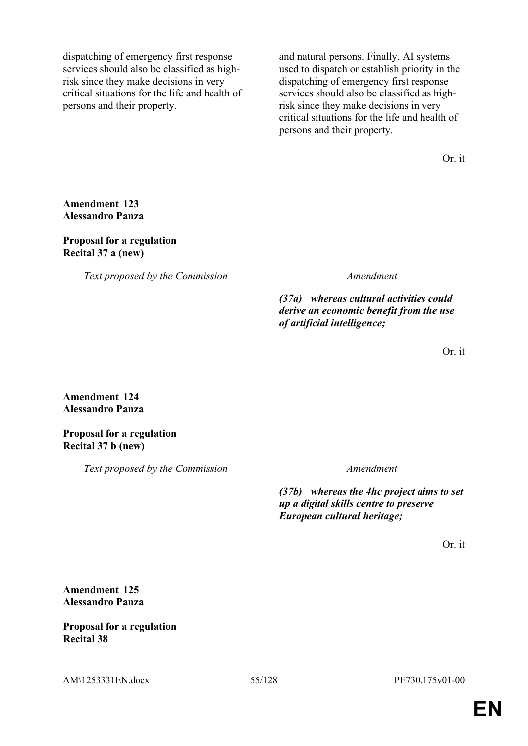dispatching of emergency first response services should also be classified as highrisk since they make decisions in very critical situations for the life and health of persons and their property.

and natural persons. Finally, AI systems used to dispatch or establish priority in the dispatching of emergency first response services should also be classified as highrisk since they make decisions in very critical situations for the life and health of persons and their property.

Or. it

# **Amendment 123 Alessandro Panza**

## **Proposal for a regulation Recital 37 a (new)**

*Text proposed by the Commission Amendment*

*(37a) whereas cultural activities could derive an economic benefit from the use of artificial intelligence;*

Or. it

# **Amendment 124 Alessandro Panza**

# **Proposal for a regulation Recital 37 b (new)**

*Text proposed by the Commission Amendment*

*(37b) whereas the 4hc project aims to set up a digital skills centre to preserve European cultural heritage;*

Or. it

# **Amendment 125 Alessandro Panza**

# **Proposal for a regulation Recital 38**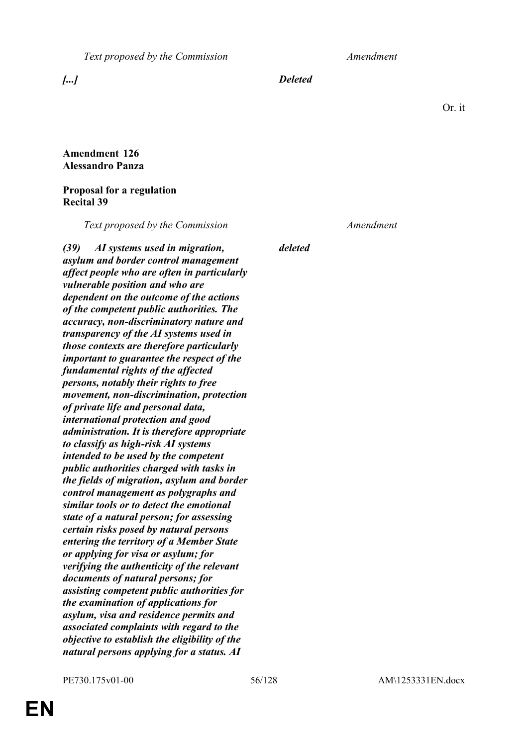*Text proposed by the Commission Amendment*

*[...] Deleted*

*deleted*

Or. it

# **Amendment 126 Alessandro Panza**

# **Proposal for a regulation Recital 39**

*Text proposed by the Commission Amendment*

*(39) AI systems used in migration, asylum and border control management affect people who are often in particularly vulnerable position and who are dependent on the outcome of the actions of the competent public authorities. The accuracy, non-discriminatory nature and transparency of the AI systems used in those contexts are therefore particularly important to guarantee the respect of the fundamental rights of the affected persons, notably their rights to free movement, non-discrimination, protection of private life and personal data, international protection and good administration. It is therefore appropriate to classify as high-risk AI systems intended to be used by the competent public authorities charged with tasks in the fields of migration, asylum and border control management as polygraphs and similar tools or to detect the emotional state of a natural person; for assessing certain risks posed by natural persons entering the territory of a Member State or applying for visa or asylum; for verifying the authenticity of the relevant documents of natural persons; for assisting competent public authorities for the examination of applications for asylum, visa and residence permits and associated complaints with regard to the objective to establish the eligibility of the natural persons applying for a status. AI*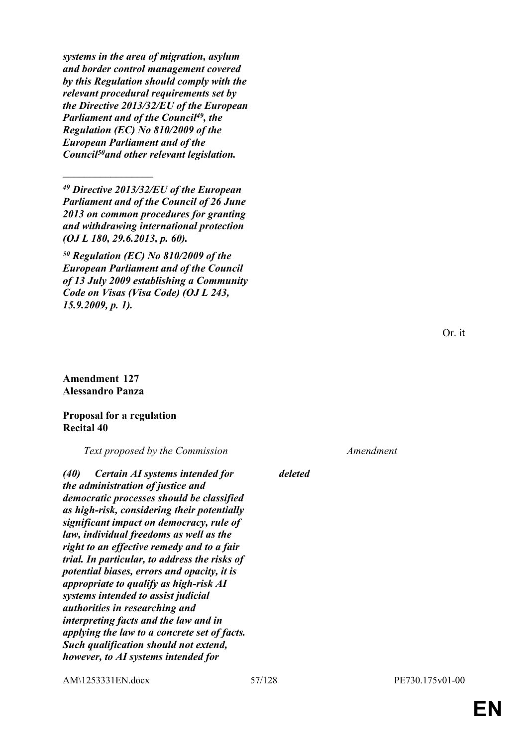*systems in the area of migration, asylum and border control management covered by this Regulation should comply with the relevant procedural requirements set by the Directive 2013/32/EU of the European Parliament and of the Council<sup>49</sup>, the Regulation (EC) No 810/2009 of the European Parliament and of the Council<sup>50</sup>and other relevant legislation.*

*<sup>49</sup> Directive 2013/32/EU of the European Parliament and of the Council of 26 June 2013 on common procedures for granting and withdrawing international protection (OJ L 180, 29.6.2013, p. 60).*

*<sup>50</sup> Regulation (EC) No 810/2009 of the European Parliament and of the Council of 13 July 2009 establishing a Community Code on Visas (Visa Code) (OJ L 243, 15.9.2009, p. 1).*

### **Amendment 127 Alessandro Panza**

 $\frac{1}{2}$ 

### **Proposal for a regulation Recital 40**

*Text proposed by the Commission Amendment*

*(40) Certain AI systems intended for the administration of justice and democratic processes should be classified as high-risk, considering their potentially significant impact on democracy, rule of law, individual freedoms as well as the right to an effective remedy and to a fair trial. In particular, to address the risks of potential biases, errors and opacity, it is appropriate to qualify as high-risk AI systems intended to assist judicial authorities in researching and interpreting facts and the law and in applying the law to a concrete set of facts. Such qualification should not extend, however, to AI systems intended for* 

*deleted*

AM\1253331EN.docx 57/128 PE730.175v01-00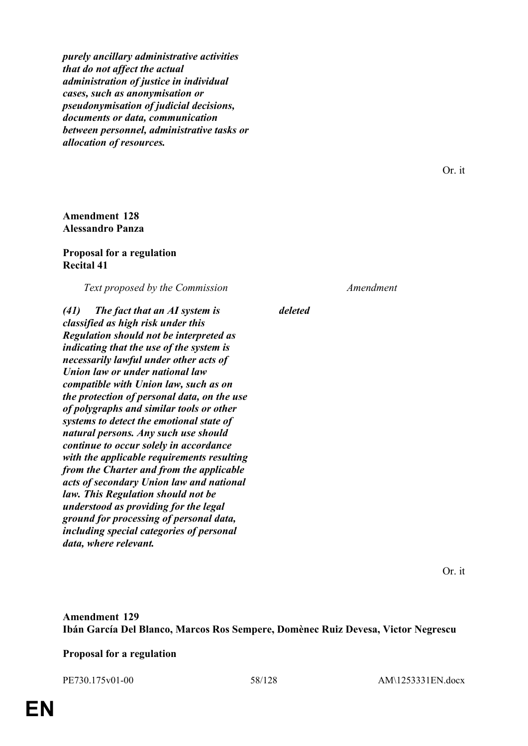*purely ancillary administrative activities that do not affect the actual administration of justice in individual cases, such as anonymisation or pseudonymisation of judicial decisions, documents or data, communication between personnel, administrative tasks or allocation of resources.*

**Amendment 128 Alessandro Panza**

### **Proposal for a regulation Recital 41**

*Text proposed by the Commission Amendment*

*(41) The fact that an AI system is classified as high risk under this Regulation should not be interpreted as indicating that the use of the system is necessarily lawful under other acts of Union law or under national law compatible with Union law, such as on the protection of personal data, on the use of polygraphs and similar tools or other systems to detect the emotional state of natural persons. Any such use should continue to occur solely in accordance with the applicable requirements resulting from the Charter and from the applicable acts of secondary Union law and national law. This Regulation should not be understood as providing for the legal ground for processing of personal data, including special categories of personal data, where relevant.*

*deleted*

Or. it

# **Amendment 129 Ibán García Del Blanco, Marcos Ros Sempere, Domènec Ruiz Devesa, Victor Negrescu**

### **Proposal for a regulation**

PE730.175v01-00 58/128 AM\1253331EN.docx

Or. it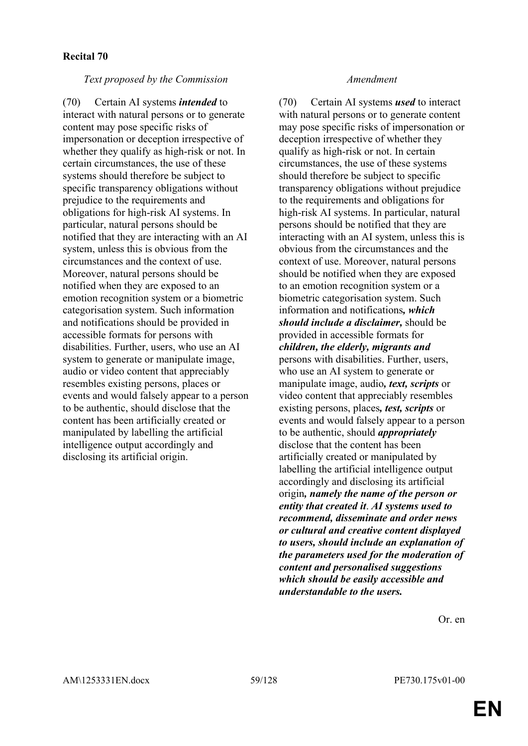*Text proposed by the Commission Amendment*

(70) Certain AI systems *intended* to interact with natural persons or to generate content may pose specific risks of impersonation or deception irrespective of whether they qualify as high-risk or not. In certain circumstances, the use of these systems should therefore be subject to specific transparency obligations without prejudice to the requirements and obligations for high-risk AI systems. In particular, natural persons should be notified that they are interacting with an AI system, unless this is obvious from the circumstances and the context of use. Moreover, natural persons should be notified when they are exposed to an emotion recognition system or a biometric categorisation system. Such information and notifications should be provided in accessible formats for persons with disabilities. Further, users, who use an AI system to generate or manipulate image, audio or video content that appreciably resembles existing persons, places or events and would falsely appear to a person to be authentic, should disclose that the content has been artificially created or manipulated by labelling the artificial intelligence output accordingly and disclosing its artificial origin.

(70) Certain AI systems *used* to interact with natural persons or to generate content may pose specific risks of impersonation or deception irrespective of whether they qualify as high-risk or not. In certain circumstances, the use of these systems should therefore be subject to specific transparency obligations without prejudice to the requirements and obligations for high-risk AI systems. In particular, natural persons should be notified that they are interacting with an AI system, unless this is obvious from the circumstances and the context of use. Moreover, natural persons should be notified when they are exposed to an emotion recognition system or a biometric categorisation system. Such information and notifications*, which should include a disclaimer,* should be provided in accessible formats for *children, the elderly, migrants and* persons with disabilities. Further, users, who use an AI system to generate or manipulate image, audio*, text, scripts* or video content that appreciably resembles existing persons, places*, test, scripts* or events and would falsely appear to a person to be authentic, should *appropriately* disclose that the content has been artificially created or manipulated by labelling the artificial intelligence output accordingly and disclosing its artificial origin*, namely the name of the person or entity that created it*. *AI systems used to recommend, disseminate and order news or cultural and creative content displayed to users, should include an explanation of the parameters used for the moderation of content and personalised suggestions which should be easily accessible and understandable to the users.*

Or. en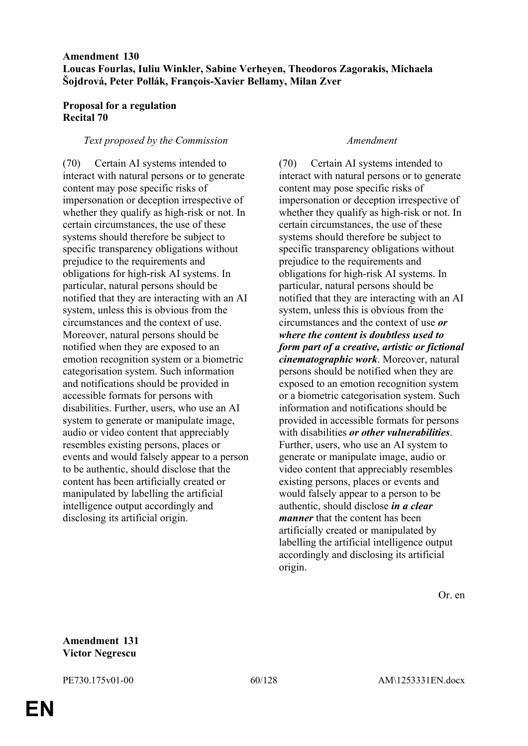# **Amendment 130 Loucas Fourlas, Iuliu Winkler, Sabine Verheyen, Theodoros Zagorakis, Michaela Šojdrová, Peter Pollák, François-Xavier Bellamy, Milan Zver**

# **Proposal for a regulation Recital 70**

## *Text proposed by the Commission Amendment*

(70) Certain AI systems intended to interact with natural persons or to generate content may pose specific risks of impersonation or deception irrespective of whether they qualify as high-risk or not. In certain circumstances, the use of these systems should therefore be subject to specific transparency obligations without prejudice to the requirements and obligations for high-risk AI systems. In particular, natural persons should be notified that they are interacting with an AI system, unless this is obvious from the circumstances and the context of use. Moreover, natural persons should be notified when they are exposed to an emotion recognition system or a biometric categorisation system. Such information and notifications should be provided in accessible formats for persons with disabilities. Further, users, who use an AI system to generate or manipulate image, audio or video content that appreciably resembles existing persons, places or events and would falsely appear to a person to be authentic, should disclose that the content has been artificially created or manipulated by labelling the artificial intelligence output accordingly and disclosing its artificial origin.

(70) Certain AI systems intended to interact with natural persons or to generate content may pose specific risks of impersonation or deception irrespective of whether they qualify as high-risk or not. In certain circumstances, the use of these systems should therefore be subject to specific transparency obligations without prejudice to the requirements and obligations for high-risk AI systems. In particular, natural persons should be notified that they are interacting with an AI system, unless this is obvious from the circumstances and the context of use *or where the content is doubtless used to form part of a creative, artistic or fictional cinematographic work*. Moreover, natural persons should be notified when they are exposed to an emotion recognition system or a biometric categorisation system. Such information and notifications should be provided in accessible formats for persons with disabilities *or other vulnerabilities*. Further, users, who use an AI system to generate or manipulate image, audio or video content that appreciably resembles existing persons, places or events and would falsely appear to a person to be authentic, should disclose *in a clear manner* that the content has been artificially created or manipulated by labelling the artificial intelligence output accordingly and disclosing its artificial origin.

Or. en

## **Amendment 131 Victor Negrescu**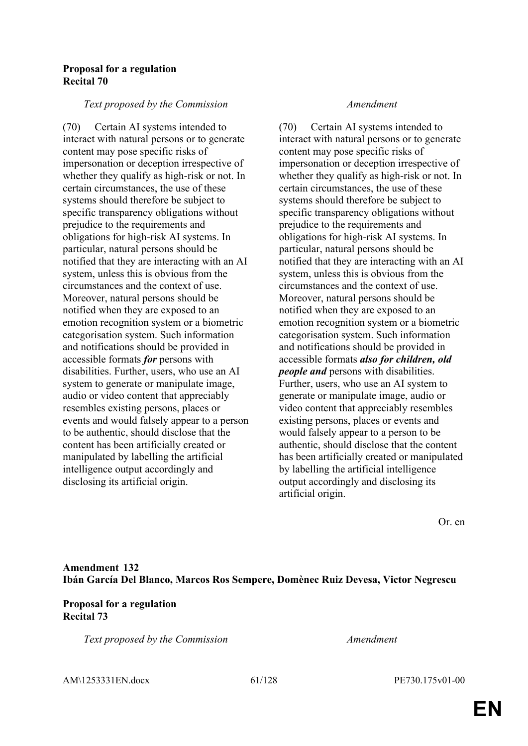## **Proposal for a regulation Recital 70**

## *Text proposed by the Commission Amendment*

(70) Certain AI systems intended to interact with natural persons or to generate content may pose specific risks of impersonation or deception irrespective of whether they qualify as high-risk or not. In certain circumstances, the use of these systems should therefore be subject to specific transparency obligations without prejudice to the requirements and obligations for high-risk AI systems. In particular, natural persons should be notified that they are interacting with an AI system, unless this is obvious from the circumstances and the context of use. Moreover, natural persons should be notified when they are exposed to an emotion recognition system or a biometric categorisation system. Such information and notifications should be provided in accessible formats *for* persons with disabilities. Further, users, who use an AI system to generate or manipulate image, audio or video content that appreciably resembles existing persons, places or events and would falsely appear to a person to be authentic, should disclose that the content has been artificially created or manipulated by labelling the artificial intelligence output accordingly and disclosing its artificial origin.

(70) Certain AI systems intended to interact with natural persons or to generate content may pose specific risks of impersonation or deception irrespective of whether they qualify as high-risk or not. In certain circumstances, the use of these systems should therefore be subject to specific transparency obligations without prejudice to the requirements and obligations for high-risk AI systems. In particular, natural persons should be notified that they are interacting with an AI system, unless this is obvious from the circumstances and the context of use. Moreover, natural persons should be notified when they are exposed to an emotion recognition system or a biometric categorisation system. Such information and notifications should be provided in accessible formats *also for children, old people and* persons with disabilities. Further, users, who use an AI system to generate or manipulate image, audio or video content that appreciably resembles existing persons, places or events and would falsely appear to a person to be authentic, should disclose that the content has been artificially created or manipulated by labelling the artificial intelligence output accordingly and disclosing its artificial origin.

Or. en

# **Amendment 132 Ibán García Del Blanco, Marcos Ros Sempere, Domènec Ruiz Devesa, Victor Negrescu**

# **Proposal for a regulation Recital 73**

*Text proposed by the Commission Amendment*

AM\1253331EN.docx 61/128 PE730.175v01-00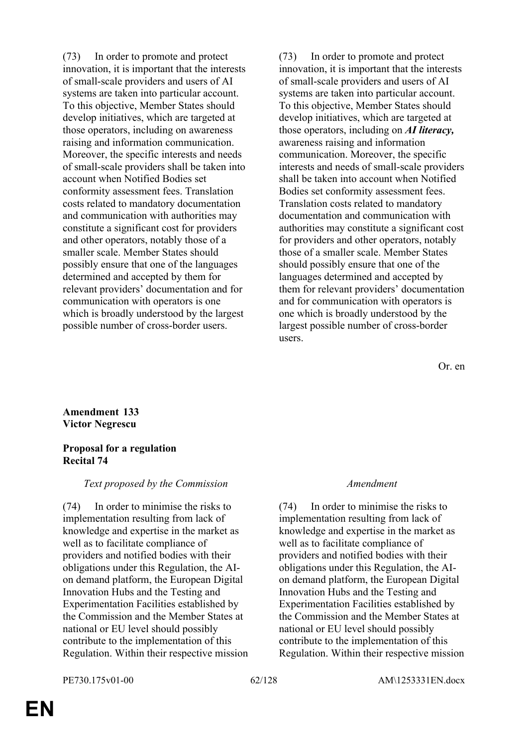(73) In order to promote and protect innovation, it is important that the interests of small-scale providers and users of AI systems are taken into particular account. To this objective, Member States should develop initiatives, which are targeted at those operators, including on awareness raising and information communication. Moreover, the specific interests and needs of small-scale providers shall be taken into account when Notified Bodies set conformity assessment fees. Translation costs related to mandatory documentation and communication with authorities may constitute a significant cost for providers and other operators, notably those of a smaller scale. Member States should possibly ensure that one of the languages determined and accepted by them for relevant providers' documentation and for communication with operators is one which is broadly understood by the largest possible number of cross-border users.

(73) In order to promote and protect innovation, it is important that the interests of small-scale providers and users of AI systems are taken into particular account. To this objective, Member States should develop initiatives, which are targeted at those operators, including on *AI literacy,* awareness raising and information communication. Moreover, the specific interests and needs of small-scale providers shall be taken into account when Notified Bodies set conformity assessment fees. Translation costs related to mandatory documentation and communication with authorities may constitute a significant cost for providers and other operators, notably those of a smaller scale. Member States should possibly ensure that one of the languages determined and accepted by them for relevant providers' documentation and for communication with operators is one which is broadly understood by the largest possible number of cross-border users.

Or. en

## **Amendment 133 Victor Negrescu**

# **Proposal for a regulation Recital 74**

# *Text proposed by the Commission Amendment*

(74) In order to minimise the risks to implementation resulting from lack of knowledge and expertise in the market as well as to facilitate compliance of providers and notified bodies with their obligations under this Regulation, the AIon demand platform, the European Digital Innovation Hubs and the Testing and Experimentation Facilities established by the Commission and the Member States at national or EU level should possibly contribute to the implementation of this Regulation. Within their respective mission

(74) In order to minimise the risks to implementation resulting from lack of knowledge and expertise in the market as well as to facilitate compliance of providers and notified bodies with their obligations under this Regulation, the AIon demand platform, the European Digital Innovation Hubs and the Testing and Experimentation Facilities established by the Commission and the Member States at national or EU level should possibly contribute to the implementation of this Regulation. Within their respective mission

## PE730.175v01-00 62/128 AM\1253331EN.docx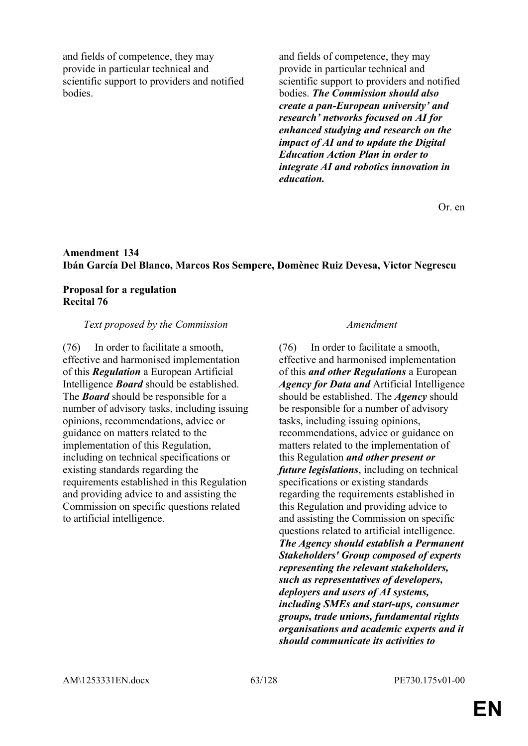and fields of competence, they may provide in particular technical and scientific support to providers and notified **bodies** 

and fields of competence, they may provide in particular technical and scientific support to providers and notified bodies. *The Commission should also create a pan-European university' and research' networks focused on AI for enhanced studying and research on the impact of AI and to update the Digital Education Action Plan in order to integrate AI and robotics innovation in education.*

Or. en

# **Amendment 134 Ibán García Del Blanco, Marcos Ros Sempere, Domènec Ruiz Devesa, Victor Negrescu**

# **Proposal for a regulation Recital 76**

# *Text proposed by the Commission Amendment*

(76) In order to facilitate a smooth, effective and harmonised implementation of this *Regulation* a European Artificial Intelligence *Board* should be established. The *Board* should be responsible for a number of advisory tasks, including issuing opinions, recommendations, advice or guidance on matters related to the implementation of this Regulation, including on technical specifications or existing standards regarding the requirements established in this Regulation and providing advice to and assisting the Commission on specific questions related to artificial intelligence.

(76) In order to facilitate a smooth, effective and harmonised implementation of this *and other Regulations* a European *Agency for Data and* Artificial Intelligence should be established. The *Agency* should be responsible for a number of advisory tasks, including issuing opinions, recommendations, advice or guidance on matters related to the implementation of this Regulation *and other present or future legislations*, including on technical specifications or existing standards regarding the requirements established in this Regulation and providing advice to and assisting the Commission on specific questions related to artificial intelligence. *The Agency should establish a Permanent Stakeholders' Group composed of experts representing the relevant stakeholders, such as representatives of developers, deployers and users of AI systems, including SMEs and start-ups, consumer groups, trade unions, fundamental rights organisations and academic experts and it should communicate its activities to*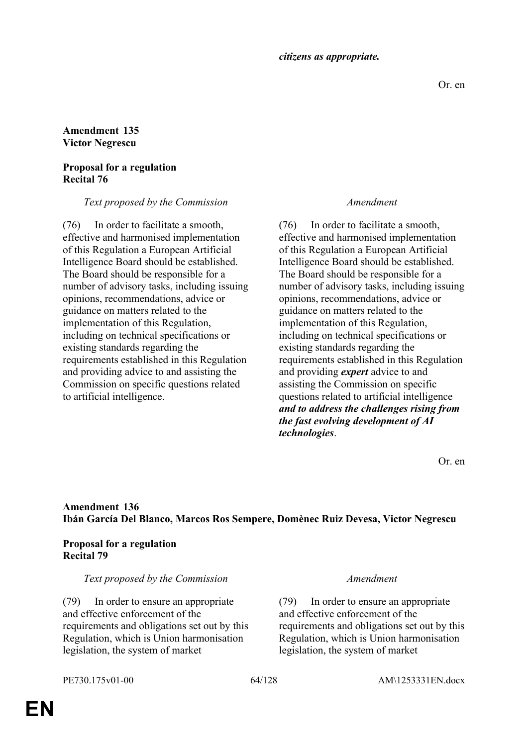*citizens as appropriate.*

## **Amendment 135 Victor Negrescu**

# **Proposal for a regulation Recital 76**

# *Text proposed by the Commission Amendment*

(76) In order to facilitate a smooth, effective and harmonised implementation of this Regulation a European Artificial Intelligence Board should be established. The Board should be responsible for a number of advisory tasks, including issuing opinions, recommendations, advice or guidance on matters related to the implementation of this Regulation, including on technical specifications or existing standards regarding the requirements established in this Regulation and providing advice to and assisting the Commission on specific questions related to artificial intelligence.

(76) In order to facilitate a smooth, effective and harmonised implementation of this Regulation a European Artificial Intelligence Board should be established. The Board should be responsible for a number of advisory tasks, including issuing opinions, recommendations, advice or guidance on matters related to the implementation of this Regulation, including on technical specifications or existing standards regarding the requirements established in this Regulation and providing *expert* advice to and assisting the Commission on specific questions related to artificial intelligence *and to address the challenges rising from the fast evolving development of AI technologies*.

Or. en

# **Amendment 136 Ibán García Del Blanco, Marcos Ros Sempere, Domènec Ruiz Devesa, Victor Negrescu**

# **Proposal for a regulation Recital 79**

## *Text proposed by the Commission Amendment*

(79) In order to ensure an appropriate and effective enforcement of the requirements and obligations set out by this Regulation, which is Union harmonisation legislation, the system of market

(79) In order to ensure an appropriate and effective enforcement of the requirements and obligations set out by this Regulation, which is Union harmonisation legislation, the system of market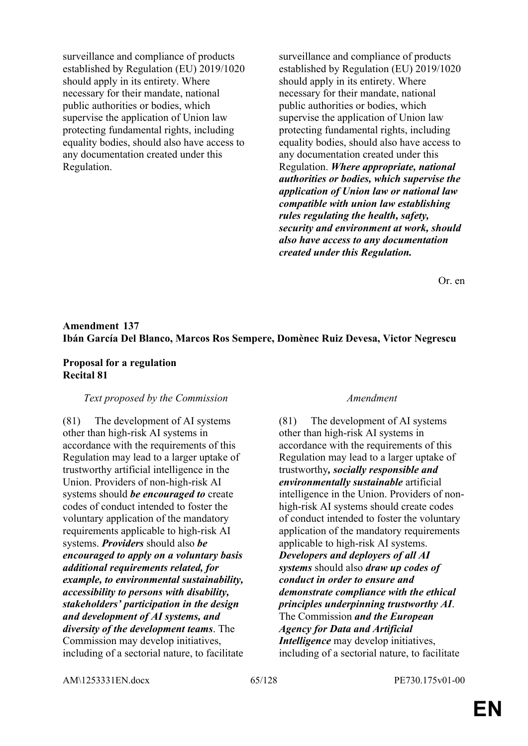surveillance and compliance of products established by Regulation (EU) 2019/1020 should apply in its entirety. Where necessary for their mandate, national public authorities or bodies, which supervise the application of Union law protecting fundamental rights, including equality bodies, should also have access to any documentation created under this Regulation.

surveillance and compliance of products established by Regulation (EU) 2019/1020 should apply in its entirety. Where necessary for their mandate, national public authorities or bodies, which supervise the application of Union law protecting fundamental rights, including equality bodies, should also have access to any documentation created under this Regulation. *Where appropriate, national authorities or bodies, which supervise the application of Union law or national law compatible with union law establishing rules regulating the health, safety, security and environment at work, should also have access to any documentation created under this Regulation.*

Or. en

# **Amendment 137 Ibán García Del Blanco, Marcos Ros Sempere, Domènec Ruiz Devesa, Victor Negrescu**

### **Proposal for a regulation Recital 81**

### *Text proposed by the Commission Amendment*

(81) The development of AI systems other than high-risk AI systems in accordance with the requirements of this Regulation may lead to a larger uptake of trustworthy artificial intelligence in the Union. Providers of non-high-risk AI systems should *be encouraged to* create codes of conduct intended to foster the voluntary application of the mandatory requirements applicable to high-risk AI systems. *Providers* should also *be encouraged to apply on a voluntary basis additional requirements related, for example, to environmental sustainability, accessibility to persons with disability, stakeholders' participation in the design and development of AI systems, and diversity of the development teams*. The Commission may develop initiatives, including of a sectorial nature, to facilitate

(81) The development of AI systems other than high-risk AI systems in accordance with the requirements of this Regulation may lead to a larger uptake of trustworthy*, socially responsible and environmentally sustainable* artificial intelligence in the Union. Providers of nonhigh-risk AI systems should create codes of conduct intended to foster the voluntary application of the mandatory requirements applicable to high-risk AI systems. *Developers and deployers of all AI systems* should also *draw up codes of conduct in order to ensure and demonstrate compliance with the ethical principles underpinning trustworthy AI*. The Commission *and the European Agency for Data and Artificial Intelligence* may develop initiatives, including of a sectorial nature, to facilitate

AM\1253331EN.docx 65/128 PE730.175v01-00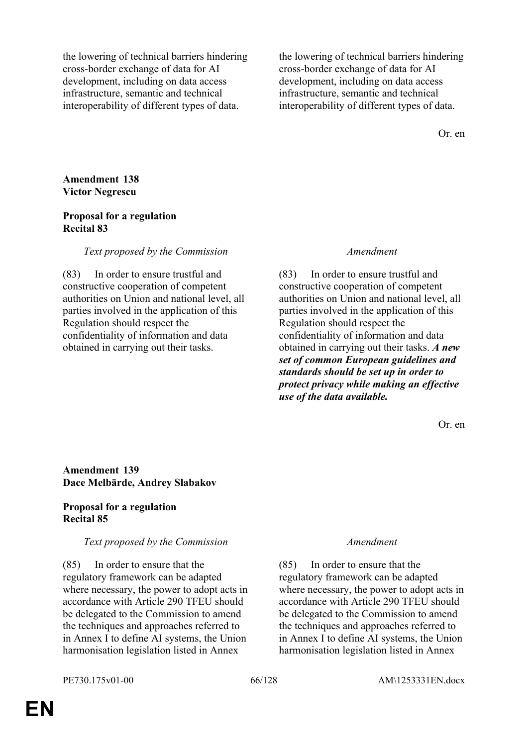the lowering of technical barriers hindering cross-border exchange of data for AI development, including on data access infrastructure, semantic and technical interoperability of different types of data.

the lowering of technical barriers hindering cross-border exchange of data for AI development, including on data access infrastructure, semantic and technical interoperability of different types of data.

Or. en

**Amendment 138 Victor Negrescu**

## **Proposal for a regulation Recital 83**

# *Text proposed by the Commission Amendment*

(83) In order to ensure trustful and constructive cooperation of competent authorities on Union and national level, all parties involved in the application of this Regulation should respect the confidentiality of information and data obtained in carrying out their tasks.

(83) In order to ensure trustful and constructive cooperation of competent authorities on Union and national level, all parties involved in the application of this Regulation should respect the confidentiality of information and data obtained in carrying out their tasks. *A new set of common European guidelines and standards should be set up in order to protect privacy while making an effective use of the data available.*

Or. en

# **Amendment 139 Dace Melbārde, Andrey Slabakov**

# **Proposal for a regulation Recital 85**

## *Text proposed by the Commission Amendment*

(85) In order to ensure that the regulatory framework can be adapted where necessary, the power to adopt acts in accordance with Article 290 TFEU should be delegated to the Commission to amend the techniques and approaches referred to in Annex I to define AI systems, the Union harmonisation legislation listed in Annex

(85) In order to ensure that the regulatory framework can be adapted where necessary, the power to adopt acts in accordance with Article 290 TFEU should be delegated to the Commission to amend the techniques and approaches referred to in Annex I to define AI systems, the Union harmonisation legislation listed in Annex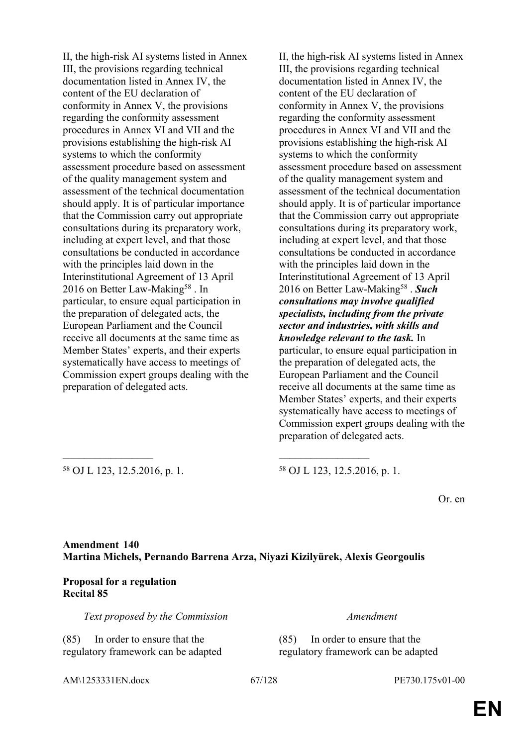II, the high-risk AI systems listed in Annex III, the provisions regarding technical documentation listed in Annex IV, the content of the EU declaration of conformity in Annex V, the provisions regarding the conformity assessment procedures in Annex VI and VII and the provisions establishing the high-risk AI systems to which the conformity assessment procedure based on assessment of the quality management system and assessment of the technical documentation should apply. It is of particular importance that the Commission carry out appropriate consultations during its preparatory work, including at expert level, and that those consultations be conducted in accordance with the principles laid down in the Interinstitutional Agreement of 13 April 2016 on Better Law-Making<sup>58</sup>. In particular, to ensure equal participation in the preparation of delegated acts, the European Parliament and the Council receive all documents at the same time as Member States' experts, and their experts systematically have access to meetings of Commission expert groups dealing with the preparation of delegated acts.

II, the high-risk AI systems listed in Annex III, the provisions regarding technical documentation listed in Annex IV, the content of the EU declaration of conformity in Annex V, the provisions regarding the conformity assessment procedures in Annex VI and VII and the provisions establishing the high-risk AI systems to which the conformity assessment procedure based on assessment of the quality management system and assessment of the technical documentation should apply. It is of particular importance that the Commission carry out appropriate consultations during its preparatory work, including at expert level, and that those consultations be conducted in accordance with the principles laid down in the Interinstitutional Agreement of 13 April 2016 on Better Law-Making<sup>58</sup> . Such *consultations may involve qualified specialists, including from the private sector and industries, with skills and knowledge relevant to the task.* In particular, to ensure equal participation in the preparation of delegated acts, the European Parliament and the Council receive all documents at the same time as Member States' experts, and their experts systematically have access to meetings of Commission expert groups dealing with the preparation of delegated acts.

<sup>58</sup> OJ L 123, 12.5.2016, p. 1. <sup>58</sup> OJ L 123, 12.5.2016, p. 1.

Or. en

# **Amendment 140 Martina Michels, Pernando Barrena Arza, Niyazi Kizilyürek, Alexis Georgoulis**

\_\_\_\_\_\_\_\_\_\_\_\_\_\_\_\_\_ \_\_\_\_\_\_\_\_\_\_\_\_\_\_\_\_\_

# **Proposal for a regulation Recital 85**

*Text proposed by the Commission Amendment*

(85) In order to ensure that the regulatory framework can be adapted (85) In order to ensure that the regulatory framework can be adapted

AM\1253331EN.docx 67/128 PE730.175v01-00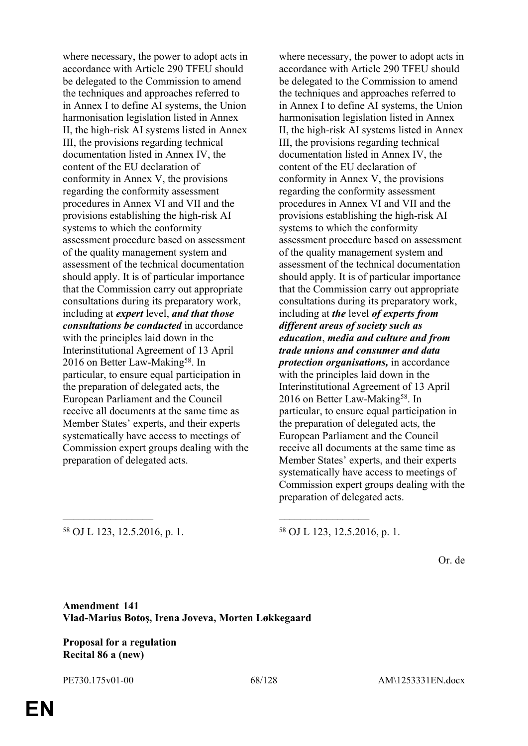where necessary, the power to adopt acts in accordance with Article 290 TFEU should be delegated to the Commission to amend the techniques and approaches referred to in Annex I to define AI systems, the Union harmonisation legislation listed in Annex II, the high-risk AI systems listed in Annex III, the provisions regarding technical documentation listed in Annex IV, the content of the EU declaration of conformity in Annex V, the provisions regarding the conformity assessment procedures in Annex VI and VII and the provisions establishing the high-risk AI systems to which the conformity assessment procedure based on assessment of the quality management system and assessment of the technical documentation should apply. It is of particular importance that the Commission carry out appropriate consultations during its preparatory work, including at *expert* level, *and that those consultations be conducted* in accordance with the principles laid down in the Interinstitutional Agreement of 13 April 2016 on Better Law-Making<sup>58</sup>. In particular, to ensure equal participation in the preparation of delegated acts, the European Parliament and the Council receive all documents at the same time as Member States' experts, and their experts systematically have access to meetings of Commission expert groups dealing with the preparation of delegated acts.

where necessary, the power to adopt acts in accordance with Article 290 TFEU should be delegated to the Commission to amend the techniques and approaches referred to in Annex I to define AI systems, the Union harmonisation legislation listed in Annex II, the high-risk AI systems listed in Annex III, the provisions regarding technical documentation listed in Annex IV, the content of the EU declaration of conformity in Annex V, the provisions regarding the conformity assessment procedures in Annex VI and VII and the provisions establishing the high-risk AI systems to which the conformity assessment procedure based on assessment of the quality management system and assessment of the technical documentation should apply. It is of particular importance that the Commission carry out appropriate consultations during its preparatory work, including at *the* level *of experts from different areas of society such as education*, *media and culture and from trade unions and consumer and data protection organisations,* in accordance with the principles laid down in the Interinstitutional Agreement of 13 April 2016 on Better Law-Making<sup>58</sup>. In particular, to ensure equal participation in the preparation of delegated acts, the European Parliament and the Council receive all documents at the same time as Member States' experts, and their experts systematically have access to meetings of Commission expert groups dealing with the preparation of delegated acts.

<sup>58</sup> OJ L 123, 12.5.2016, p. 1. <sup>58</sup> OJ L 123, 12.5.2016, p. 1.

Or. de

**Amendment 141 Vlad-Marius Botoş, Irena Joveva, Morten Løkkegaard**

\_\_\_\_\_\_\_\_\_\_\_\_\_\_\_\_\_ \_\_\_\_\_\_\_\_\_\_\_\_\_\_\_\_\_

**Proposal for a regulation Recital 86 a (new)**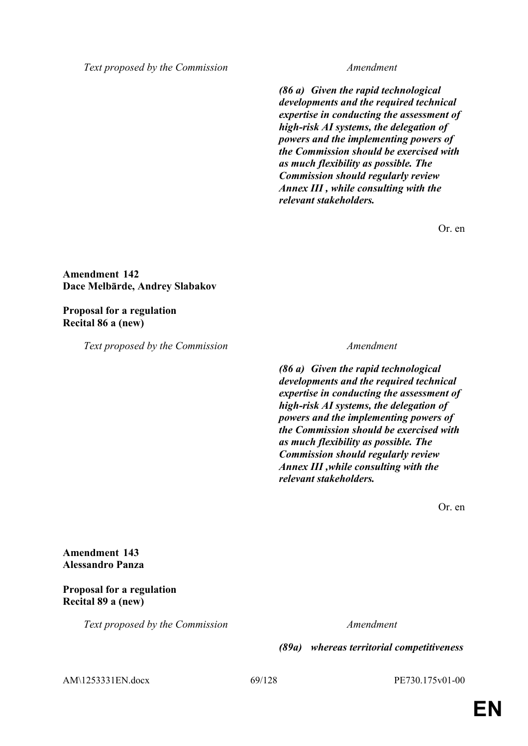*Text proposed by the Commission Amendment*

*(86 a) Given the rapid technological developments and the required technical expertise in conducting the assessment of high-risk AI systems, the delegation of powers and the implementing powers of the Commission should be exercised with as much flexibility as possible. The Commission should regularly review Annex III , while consulting with the relevant stakeholders.*

Or. en

### **Amendment 142 Dace Melbārde, Andrey Slabakov**

## **Proposal for a regulation Recital 86 a (new)**

*Text proposed by the Commission Amendment*

*(86 a) Given the rapid technological developments and the required technical expertise in conducting the assessment of high-risk AI systems, the delegation of powers and the implementing powers of the Commission should be exercised with as much flexibility as possible. The Commission should regularly review Annex III ,while consulting with the relevant stakeholders.*

Or. en

**Amendment 143 Alessandro Panza**

# **Proposal for a regulation Recital 89 a (new)**

*Text proposed by the Commission Amendment*

*(89a) whereas territorial competitiveness* 

AM\1253331EN.docx 69/128 PE730.175v01-00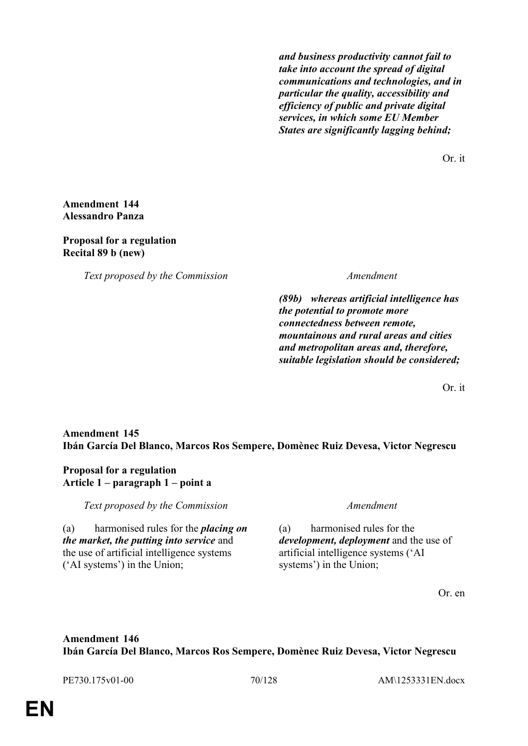*and business productivity cannot fail to take into account the spread of digital communications and technologies, and in particular the quality, accessibility and efficiency of public and private digital services, in which some EU Member States are significantly lagging behind;*

Or. it

## **Amendment 144 Alessandro Panza**

# **Proposal for a regulation Recital 89 b (new)**

*Text proposed by the Commission Amendment*

*(89b) whereas artificial intelligence has the potential to promote more connectedness between remote, mountainous and rural areas and cities and metropolitan areas and, therefore, suitable legislation should be considered;*

Or. it

# **Amendment 145 Ibán García Del Blanco, Marcos Ros Sempere, Domènec Ruiz Devesa, Victor Negrescu**

# **Proposal for a regulation Article 1 – paragraph 1 – point a**

*Text proposed by the Commission Amendment*

(a) harmonised rules for the *placing on the market, the putting into service* and the use of artificial intelligence systems ('AI systems') in the Union;

(a) harmonised rules for the *development, deployment* and the use of artificial intelligence systems ('AI systems') in the Union;

Or. en

# **Amendment 146 Ibán García Del Blanco, Marcos Ros Sempere, Domènec Ruiz Devesa, Victor Negrescu**

PE730.175v01-00 70/128 AM\1253331EN.docx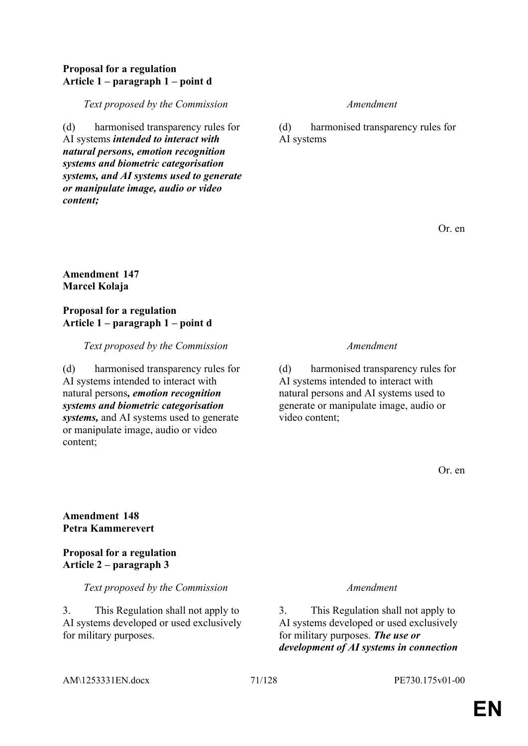## **Proposal for a regulation Article 1 – paragraph 1 – point d**

*Text proposed by the Commission Amendment*

(d) harmonised transparency rules for AI systems *intended to interact with natural persons, emotion recognition systems and biometric categorisation systems, and AI systems used to generate or manipulate image, audio or video content;*

(d) harmonised transparency rules for AI systems

Or. en

# **Amendment 147 Marcel Kolaja**

# **Proposal for a regulation Article 1 – paragraph 1 – point d**

*Text proposed by the Commission Amendment*

(d) harmonised transparency rules for AI systems intended to interact with natural persons*, emotion recognition systems and biometric categorisation systems,* and AI systems used to generate or manipulate image, audio or video content;

(d) harmonised transparency rules for AI systems intended to interact with natural persons and AI systems used to generate or manipulate image, audio or video content;

Or. en

# **Amendment 148 Petra Kammerevert**

# **Proposal for a regulation Article 2 – paragraph 3**

*Text proposed by the Commission Amendment*

3. This Regulation shall not apply to AI systems developed or used exclusively for military purposes.

3. This Regulation shall not apply to AI systems developed or used exclusively for military purposes. *The use or development of AI systems in connection* 

# AM\1253331EN.docx 71/128 PE730.175v01-00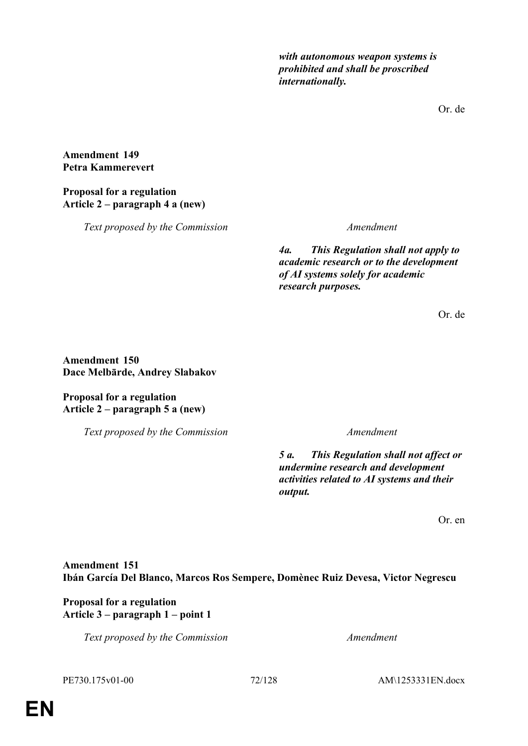*with autonomous weapon systems is prohibited and shall be proscribed internationally.*

Or. de

## **Amendment 149 Petra Kammerevert**

# **Proposal for a regulation Article 2 – paragraph 4 a (new)**

*Text proposed by the Commission Amendment*

*4a. This Regulation shall not apply to academic research or to the development of AI systems solely for academic research purposes.*

Or. de

# **Amendment 150 Dace Melbārde, Andrey Slabakov**

# **Proposal for a regulation Article 2 – paragraph 5 a (new)**

*Text proposed by the Commission Amendment*

*5 a. This Regulation shall not affect or undermine research and development activities related to AI systems and their output.*

Or. en

# **Amendment 151 Ibán García Del Blanco, Marcos Ros Sempere, Domènec Ruiz Devesa, Victor Negrescu**

# **Proposal for a regulation Article 3 – paragraph 1 – point 1**

*Text proposed by the Commission Amendment*

PE730.175v01-00 72/128 AM\1253331EN.docx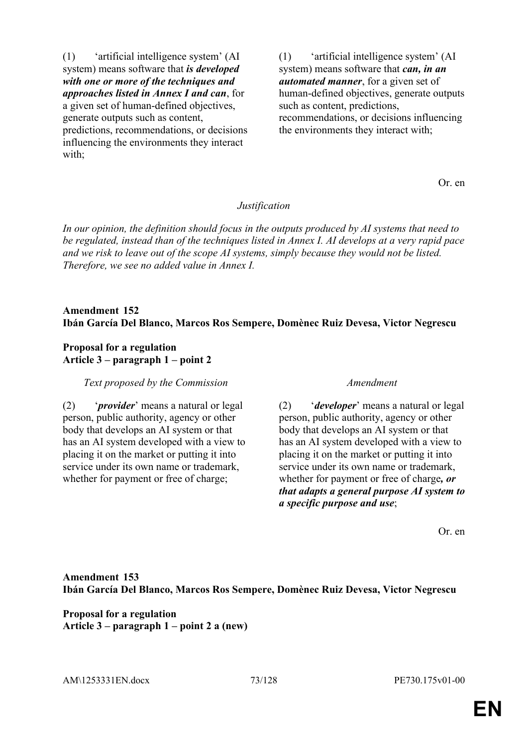(1) 'artificial intelligence system' (AI system) means software that *is developed with one or more of the techniques and approaches listed in Annex I and can*, for a given set of human-defined objectives, generate outputs such as content, predictions, recommendations, or decisions influencing the environments they interact

with:

(1) 'artificial intelligence system' (AI system) means software that *can, in an automated manner*, for a given set of human-defined objectives, generate outputs such as content, predictions, recommendations, or decisions influencing the environments they interact with;

Or. en

# *Justification*

*In our opinion, the definition should focus in the outputs produced by AI systems that need to be regulated, instead than of the techniques listed in Annex I. AI develops at a very rapid pace and we risk to leave out of the scope AI systems, simply because they would not be listed. Therefore, we see no added value in Annex I.*

# **Amendment 152 Ibán García Del Blanco, Marcos Ros Sempere, Domènec Ruiz Devesa, Victor Negrescu**

### **Proposal for a regulation Article 3 – paragraph 1 – point 2**

*Text proposed by the Commission Amendment*

(2) '*provider*' means a natural or legal person, public authority, agency or other body that develops an AI system or that has an AI system developed with a view to placing it on the market or putting it into service under its own name or trademark, whether for payment or free of charge;

(2) '*developer*' means a natural or legal person, public authority, agency or other body that develops an AI system or that has an AI system developed with a view to placing it on the market or putting it into service under its own name or trademark, whether for payment or free of charge*, or that adapts a general purpose AI system to a specific purpose and use*;

Or. en

**Amendment 153 Ibán García Del Blanco, Marcos Ros Sempere, Domènec Ruiz Devesa, Victor Negrescu**

**Proposal for a regulation Article 3 – paragraph 1 – point 2 a (new)**

AM\1253331EN.docx 73/128 PE730.175v01-00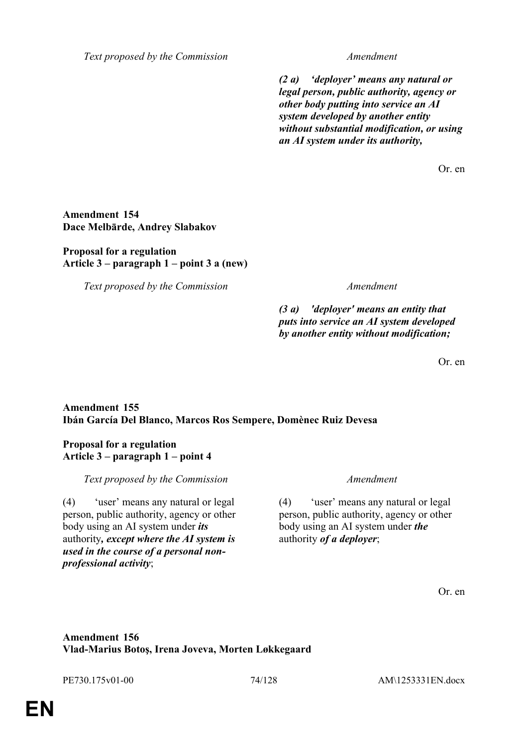*Text proposed by the Commission Amendment*

*(2 a) 'deployer' means any natural or legal person, public authority, agency or other body putting into service an AI system developed by another entity without substantial modification, or using an AI system under its authority,*

Or. en

### **Amendment 154 Dace Melbārde, Andrey Slabakov**

### **Proposal for a regulation Article 3 – paragraph 1 – point 3 a (new)**

*Text proposed by the Commission Amendment*

*(3 a) 'deployer' means an entity that puts into service an AI system developed by another entity without modification;*

Or. en

# **Amendment 155 Ibán García Del Blanco, Marcos Ros Sempere, Domènec Ruiz Devesa**

### **Proposal for a regulation Article 3 – paragraph 1 – point 4**

*Text proposed by the Commission Amendment*

(4) 'user' means any natural or legal person, public authority, agency or other body using an AI system under *its* authority*, except where the AI system is used in the course of a personal nonprofessional activity*;

(4) 'user' means any natural or legal person, public authority, agency or other body using an AI system under *the* authority *of a deployer*;

Or. en

# **Amendment 156 Vlad-Marius Botoş, Irena Joveva, Morten Løkkegaard**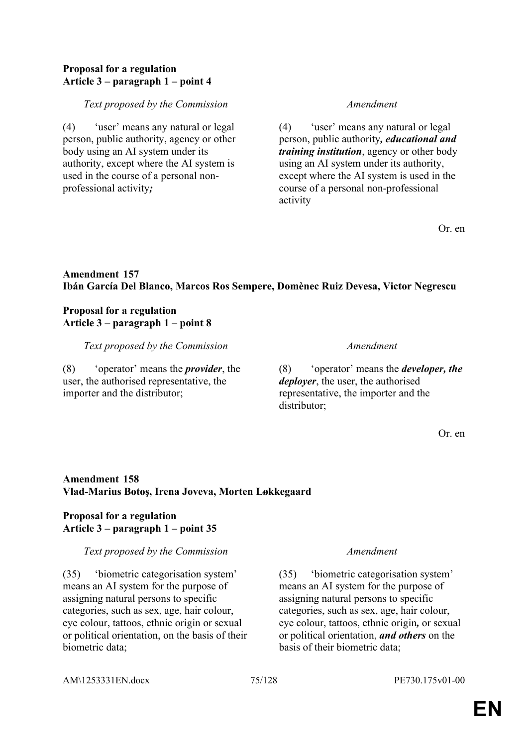### **Proposal for a regulation Article 3 – paragraph 1 – point 4**

#### *Text proposed by the Commission Amendment*

(4) 'user' means any natural or legal person, public authority, agency or other body using an AI system under its authority, except where the AI system is used in the course of a personal nonprofessional activity*;*

(4) 'user' means any natural or legal person, public authority*, educational and training institution*, agency or other body using an AI system under its authority, except where the AI system is used in the course of a personal non-professional activity

Or. en

# **Amendment 157 Ibán García Del Blanco, Marcos Ros Sempere, Domènec Ruiz Devesa, Victor Negrescu**

### **Proposal for a regulation Article 3 – paragraph 1 – point 8**

*Text proposed by the Commission Amendment*

(8) 'operator' means the *provider*, the user, the authorised representative, the importer and the distributor;

(8) 'operator' means the *developer, the deployer*, the user, the authorised representative, the importer and the distributor;

Or. en

# **Amendment 158 Vlad-Marius Botoş, Irena Joveva, Morten Løkkegaard**

# **Proposal for a regulation Article 3 – paragraph 1 – point 35**

#### *Text proposed by the Commission Amendment*

(35) 'biometric categorisation system' means an AI system for the purpose of assigning natural persons to specific categories, such as sex, age, hair colour, eye colour, tattoos, ethnic origin or sexual or political orientation, on the basis of their biometric data;

(35) 'biometric categorisation system' means an AI system for the purpose of assigning natural persons to specific categories, such as sex, age, hair colour, eye colour, tattoos, ethnic origin*,* or sexual or political orientation, *and others* on the basis of their biometric data;

#### AM\1253331EN.docx 75/128 PE730.175v01-00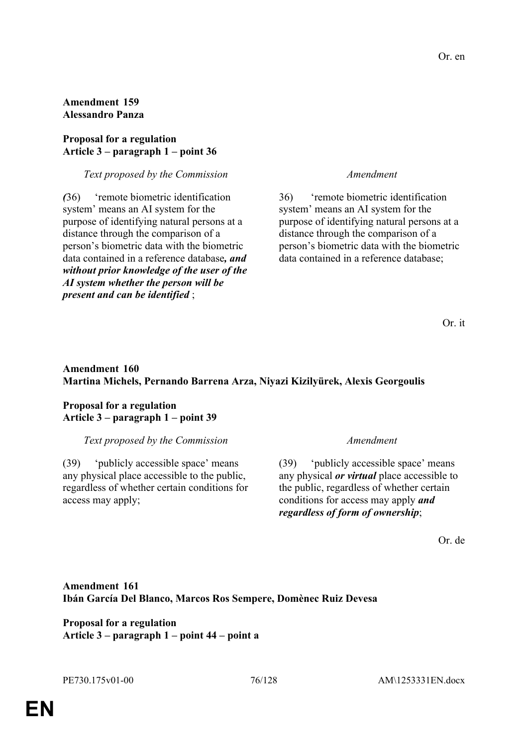# **Amendment 159 Alessandro Panza**

#### **Proposal for a regulation Article 3 – paragraph 1 – point 36**

### *Text proposed by the Commission Amendment*

*(*36) 'remote biometric identification system' means an AI system for the purpose of identifying natural persons at a distance through the comparison of a person's biometric data with the biometric data contained in a reference database*, and without prior knowledge of the user of the AI system whether the person will be present and can be identified* ;

36) 'remote biometric identification system' means an AI system for the purpose of identifying natural persons at a distance through the comparison of a person's biometric data with the biometric data contained in a reference database;

Or. it

# **Amendment 160 Martina Michels, Pernando Barrena Arza, Niyazi Kizilyürek, Alexis Georgoulis**

### **Proposal for a regulation Article 3 – paragraph 1 – point 39**

#### *Text proposed by the Commission Amendment*

(39) 'publicly accessible space' means any physical place accessible to the public, regardless of whether certain conditions for access may apply;

(39) 'publicly accessible space' means any physical *or virtual* place accessible to the public, regardless of whether certain conditions for access may apply *and regardless of form of ownership*;

Or. de

# **Amendment 161 Ibán García Del Blanco, Marcos Ros Sempere, Domènec Ruiz Devesa**

**Proposal for a regulation Article 3 – paragraph 1 – point 44 – point a**

**EN**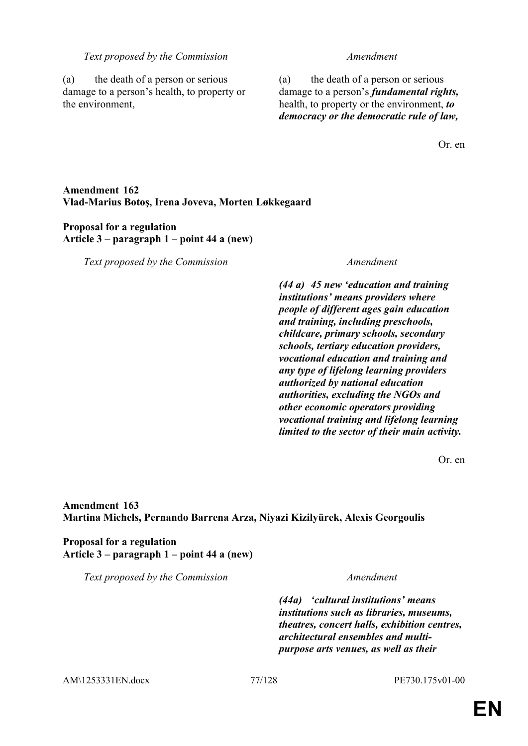#### *Text proposed by the Commission Amendment*

(a) the death of a person or serious damage to a person's health, to property or the environment,

(a) the death of a person or serious damage to a person's *fundamental rights,* health, to property or the environment, *to democracy or the democratic rule of law,*

Or. en

# **Amendment 162 Vlad-Marius Botoş, Irena Joveva, Morten Løkkegaard**

### **Proposal for a regulation Article 3 – paragraph 1 – point 44 a (new)**

*Text proposed by the Commission Amendment*

*(44 a) 45 new 'education and training institutions' means providers where people of different ages gain education and training, including preschools, childcare, primary schools, secondary schools, tertiary education providers, vocational education and training and any type of lifelong learning providers authorized by national education authorities, excluding the NGOs and other economic operators providing vocational training and lifelong learning limited to the sector of their main activity.*

Or. en

**Amendment 163 Martina Michels, Pernando Barrena Arza, Niyazi Kizilyürek, Alexis Georgoulis**

**Proposal for a regulation Article 3 – paragraph 1 – point 44 a (new)**

*Text proposed by the Commission Amendment*

*(44a) 'cultural institutions' means institutions such as libraries, museums, theatres, concert halls, exhibition centres, architectural ensembles and multipurpose arts venues, as well as their* 

AM\1253331EN.docx 77/128 PE730.175v01-00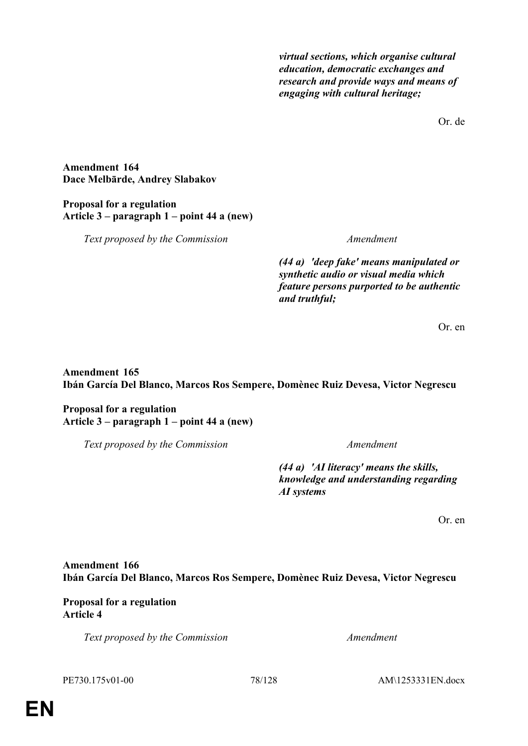*virtual sections, which organise cultural education, democratic exchanges and research and provide ways and means of engaging with cultural heritage;*

Or. de

#### **Amendment 164 Dace Melbārde, Andrey Slabakov**

# **Proposal for a regulation Article 3 – paragraph 1 – point 44 a (new)**

*Text proposed by the Commission Amendment*

*(44 a) 'deep fake' means manipulated or synthetic audio or visual media which feature persons purported to be authentic and truthful;*

Or. en

# **Amendment 165 Ibán García Del Blanco, Marcos Ros Sempere, Domènec Ruiz Devesa, Victor Negrescu**

# **Proposal for a regulation Article 3 – paragraph 1 – point 44 a (new)**

*Text proposed by the Commission Amendment*

*(44 a) 'AI literacy' means the skills, knowledge and understanding regarding AI systems*

Or. en

# **Amendment 166 Ibán García Del Blanco, Marcos Ros Sempere, Domènec Ruiz Devesa, Victor Negrescu**

# **Proposal for a regulation Article 4**

*Text proposed by the Commission Amendment*

PE730.175v01-00 78/128 AM\1253331EN.docx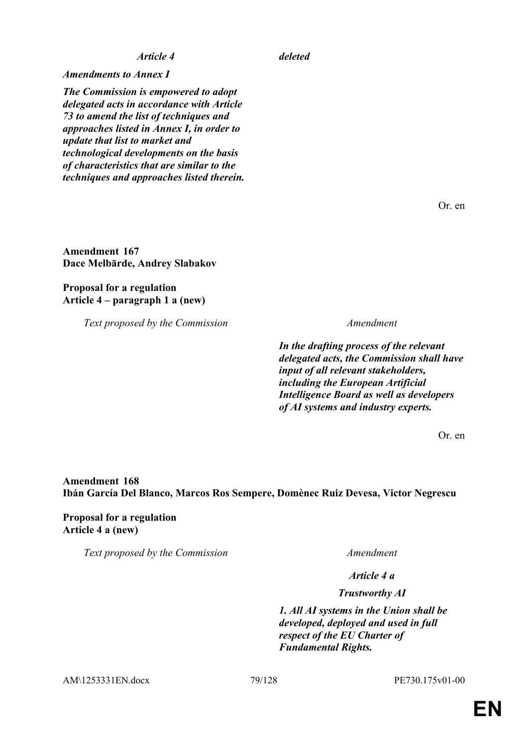*Amendments to Annex I*

*The Commission is empowered to adopt delegated acts in accordance with Article 73 to amend the list of techniques and approaches listed in Annex I, in order to update that list to market and technological developments on the basis of characteristics that are similar to the techniques and approaches listed therein.*

Or. en

**Amendment 167 Dace Melbārde, Andrey Slabakov**

**Proposal for a regulation Article 4 – paragraph 1 a (new)**

*Text proposed by the Commission Amendment*

*In the drafting process of the relevant delegated acts, the Commission shall have input of all relevant stakeholders, including the European Artificial Intelligence Board as well as developers of AI systems and industry experts.*

Or. en

# **Amendment 168 Ibán García Del Blanco, Marcos Ros Sempere, Domènec Ruiz Devesa, Victor Negrescu**

**Proposal for a regulation Article 4 a (new)**

*Text proposed by the Commission Amendment*

*Article 4 a*

*Trustworthy AI*

*1. All AI systems in the Union shall be developed, deployed and used in full respect of the EU Charter of Fundamental Rights.*

AM\1253331EN.docx 79/128 PE730.175v01-00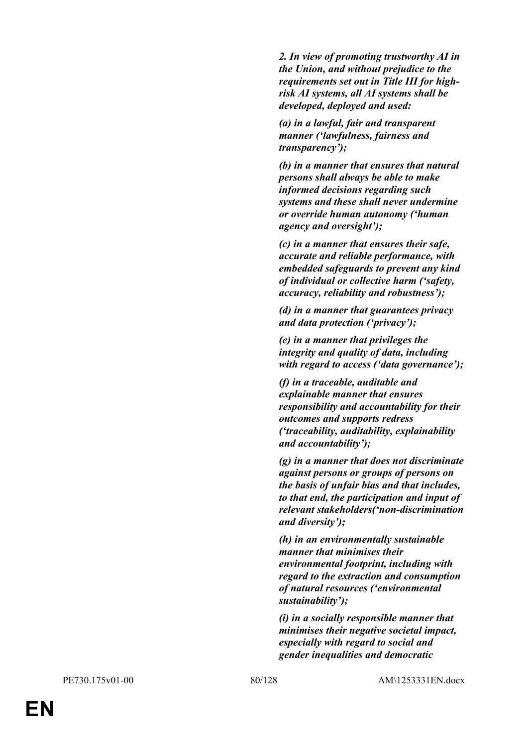*2. In view of promoting trustworthy AI in the Union, and without prejudice to the requirements set out in Title III for highrisk AI systems, all AI systems shall be developed, deployed and used:*

*(a) in a lawful, fair and transparent manner ('lawfulness, fairness and transparency');*

*(b) in a manner that ensures that natural persons shall always be able to make informed decisions regarding such systems and these shall never undermine or override human autonomy ('human agency and oversight');*

*(c) in a manner that ensures their safe, accurate and reliable performance, with embedded safeguards to prevent any kind of individual or collective harm ('safety, accuracy, reliability and robustness');*

*(d) in a manner that guarantees privacy and data protection ('privacy');*

*(e) in a manner that privileges the integrity and quality of data, including with regard to access ('data governance');*

*(f) in a traceable, auditable and explainable manner that ensures responsibility and accountability for their outcomes and supports redress ('traceability, auditability, explainability and accountability');*

*(g) in a manner that does not discriminate against persons or groups of persons on the basis of unfair bias and that includes, to that end, the participation and input of relevant stakeholders('non-discrimination and diversity');*

*(h) in an environmentally sustainable manner that minimises their environmental footprint, including with regard to the extraction and consumption of natural resources ('environmental sustainability');*

*(i) in a socially responsible manner that minimises their negative societal impact, especially with regard to social and gender inequalities and democratic*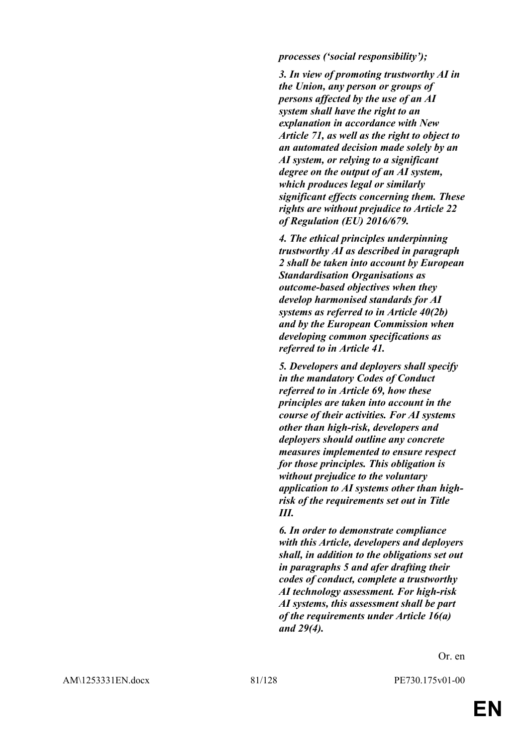#### *processes ('social responsibility');*

*3. In view of promoting trustworthy AI in the Union, any person or groups of persons affected by the use of an AI system shall have the right to an explanation in accordance with New Article 71, as well as the right to object to an automated decision made solely by an AI system, or relying to a significant degree on the output of an AI system, which produces legal or similarly significant effects concerning them. These rights are without prejudice to Article 22 of Regulation (EU) 2016/679.*

*4. The ethical principles underpinning trustworthy AI as described in paragraph 2 shall be taken into account by European Standardisation Organisations as outcome-based objectives when they develop harmonised standards for AI systems as referred to in Article 40(2b) and by the European Commission when developing common specifications as referred to in Article 41.*

*5. Developers and deployers shall specify in the mandatory Codes of Conduct referred to in Article 69, how these principles are taken into account in the course of their activities. For AI systems other than high-risk, developers and deployers should outline any concrete measures implemented to ensure respect for those principles. This obligation is without prejudice to the voluntary application to AI systems other than highrisk of the requirements set out in Title III.*

*6. In order to demonstrate compliance with this Article, developers and deployers shall, in addition to the obligations set out in paragraphs 5 and afer drafting their codes of conduct, complete a trustworthy AI technology assessment. For high-risk AI systems, this assessment shall be part of the requirements under Article 16(a) and 29(4).*

Or. en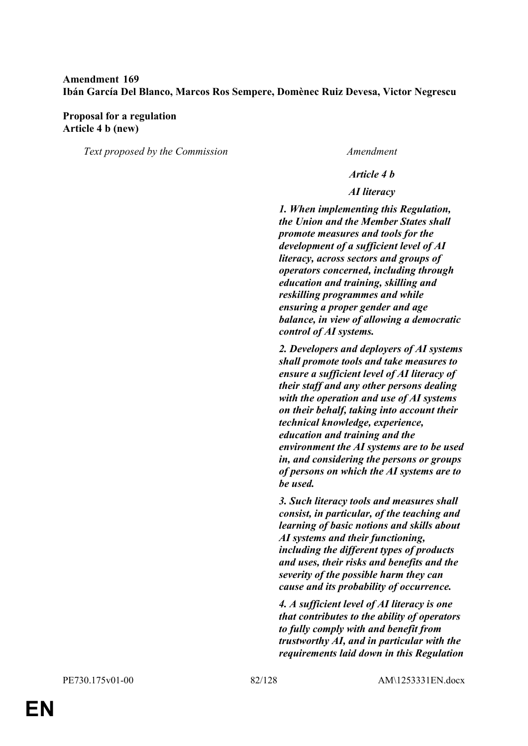# **Amendment 169 Ibán García Del Blanco, Marcos Ros Sempere, Domènec Ruiz Devesa, Victor Negrescu**

#### **Proposal for a regulation Article 4 b (new)**

*Text proposed by the Commission Amendment*

#### *Article 4 b*

#### *AI literacy*

*1. When implementing this Regulation, the Union and the Member States shall promote measures and tools for the development of a sufficient level of AI literacy, across sectors and groups of operators concerned, including through education and training, skilling and reskilling programmes and while ensuring a proper gender and age balance, in view of allowing a democratic control of AI systems.*

*2. Developers and deployers of AI systems shall promote tools and take measures to ensure a sufficient level of AI literacy of their staff and any other persons dealing with the operation and use of AI systems on their behalf, taking into account their technical knowledge, experience, education and training and the environment the AI systems are to be used in, and considering the persons or groups of persons on which the AI systems are to be used.*

*3. Such literacy tools and measures shall consist, in particular, of the teaching and learning of basic notions and skills about AI systems and their functioning, including the different types of products and uses, their risks and benefits and the severity of the possible harm they can cause and its probability of occurrence.*

*4. A sufficient level of AI literacy is one that contributes to the ability of operators to fully comply with and benefit from trustworthy AI, and in particular with the requirements laid down in this Regulation*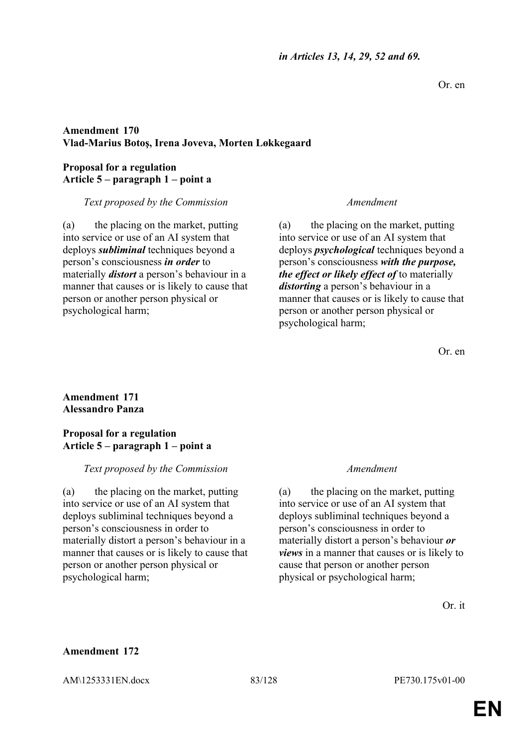Or. en

# **Amendment 170 Vlad-Marius Botoş, Irena Joveva, Morten Løkkegaard**

### **Proposal for a regulation Article 5 – paragraph 1 – point a**

### *Text proposed by the Commission Amendment*

(a) the placing on the market, putting into service or use of an AI system that deploys *subliminal* techniques beyond a person's consciousness *in order* to materially *distort* a person's behaviour in a manner that causes or is likely to cause that person or another person physical or psychological harm;

(a) the placing on the market, putting into service or use of an AI system that deploys *psychological* techniques beyond a person's consciousness *with the purpose, the effect or likely effect of* to materially *distorting* a person's behaviour in a manner that causes or is likely to cause that person or another person physical or psychological harm;

Or. en

# **Amendment 171 Alessandro Panza**

#### **Proposal for a regulation Article 5 – paragraph 1 – point a**

# *Text proposed by the Commission Amendment*

(a) the placing on the market, putting into service or use of an AI system that deploys subliminal techniques beyond a person's consciousness in order to materially distort a person's behaviour in a manner that causes or is likely to cause that person or another person physical or psychological harm;

(a) the placing on the market, putting into service or use of an AI system that deploys subliminal techniques beyond a person's consciousness in order to materially distort a person's behaviour *or views* in a manner that causes or is likely to cause that person or another person physical or psychological harm;

Or. it

# **Amendment 172**

AM\1253331EN.docx 83/128 PE730.175v01-00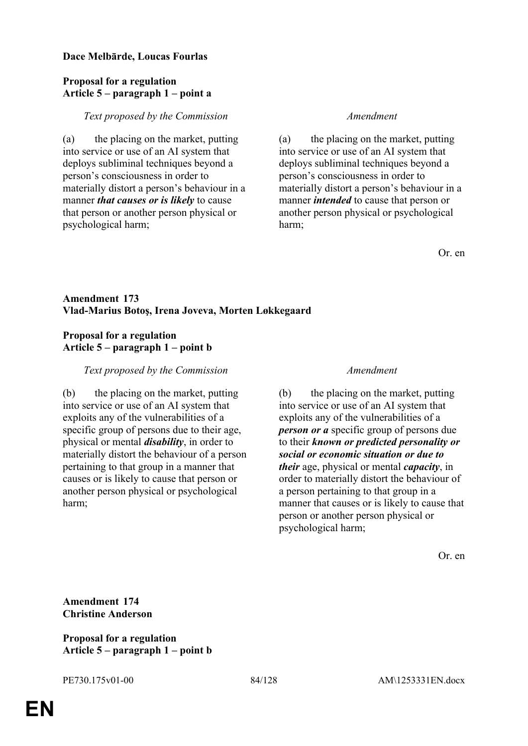#### **Dace Melbārde, Loucas Fourlas**

### **Proposal for a regulation Article 5 – paragraph 1 – point a**

#### *Text proposed by the Commission Amendment*

(a) the placing on the market, putting into service or use of an AI system that deploys subliminal techniques beyond a person's consciousness in order to materially distort a person's behaviour in a manner *that causes or is likely* to cause that person or another person physical or psychological harm;

(a) the placing on the market, putting into service or use of an AI system that deploys subliminal techniques beyond a person's consciousness in order to materially distort a person's behaviour in a manner *intended* to cause that person or another person physical or psychological harm;

Or. en

# **Amendment 173 Vlad-Marius Botoş, Irena Joveva, Morten Løkkegaard**

#### **Proposal for a regulation Article 5 – paragraph 1 – point b**

### *Text proposed by the Commission Amendment*

(b) the placing on the market, putting into service or use of an AI system that exploits any of the vulnerabilities of a specific group of persons due to their age, physical or mental *disability*, in order to materially distort the behaviour of a person pertaining to that group in a manner that causes or is likely to cause that person or another person physical or psychological harm;

(b) the placing on the market, putting into service or use of an AI system that exploits any of the vulnerabilities of a *person or a* specific group of persons due to their *known or predicted personality or social or economic situation or due to their* age, physical or mental *capacity*, in order to materially distort the behaviour of a person pertaining to that group in a manner that causes or is likely to cause that person or another person physical or psychological harm;

Or. en

**Amendment 174 Christine Anderson**

**Proposal for a regulation Article 5 – paragraph 1 – point b**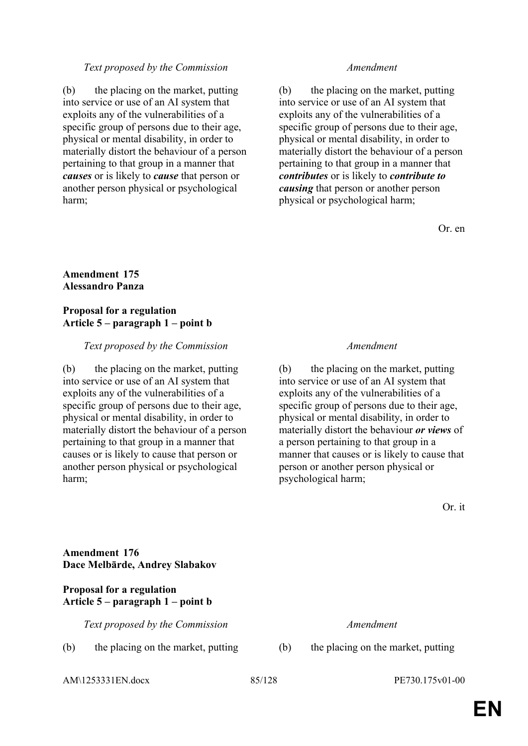#### *Text proposed by the Commission Amendment*

(b) the placing on the market, putting into service or use of an AI system that exploits any of the vulnerabilities of a specific group of persons due to their age, physical or mental disability, in order to materially distort the behaviour of a person pertaining to that group in a manner that *causes* or is likely to *cause* that person or another person physical or psychological harm;

(b) the placing on the market, putting into service or use of an AI system that exploits any of the vulnerabilities of a specific group of persons due to their age, physical or mental disability, in order to materially distort the behaviour of a person pertaining to that group in a manner that *contributes* or is likely to *contribute to causing* that person or another person physical or psychological harm;

Or. en

#### **Amendment 175 Alessandro Panza**

#### **Proposal for a regulation Article 5 – paragraph 1 – point b**

#### *Text proposed by the Commission Amendment*

(b) the placing on the market, putting into service or use of an AI system that exploits any of the vulnerabilities of a specific group of persons due to their age, physical or mental disability, in order to materially distort the behaviour of a person pertaining to that group in a manner that causes or is likely to cause that person or another person physical or psychological harm;

(b) the placing on the market, putting into service or use of an AI system that exploits any of the vulnerabilities of a specific group of persons due to their age, physical or mental disability, in order to materially distort the behaviour *or views* of a person pertaining to that group in a manner that causes or is likely to cause that person or another person physical or psychological harm;

Or. it

### **Amendment 176 Dace Melbārde, Andrey Slabakov**

#### **Proposal for a regulation Article 5 – paragraph 1 – point b**

*Text proposed by the Commission Amendment*

(b) the placing on the market, putting (b) the placing on the market, putting

AM\1253331EN.docx 85/128 PE730.175v01-00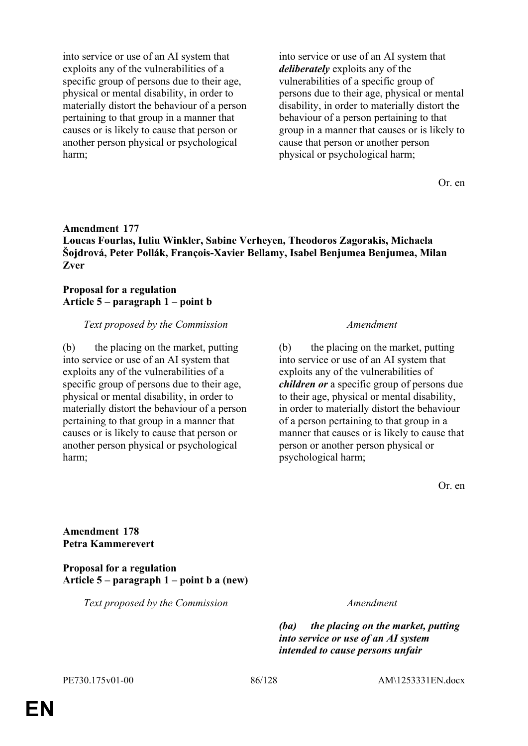into service or use of an AI system that exploits any of the vulnerabilities of a specific group of persons due to their age, physical or mental disability, in order to materially distort the behaviour of a person pertaining to that group in a manner that causes or is likely to cause that person or another person physical or psychological harm;

into service or use of an AI system that *deliberately* exploits any of the vulnerabilities of a specific group of persons due to their age, physical or mental disability, in order to materially distort the behaviour of a person pertaining to that group in a manner that causes or is likely to cause that person or another person physical or psychological harm;

Or. en

### **Amendment 177 Loucas Fourlas, Iuliu Winkler, Sabine Verheyen, Theodoros Zagorakis, Michaela Šojdrová, Peter Pollák, François-Xavier Bellamy, Isabel Benjumea Benjumea, Milan Zver**

# **Proposal for a regulation Article 5 – paragraph 1 – point b**

### *Text proposed by the Commission Amendment*

(b) the placing on the market, putting into service or use of an AI system that exploits any of the vulnerabilities of a specific group of persons due to their age, physical or mental disability, in order to materially distort the behaviour of a person pertaining to that group in a manner that causes or is likely to cause that person or another person physical or psychological harm;

(b) the placing on the market, putting into service or use of an AI system that exploits any of the vulnerabilities of *children or* a specific group of persons due to their age, physical or mental disability, in order to materially distort the behaviour of a person pertaining to that group in a manner that causes or is likely to cause that person or another person physical or psychological harm;

Or. en

**Amendment 178 Petra Kammerevert**

**Proposal for a regulation Article 5 – paragraph 1 – point b a (new)**

*Text proposed by the Commission Amendment*

*(ba) the placing on the market, putting into service or use of an AI system intended to cause persons unfair*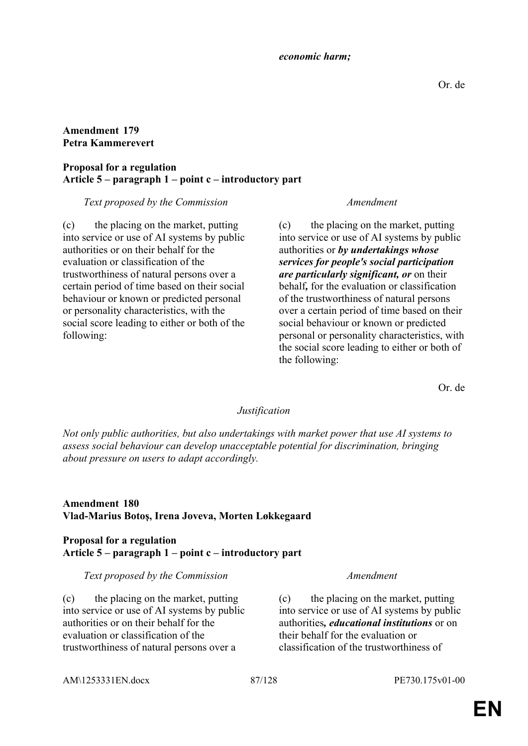#### *economic harm;*

### **Amendment 179 Petra Kammerevert**

#### **Proposal for a regulation Article 5 – paragraph 1 – point c – introductory part**

### *Text proposed by the Commission Amendment*

(c) the placing on the market, putting into service or use of AI systems by public authorities or on their behalf for the evaluation or classification of the trustworthiness of natural persons over a certain period of time based on their social behaviour or known or predicted personal or personality characteristics, with the social score leading to either or both of the following:

(c) the placing on the market, putting into service or use of AI systems by public authorities or *by undertakings whose services for people's social participation are particularly significant, or* on their behalf*,* for the evaluation or classification of the trustworthiness of natural persons over a certain period of time based on their social behaviour or known or predicted personal or personality characteristics, with the social score leading to either or both of the following:

Or. de

# *Justification*

*Not only public authorities, but also undertakings with market power that use AI systems to assess social behaviour can develop unacceptable potential for discrimination, bringing about pressure on users to adapt accordingly.*

# **Amendment 180 Vlad-Marius Botoş, Irena Joveva, Morten Løkkegaard**

### **Proposal for a regulation Article 5 – paragraph 1 – point c – introductory part**

#### *Text proposed by the Commission Amendment*

(c) the placing on the market, putting into service or use of AI systems by public authorities or on their behalf for the evaluation or classification of the trustworthiness of natural persons over a

(c) the placing on the market, putting into service or use of AI systems by public authorities*, educational institutions* or on their behalf for the evaluation or classification of the trustworthiness of

AM\1253331EN.docx 87/128 PE730.175v01-00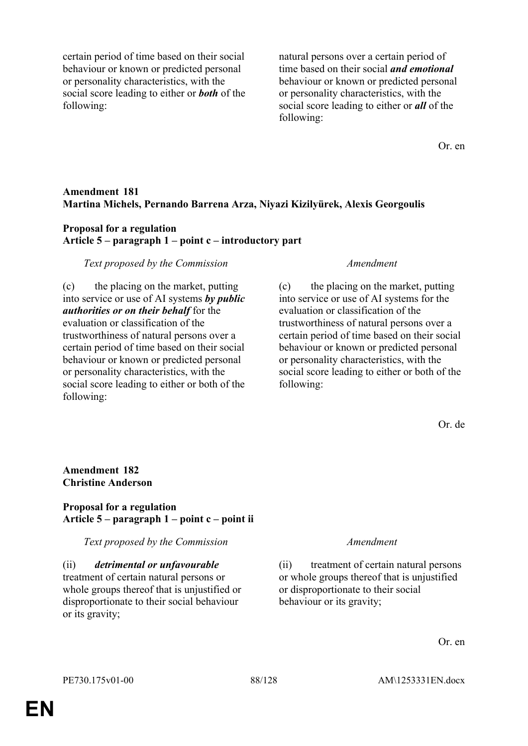certain period of time based on their social behaviour or known or predicted personal or personality characteristics, with the social score leading to either or *both* of the following:

natural persons over a certain period of time based on their social *and emotional* behaviour or known or predicted personal or personality characteristics, with the social score leading to either or *all* of the following:

Or. en

### **Amendment 181 Martina Michels, Pernando Barrena Arza, Niyazi Kizilyürek, Alexis Georgoulis**

#### **Proposal for a regulation Article 5 – paragraph 1 – point c – introductory part**

#### *Text proposed by the Commission Amendment*

(c) the placing on the market, putting into service or use of AI systems *by public authorities or on their behalf* for the evaluation or classification of the trustworthiness of natural persons over a certain period of time based on their social behaviour or known or predicted personal or personality characteristics, with the social score leading to either or both of the following:

(c) the placing on the market, putting into service or use of AI systems for the evaluation or classification of the trustworthiness of natural persons over a certain period of time based on their social behaviour or known or predicted personal or personality characteristics, with the social score leading to either or both of the following:

Or. de

# **Amendment 182 Christine Anderson**

### **Proposal for a regulation Article 5 – paragraph 1 – point c – point ii**

*Text proposed by the Commission Amendment*

(ii) *detrimental or unfavourable* treatment of certain natural persons or whole groups thereof that is unjustified or disproportionate to their social behaviour or its gravity;

(ii) treatment of certain natural persons or whole groups thereof that is unjustified or disproportionate to their social behaviour or its gravity;

Or. en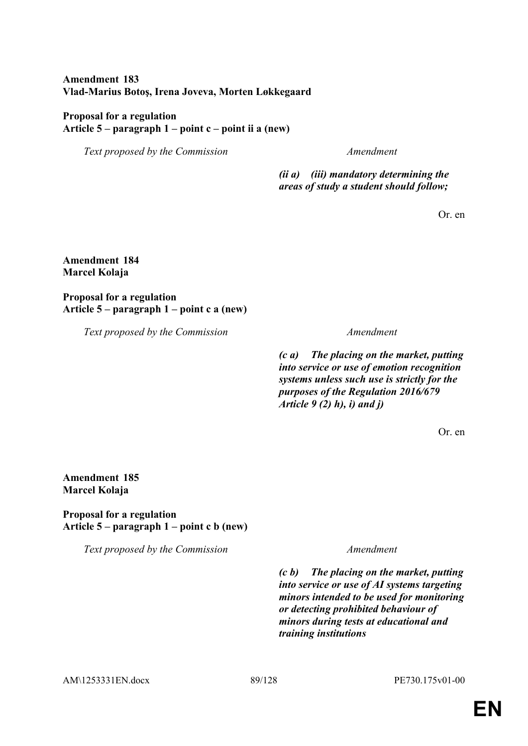# **Amendment 183 Vlad-Marius Botoş, Irena Joveva, Morten Løkkegaard**

### **Proposal for a regulation Article 5 – paragraph 1 – point c – point ii a (new)**

*Text proposed by the Commission Amendment*

*(ii a) (iii) mandatory determining the areas of study a student should follow;*

Or. en

#### **Amendment 184 Marcel Kolaja**

**Proposal for a regulation Article 5 – paragraph 1 – point c a (new)**

*Text proposed by the Commission Amendment*

*(c a) The placing on the market, putting into service or use of emotion recognition systems unless such use is strictly for the purposes of the Regulation 2016/679 Article 9 (2) h), i) and j)*

Or. en

# **Amendment 185 Marcel Kolaja**

**Proposal for a regulation Article 5 – paragraph 1 – point c b (new)**

*Text proposed by the Commission Amendment*

*(c b) The placing on the market, putting into service or use of AI systems targeting minors intended to be used for monitoring or detecting prohibited behaviour of minors during tests at educational and training institutions*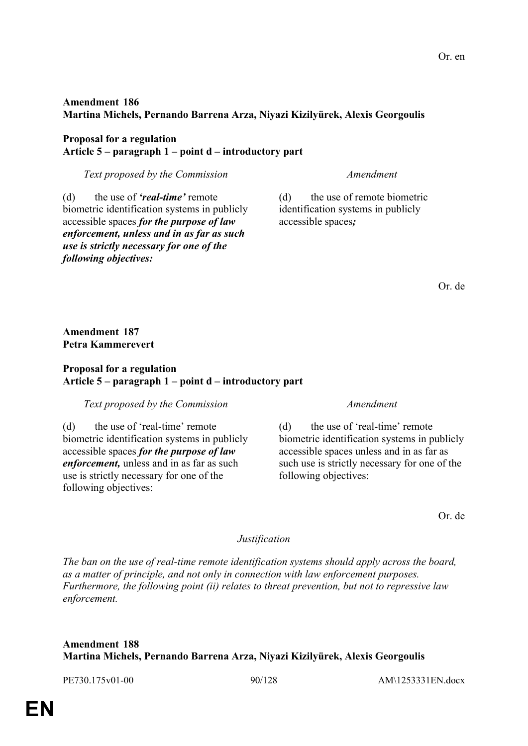# **Amendment 186 Martina Michels, Pernando Barrena Arza, Niyazi Kizilyürek, Alexis Georgoulis**

#### **Proposal for a regulation Article 5 – paragraph 1 – point d – introductory part**

*Text proposed by the Commission Amendment*

(d) the use of *'real-time'* remote biometric identification systems in publicly accessible spaces *for the purpose of law enforcement, unless and in as far as such use is strictly necessary for one of the following objectives:*

(d) the use of remote biometric identification systems in publicly accessible spaces*;*

Or. de

**Amendment 187 Petra Kammerevert**

# **Proposal for a regulation Article 5 – paragraph 1 – point d – introductory part**

*Text proposed by the Commission Amendment*

(d) the use of 'real-time' remote biometric identification systems in publicly accessible spaces *for the purpose of law enforcement,* unless and in as far as such use is strictly necessary for one of the following objectives:

(d) the use of 'real-time' remote biometric identification systems in publicly accessible spaces unless and in as far as such use is strictly necessary for one of the following objectives:

Or. de

# *Justification*

*The ban on the use of real-time remote identification systems should apply across the board, as a matter of principle, and not only in connection with law enforcement purposes. Furthermore, the following point (ii) relates to threat prevention, but not to repressive law enforcement.*

# **Amendment 188 Martina Michels, Pernando Barrena Arza, Niyazi Kizilyürek, Alexis Georgoulis**

PE730.175v01-00 90/128 AM\1253331EN.docx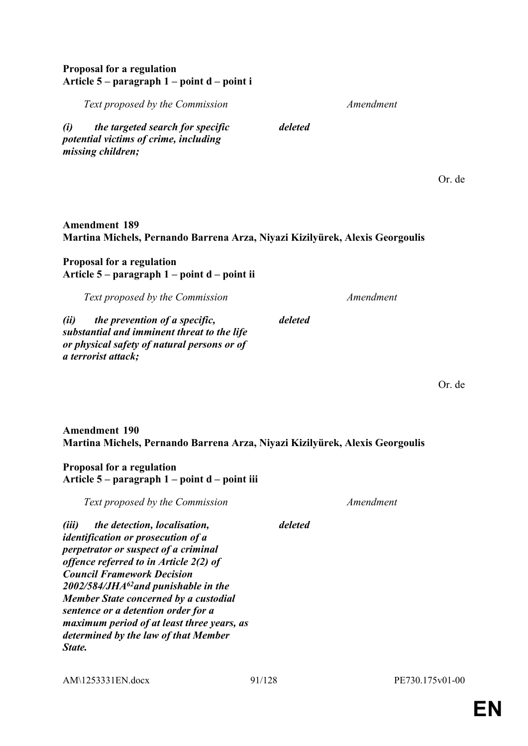### **Proposal for a regulation Article 5 – paragraph 1 – point d – point i**

*Text proposed by the Commission Amendment*

*(i) the targeted search for specific potential victims of crime, including missing children;*

# **Amendment 189 Martina Michels, Pernando Barrena Arza, Niyazi Kizilyürek, Alexis Georgoulis**

*deleted*

*deleted*

## **Proposal for a regulation Article 5 – paragraph 1 – point d – point ii**

*Text proposed by the Commission Amendment*

*(ii) the prevention of a specific, substantial and imminent threat to the life or physical safety of natural persons or of a terrorist attack;*

Or. de

Or. de

# **Amendment 190 Martina Michels, Pernando Barrena Arza, Niyazi Kizilyürek, Alexis Georgoulis**

# **Proposal for a regulation Article 5 – paragraph 1 – point d – point iii**

*Text proposed by the Commission Amendment*

*deleted*

*(iii) the detection, localisation, identification or prosecution of a perpetrator or suspect of a criminal offence referred to in Article 2(2) of Council Framework Decision 2002/584/JHA<sup>62</sup>and punishable in the Member State concerned by a custodial sentence or a detention order for a maximum period of at least three years, as determined by the law of that Member State.*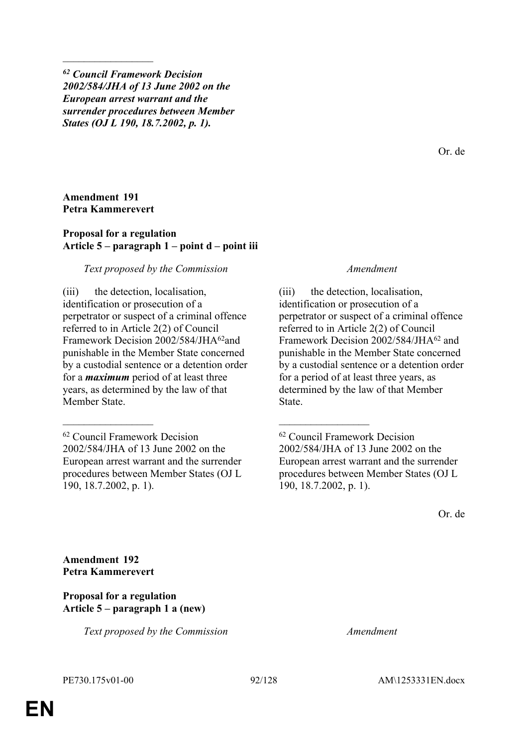*<sup>62</sup> Council Framework Decision 2002/584/JHA of 13 June 2002 on the European arrest warrant and the surrender procedures between Member States (OJ L 190, 18.7.2002, p. 1).*

Or. de

#### **Amendment 191 Petra Kammerevert**

 $\frac{1}{2}$ 

#### **Proposal for a regulation Article 5 – paragraph 1 – point d – point iii**

#### *Text proposed by the Commission Amendment*

(iii) the detection, localisation, identification or prosecution of a perpetrator or suspect of a criminal offence referred to in Article 2(2) of Council Framework Decision 2002/584/JHA<sup>62</sup>and punishable in the Member State concerned by a custodial sentence or a detention order for a *maximum* period of at least three years, as determined by the law of that Member State.

\_\_\_\_\_\_\_\_\_\_\_\_\_\_\_\_\_ \_\_\_\_\_\_\_\_\_\_\_\_\_\_\_\_\_

(iii) the detection, localisation, identification or prosecution of a perpetrator or suspect of a criminal offence referred to in Article 2(2) of Council Framework Decision 2002/584/JHA<sup>62</sup> and punishable in the Member State concerned by a custodial sentence or a detention order for a period of at least three years, as determined by the law of that Member State.

Or. de

**Amendment 192 Petra Kammerevert**

### **Proposal for a regulation Article 5 – paragraph 1 a (new)**

*Text proposed by the Commission Amendment*

<sup>62</sup> Council Framework Decision 2002/584/JHA of 13 June 2002 on the European arrest warrant and the surrender procedures between Member States (OJ L 190, 18.7.2002, p. 1).

<sup>62</sup> Council Framework Decision 2002/584/JHA of 13 June 2002 on the European arrest warrant and the surrender procedures between Member States (OJ L 190, 18.7.2002, p. 1).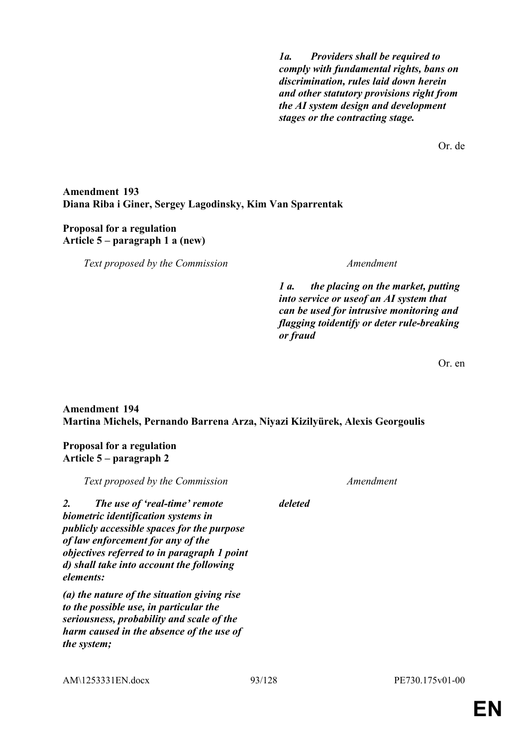*1a. Providers shall be required to comply with fundamental rights, bans on discrimination, rules laid down herein and other statutory provisions right from the AI system design and development stages or the contracting stage.*

Or. de

### **Amendment 193 Diana Riba i Giner, Sergey Lagodinsky, Kim Van Sparrentak**

#### **Proposal for a regulation Article 5 – paragraph 1 a (new)**

*Text proposed by the Commission Amendment*

*1 a. the placing on the market, putting into service or useof an AI system that can be used for intrusive monitoring and flagging toidentify or deter rule-breaking or fraud*

Or. en

# **Amendment 194 Martina Michels, Pernando Barrena Arza, Niyazi Kizilyürek, Alexis Georgoulis**

# **Proposal for a regulation Article 5 – paragraph 2**

| Text proposed by the Commission |                                                                                                                                                                                                                                                                        |         | Amendment |  |
|---------------------------------|------------------------------------------------------------------------------------------------------------------------------------------------------------------------------------------------------------------------------------------------------------------------|---------|-----------|--|
| 2.                              | The use of 'real-time' remote<br>biometric identification systems in<br><i>publicly accessible spaces for the purpose</i><br>of law enforcement for any of the<br>objectives referred to in paragraph 1 point<br>d) shall take into account the following<br>elements: | deleted |           |  |
|                                 | (a) the nature of the situation giving rise<br>to the possible use, in particular the<br>seriousness, probability and scale of the<br>harm caused in the absence of the use of<br><i>the system;</i>                                                                   |         |           |  |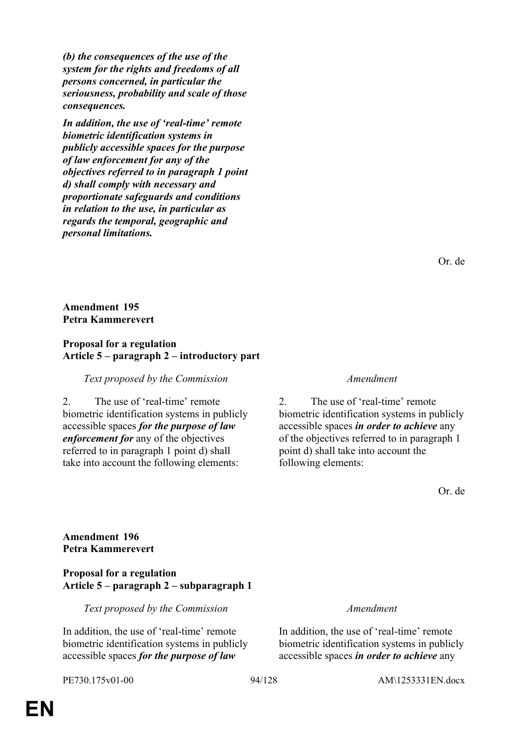*(b) the consequences of the use of the system for the rights and freedoms of all persons concerned, in particular the seriousness, probability and scale of those consequences.*

*In addition, the use of 'real-time' remote biometric identification systems in publicly accessible spaces for the purpose of law enforcement for any of the objectives referred to in paragraph 1 point d) shall comply with necessary and proportionate safeguards and conditions in relation to the use, in particular as regards the temporal, geographic and personal limitations.*

Or. de

**Amendment 195 Petra Kammerevert**

### **Proposal for a regulation Article 5 – paragraph 2 – introductory part**

*Text proposed by the Commission Amendment*

2. The use of 'real-time' remote biometric identification systems in publicly accessible spaces *for the purpose of law enforcement for* any of the objectives referred to in paragraph 1 point d) shall take into account the following elements:

2. The use of 'real-time' remote biometric identification systems in publicly accessible spaces *in order to achieve* any of the objectives referred to in paragraph 1 point d) shall take into account the following elements:

Or. de

**Amendment 196 Petra Kammerevert**

### **Proposal for a regulation Article 5 – paragraph 2 – subparagraph 1**

*Text proposed by the Commission Amendment*

In addition, the use of 'real-time' remote biometric identification systems in publicly accessible spaces *for the purpose of law* 

In addition, the use of 'real-time' remote biometric identification systems in publicly accessible spaces *in order to achieve* any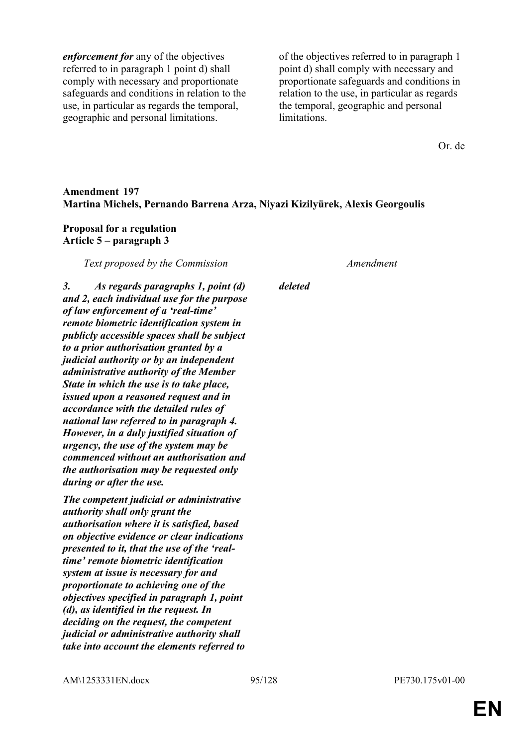*enforcement for* any of the objectives referred to in paragraph 1 point d) shall comply with necessary and proportionate safeguards and conditions in relation to the use, in particular as regards the temporal, geographic and personal limitations.

of the objectives referred to in paragraph 1 point d) shall comply with necessary and proportionate safeguards and conditions in relation to the use, in particular as regards the temporal, geographic and personal limitations.

Or. de

### **Amendment 197 Martina Michels, Pernando Barrena Arza, Niyazi Kizilyürek, Alexis Georgoulis**

#### **Proposal for a regulation Article 5 – paragraph 3**

*Text proposed by the Commission Amendment*

*3. As regards paragraphs 1, point (d) and 2, each individual use for the purpose of law enforcement of a 'real-time' remote biometric identification system in publicly accessible spaces shall be subject to a prior authorisation granted by a judicial authority or by an independent administrative authority of the Member State in which the use is to take place, issued upon a reasoned request and in accordance with the detailed rules of national law referred to in paragraph 4. However, in a duly justified situation of* 

*urgency, the use of the system may be commenced without an authorisation and the authorisation may be requested only during or after the use.*

*The competent judicial or administrative authority shall only grant the authorisation where it is satisfied, based on objective evidence or clear indications presented to it, that the use of the 'realtime' remote biometric identification system at issue is necessary for and proportionate to achieving one of the objectives specified in paragraph 1, point (d), as identified in the request. In deciding on the request, the competent judicial or administrative authority shall take into account the elements referred to* 

### *deleted*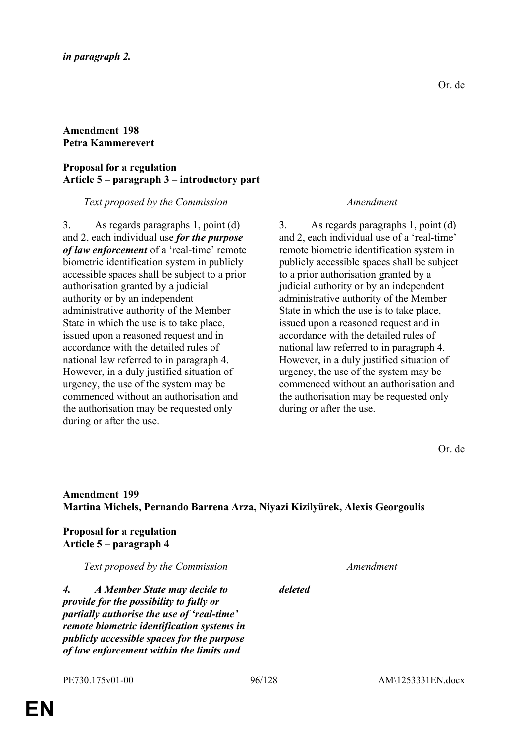# **Amendment 198 Petra Kammerevert**

### **Proposal for a regulation Article 5 – paragraph 3 – introductory part**

#### *Text proposed by the Commission Amendment*

3. As regards paragraphs 1, point (d) and 2, each individual use *for the purpose of law enforcement* of a 'real-time' remote biometric identification system in publicly accessible spaces shall be subject to a prior authorisation granted by a judicial authority or by an independent administrative authority of the Member State in which the use is to take place, issued upon a reasoned request and in accordance with the detailed rules of national law referred to in paragraph 4. However, in a duly justified situation of urgency, the use of the system may be commenced without an authorisation and the authorisation may be requested only during or after the use.

3. As regards paragraphs 1, point (d) and 2, each individual use of a 'real-time' remote biometric identification system in publicly accessible spaces shall be subject to a prior authorisation granted by a judicial authority or by an independent administrative authority of the Member State in which the use is to take place, issued upon a reasoned request and in accordance with the detailed rules of national law referred to in paragraph 4. However, in a duly justified situation of urgency, the use of the system may be commenced without an authorisation and the authorisation may be requested only during or after the use.

Or. de

# **Amendment 199 Martina Michels, Pernando Barrena Arza, Niyazi Kizilyürek, Alexis Georgoulis**

**Proposal for a regulation Article 5 – paragraph 4**

*Text proposed by the Commission Amendment*

*deleted*

*4. A Member State may decide to provide for the possibility to fully or partially authorise the use of 'real-time' remote biometric identification systems in publicly accessible spaces for the purpose of law enforcement within the limits and*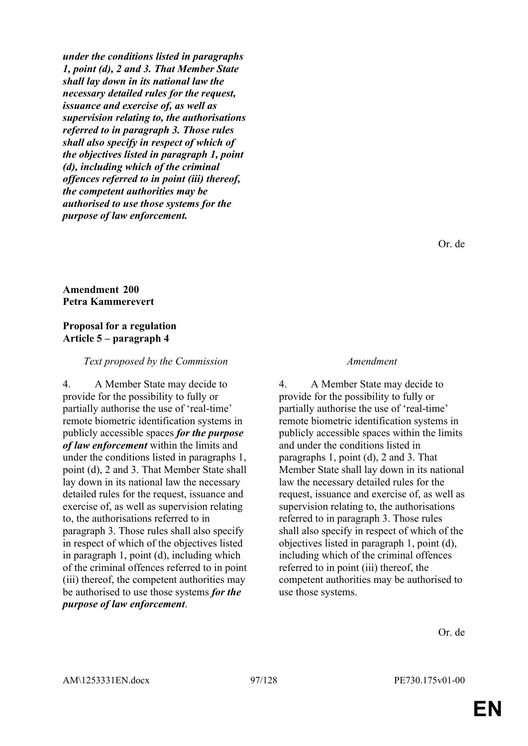*under the conditions listed in paragraphs 1, point (d), 2 and 3. That Member State shall lay down in its national law the necessary detailed rules for the request, issuance and exercise of, as well as supervision relating to, the authorisations referred to in paragraph 3. Those rules shall also specify in respect of which of the objectives listed in paragraph 1, point (d), including which of the criminal offences referred to in point (iii) thereof, the competent authorities may be authorised to use those systems for the purpose of law enforcement.*

Or. de

### **Amendment 200 Petra Kammerevert**

#### **Proposal for a regulation Article 5 – paragraph 4**

#### *Text proposed by the Commission Amendment*

4. A Member State may decide to provide for the possibility to fully or partially authorise the use of 'real-time' remote biometric identification systems in publicly accessible spaces *for the purpose of law enforcement* within the limits and under the conditions listed in paragraphs 1, point (d), 2 and 3. That Member State shall lay down in its national law the necessary detailed rules for the request, issuance and exercise of, as well as supervision relating to, the authorisations referred to in paragraph 3. Those rules shall also specify in respect of which of the objectives listed in paragraph 1, point (d), including which of the criminal offences referred to in point (iii) thereof, the competent authorities may be authorised to use those systems *for the purpose of law enforcement*.

4. A Member State may decide to provide for the possibility to fully or partially authorise the use of 'real-time' remote biometric identification systems in publicly accessible spaces within the limits and under the conditions listed in paragraphs 1, point (d), 2 and 3. That Member State shall lay down in its national law the necessary detailed rules for the request, issuance and exercise of, as well as supervision relating to, the authorisations referred to in paragraph 3. Those rules shall also specify in respect of which of the objectives listed in paragraph 1, point (d), including which of the criminal offences referred to in point (iii) thereof, the competent authorities may be authorised to use those systems.

Or. de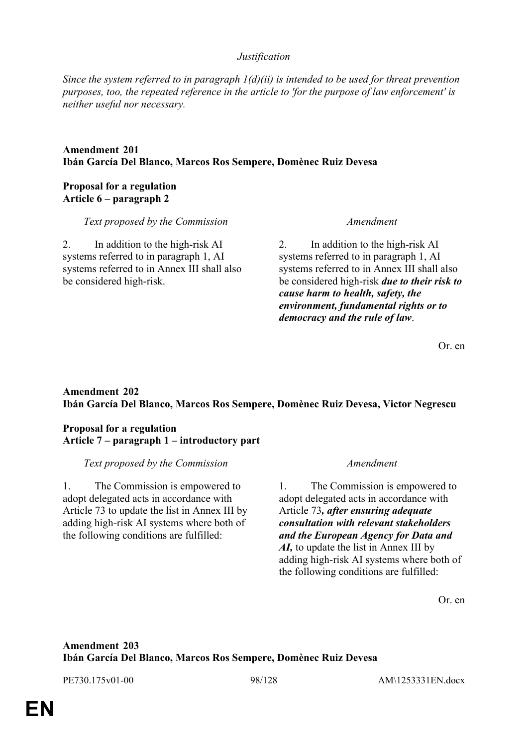#### *Justification*

*Since the system referred to in paragraph 1(d)(ii) is intended to be used for threat prevention purposes, too, the repeated reference in the article to 'for the purpose of law enforcement' is neither useful nor necessary.*

#### **Amendment 201 Ibán García Del Blanco, Marcos Ros Sempere, Domènec Ruiz Devesa**

### **Proposal for a regulation Article 6 – paragraph 2**

*Text proposed by the Commission Amendment*

2. In addition to the high-risk AI systems referred to in paragraph 1, AI systems referred to in Annex III shall also be considered high-risk.

2. In addition to the high-risk AI systems referred to in paragraph 1, AI systems referred to in Annex III shall also be considered high-risk *due to their risk to cause harm to health, safety, the environment, fundamental rights or to democracy and the rule of law*.

Or. en

# **Amendment 202 Ibán García Del Blanco, Marcos Ros Sempere, Domènec Ruiz Devesa, Victor Negrescu**

### **Proposal for a regulation Article 7 – paragraph 1 – introductory part**

*Text proposed by the Commission Amendment*

1. The Commission is empowered to adopt delegated acts in accordance with Article 73 to update the list in Annex III by adding high-risk AI systems where both of the following conditions are fulfilled:

1. The Commission is empowered to adopt delegated acts in accordance with Article 73*, after ensuring adequate consultation with relevant stakeholders and the European Agency for Data and AI,* to update the list in Annex III by adding high-risk AI systems where both of the following conditions are fulfilled:

Or. en

# **Amendment 203 Ibán García Del Blanco, Marcos Ros Sempere, Domènec Ruiz Devesa**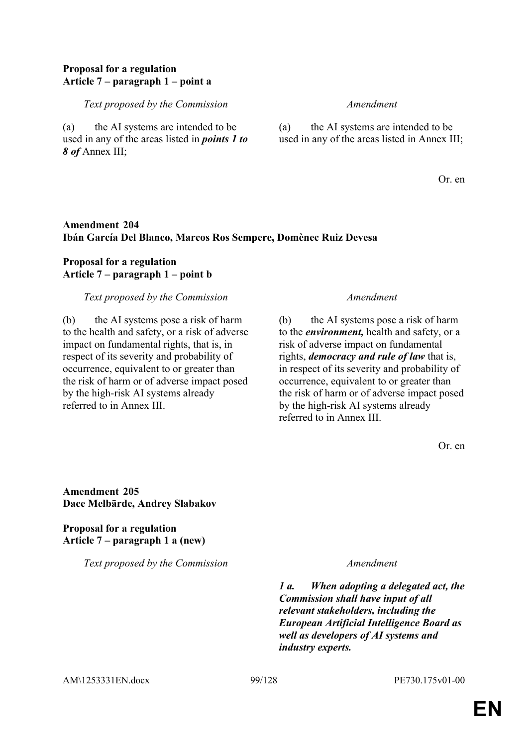### **Proposal for a regulation Article 7 – paragraph 1 – point a**

*Text proposed by the Commission Amendment*

(a) the AI systems are intended to be used in any of the areas listed in *points 1 to 8 of* Annex III;

(a) the AI systems are intended to be used in any of the areas listed in Annex III;

Or. en

# **Amendment 204 Ibán García Del Blanco, Marcos Ros Sempere, Domènec Ruiz Devesa**

# **Proposal for a regulation Article 7 – paragraph 1 – point b**

#### *Text proposed by the Commission Amendment*

(b) the AI systems pose a risk of harm to the health and safety, or a risk of adverse impact on fundamental rights, that is, in respect of its severity and probability of occurrence, equivalent to or greater than the risk of harm or of adverse impact posed by the high-risk AI systems already referred to in Annex III.

(b) the AI systems pose a risk of harm to the *environment,* health and safety, or a risk of adverse impact on fundamental rights, *democracy and rule of law* that is, in respect of its severity and probability of occurrence, equivalent to or greater than the risk of harm or of adverse impact posed by the high-risk AI systems already referred to in Annex III.

Or. en

**Amendment 205 Dace Melbārde, Andrey Slabakov**

**Proposal for a regulation Article 7 – paragraph 1 a (new)**

*Text proposed by the Commission Amendment*

*1 a. When adopting a delegated act, the Commission shall have input of all relevant stakeholders, including the European Artificial Intelligence Board as well as developers of AI systems and industry experts.*

AM\1253331EN.docx 99/128 PE730.175v01-00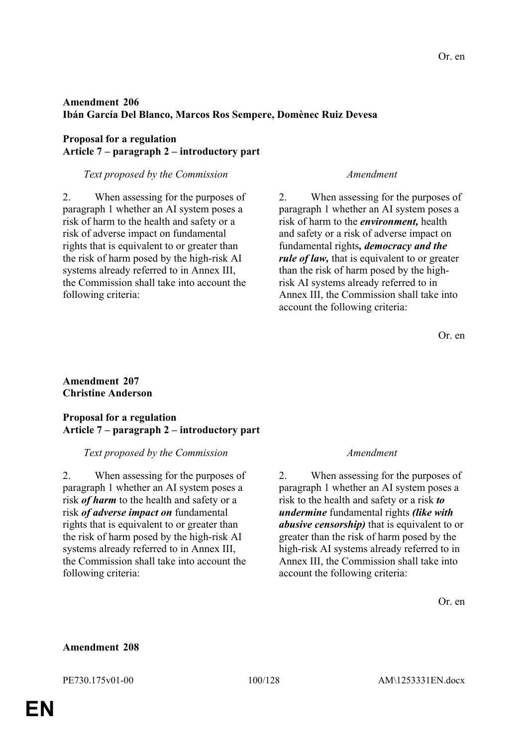# **Amendment 206 Ibán García Del Blanco, Marcos Ros Sempere, Domènec Ruiz Devesa**

### **Proposal for a regulation Article 7 – paragraph 2 – introductory part**

#### *Text proposed by the Commission Amendment*

2. When assessing for the purposes of paragraph 1 whether an AI system poses a risk of harm to the health and safety or a risk of adverse impact on fundamental rights that is equivalent to or greater than the risk of harm posed by the high-risk AI systems already referred to in Annex III, the Commission shall take into account the following criteria:

2. When assessing for the purposes of paragraph 1 whether an AI system poses a risk of harm to the *environment,* health and safety or a risk of adverse impact on fundamental rights*, democracy and the rule of law,* that is equivalent to or greater than the risk of harm posed by the highrisk AI systems already referred to in Annex III, the Commission shall take into account the following criteria:

Or. en

### **Amendment 207 Christine Anderson**

#### **Proposal for a regulation Article 7 – paragraph 2 – introductory part**

#### *Text proposed by the Commission Amendment*

2. When assessing for the purposes of paragraph 1 whether an AI system poses a risk *of harm* to the health and safety or a risk *of adverse impact on* fundamental rights that is equivalent to or greater than the risk of harm posed by the high-risk AI systems already referred to in Annex III, the Commission shall take into account the following criteria:

2. When assessing for the purposes of paragraph 1 whether an AI system poses a risk to the health and safety or a risk *to undermine* fundamental rights *(like with abusive censorship)* that is equivalent to or greater than the risk of harm posed by the high-risk AI systems already referred to in Annex III, the Commission shall take into account the following criteria:

Or. en

#### **Amendment 208**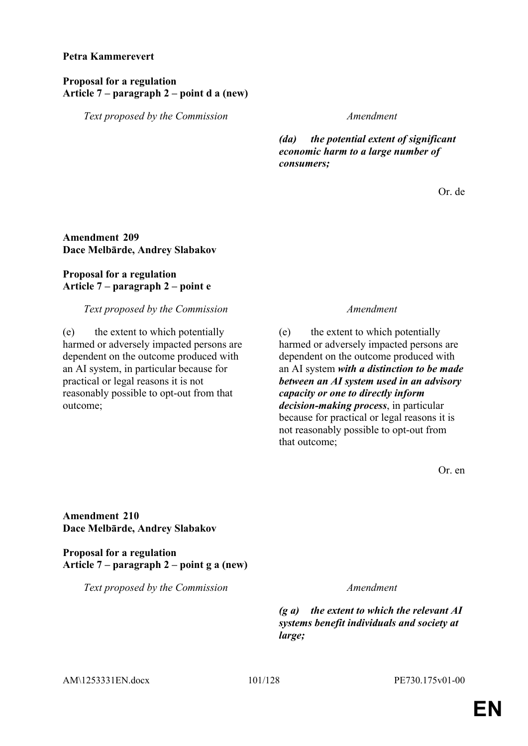#### **Petra Kammerevert**

#### **Proposal for a regulation Article 7 – paragraph 2 – point d a (new)**

*Text proposed by the Commission Amendment*

*(da) the potential extent of significant economic harm to a large number of consumers;*

Or. de

### **Amendment 209 Dace Melbārde, Andrey Slabakov**

#### **Proposal for a regulation Article 7 – paragraph 2 – point e**

*Text proposed by the Commission Amendment*

(e) the extent to which potentially harmed or adversely impacted persons are dependent on the outcome produced with an AI system, in particular because for practical or legal reasons it is not reasonably possible to opt-out from that outcome;

(e) the extent to which potentially harmed or adversely impacted persons are dependent on the outcome produced with an AI system *with a distinction to be made between an AI system used in an advisory capacity or one to directly inform decision-making process*, in particular because for practical or legal reasons it is not reasonably possible to opt-out from that outcome;

Or. en

**Amendment 210 Dace Melbārde, Andrey Slabakov**

**Proposal for a regulation Article 7 – paragraph 2 – point g a (new)**

*Text proposed by the Commission Amendment*

*(g a) the extent to which the relevant AI systems benefit individuals and society at large;*

AM\1253331EN.docx 101/128 PE730.175v01-00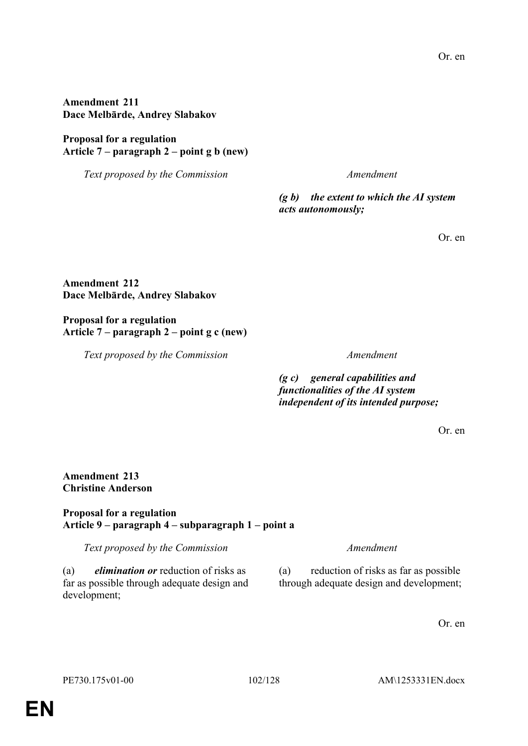# **Amendment 211 Dace Melbārde, Andrey Slabakov**

# **Proposal for a regulation Article 7 – paragraph 2 – point g b (new)**

*Text proposed by the Commission Amendment*

*(g b) the extent to which the AI system acts autonomously;*

Or. en

# **Amendment 212 Dace Melbārde, Andrey Slabakov**

**Proposal for a regulation Article 7 – paragraph 2 – point g c (new)**

*Text proposed by the Commission Amendment*

*(g c) general capabilities and functionalities of the AI system independent of its intended purpose;*

Or. en

### **Amendment 213 Christine Anderson**

# **Proposal for a regulation Article 9 – paragraph 4 – subparagraph 1 – point a**

*Text proposed by the Commission Amendment*

(a) *elimination or* reduction of risks as far as possible through adequate design and development;

(a) reduction of risks as far as possible through adequate design and development;

Or. en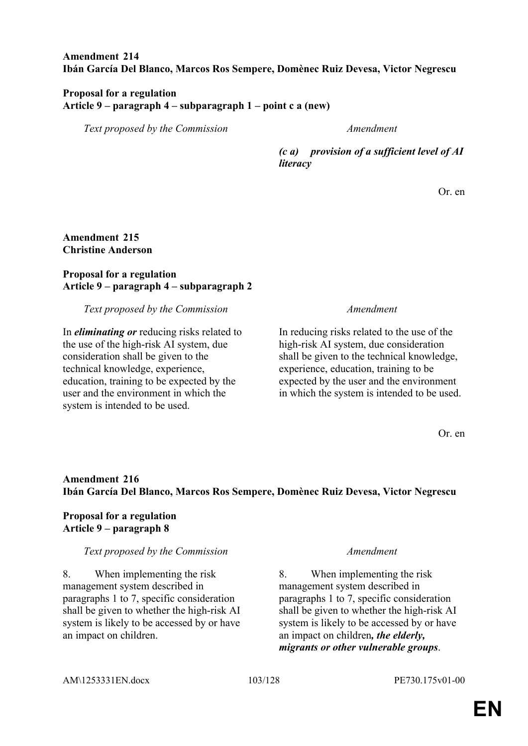### **Amendment 214 Ibán García Del Blanco, Marcos Ros Sempere, Domènec Ruiz Devesa, Victor Negrescu**

### **Proposal for a regulation Article 9 – paragraph 4 – subparagraph 1 – point c a (new)**

*Text proposed by the Commission Amendment*

*(c a) provision of a sufficient level of AI literacy*

Or. en

### **Amendment 215 Christine Anderson**

### **Proposal for a regulation Article 9 – paragraph 4 – subparagraph 2**

*Text proposed by the Commission Amendment*

In *eliminating or* reducing risks related to the use of the high-risk AI system, due consideration shall be given to the technical knowledge, experience, education, training to be expected by the user and the environment in which the system is intended to be used.

In reducing risks related to the use of the high-risk AI system, due consideration shall be given to the technical knowledge, experience, education, training to be expected by the user and the environment in which the system is intended to be used.

Or. en

# **Amendment 216 Ibán García Del Blanco, Marcos Ros Sempere, Domènec Ruiz Devesa, Victor Negrescu**

# **Proposal for a regulation Article 9 – paragraph 8**

# *Text proposed by the Commission Amendment*

8. When implementing the risk management system described in paragraphs 1 to 7, specific consideration shall be given to whether the high-risk AI system is likely to be accessed by or have an impact on children.

8. When implementing the risk management system described in paragraphs 1 to 7, specific consideration shall be given to whether the high-risk AI system is likely to be accessed by or have an impact on children*, the elderly, migrants or other vulnerable groups*.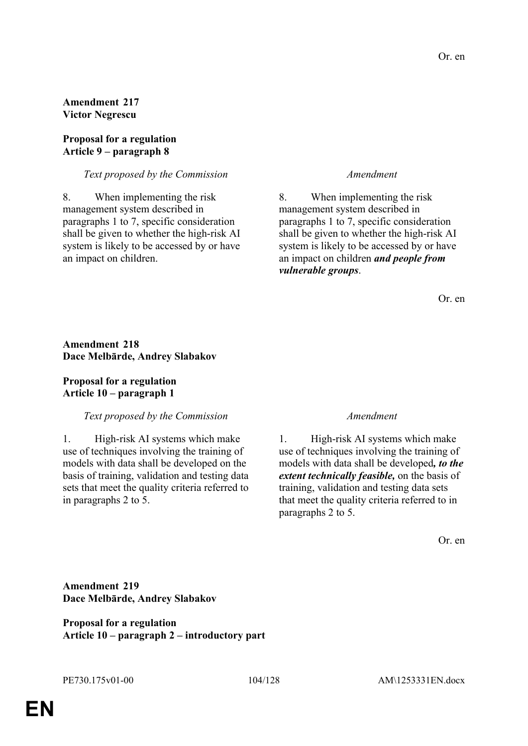**Amendment 217 Victor Negrescu**

#### **Proposal for a regulation Article 9 – paragraph 8**

#### *Text proposed by the Commission Amendment*

8. When implementing the risk management system described in paragraphs 1 to 7, specific consideration shall be given to whether the high-risk AI system is likely to be accessed by or have an impact on children.

8. When implementing the risk management system described in paragraphs 1 to 7, specific consideration shall be given to whether the high-risk AI system is likely to be accessed by or have an impact on children *and people from vulnerable groups*.

Or. en

#### **Amendment 218 Dace Melbārde, Andrey Slabakov**

### **Proposal for a regulation Article 10 – paragraph 1**

#### *Text proposed by the Commission Amendment*

1. High-risk AI systems which make use of techniques involving the training of models with data shall be developed on the basis of training, validation and testing data sets that meet the quality criteria referred to in paragraphs 2 to 5.

1. High-risk AI systems which make use of techniques involving the training of models with data shall be developed*, to the extent technically feasible,* on the basis of training, validation and testing data sets that meet the quality criteria referred to in paragraphs 2 to 5.

Or. en

### **Amendment 219 Dace Melbārde, Andrey Slabakov**

**Proposal for a regulation Article 10 – paragraph 2 – introductory part**

**EN**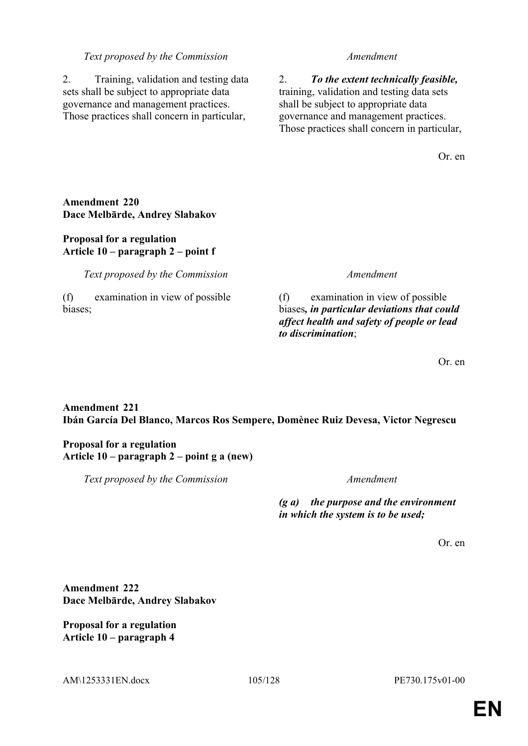#### *Text proposed by the Commission Amendment*

2. Training, validation and testing data sets shall be subject to appropriate data governance and management practices. Those practices shall concern in particular,

2. *To the extent technically feasible,* training, validation and testing data sets shall be subject to appropriate data governance and management practices. Those practices shall concern in particular,

Or. en

### **Amendment 220 Dace Melbārde, Andrey Slabakov**

### **Proposal for a regulation Article 10 – paragraph 2 – point f**

*Text proposed by the Commission Amendment*

(f) examination in view of possible biases;

(f) examination in view of possible biases*, in particular deviations that could affect health and safety of people or lead to discrimination*;

Or. en

# **Amendment 221 Ibán García Del Blanco, Marcos Ros Sempere, Domènec Ruiz Devesa, Victor Negrescu**

### **Proposal for a regulation Article 10 – paragraph 2 – point g a (new)**

*Text proposed by the Commission Amendment*

*(g a) the purpose and the environment in which the system is to be used;*

Or. en

**Amendment 222 Dace Melbārde, Andrey Slabakov**

**Proposal for a regulation Article 10 – paragraph 4**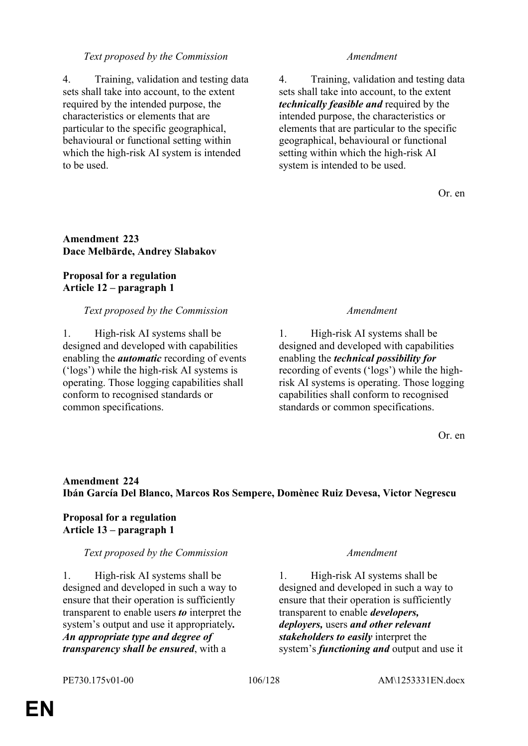### *Text proposed by the Commission Amendment*

4. Training, validation and testing data sets shall take into account, to the extent required by the intended purpose, the characteristics or elements that are particular to the specific geographical, behavioural or functional setting within which the high-risk AI system is intended to be used.

4. Training, validation and testing data sets shall take into account, to the extent *technically feasible and* required by the intended purpose, the characteristics or elements that are particular to the specific geographical, behavioural or functional setting within which the high-risk AI system is intended to be used.

Or. en

### **Amendment 223 Dace Melbārde, Andrey Slabakov**

# **Proposal for a regulation Article 12 – paragraph 1**

#### *Text proposed by the Commission Amendment*

1. High-risk AI systems shall be designed and developed with capabilities enabling the *automatic* recording of events ('logs') while the high-risk AI systems is operating. Those logging capabilities shall conform to recognised standards or common specifications.

1. High-risk AI systems shall be designed and developed with capabilities enabling the *technical possibility for* recording of events ('logs') while the highrisk AI systems is operating. Those logging capabilities shall conform to recognised standards or common specifications.

Or. en

# **Amendment 224 Ibán García Del Blanco, Marcos Ros Sempere, Domènec Ruiz Devesa, Victor Negrescu**

# **Proposal for a regulation Article 13 – paragraph 1**

#### *Text proposed by the Commission Amendment*

1. High-risk AI systems shall be designed and developed in such a way to ensure that their operation is sufficiently transparent to enable users *to* interpret the system's output and use it appropriately*. An appropriate type and degree of transparency shall be ensured*, with a

1. High-risk AI systems shall be designed and developed in such a way to ensure that their operation is sufficiently transparent to enable *developers, deployers,* users *and other relevant stakeholders to easily* interpret the system's *functioning and* output and use it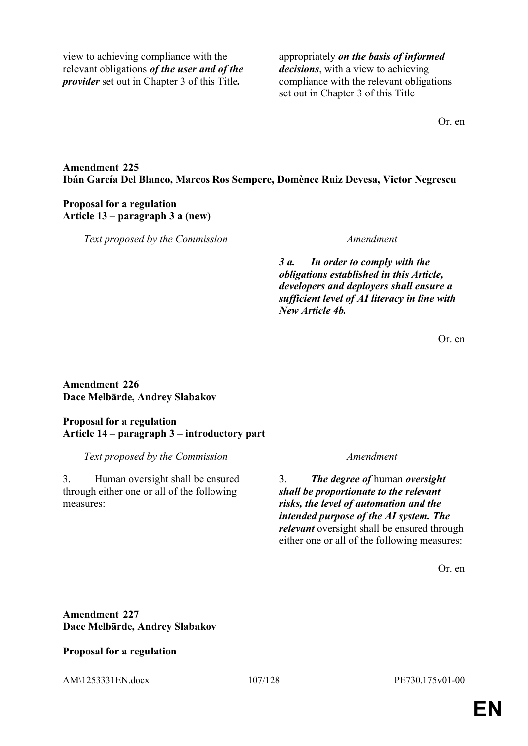view to achieving compliance with the relevant obligations *of the user and of the provider* set out in Chapter 3 of this Title*.*

appropriately *on the basis of informed decisions*, with a view to achieving compliance with the relevant obligations set out in Chapter 3 of this Title

Or. en

### **Amendment 225 Ibán García Del Blanco, Marcos Ros Sempere, Domènec Ruiz Devesa, Victor Negrescu**

### **Proposal for a regulation Article 13 – paragraph 3 a (new)**

*Text proposed by the Commission Amendment*

*3 a. In order to comply with the obligations established in this Article, developers and deployers shall ensure a sufficient level of AI literacy in line with New Article 4b.*

Or. en

### **Amendment 226 Dace Melbārde, Andrey Slabakov**

# **Proposal for a regulation Article 14 – paragraph 3 – introductory part**

*Text proposed by the Commission Amendment*

3. Human oversight shall be ensured through either one or all of the following measures:

3. *The degree of* human *oversight shall be proportionate to the relevant risks, the level of automation and the intended purpose of the AI system. The relevant* oversight shall be ensured through either one or all of the following measures:

Or. en

# **Amendment 227 Dace Melbārde, Andrey Slabakov**

**Proposal for a regulation**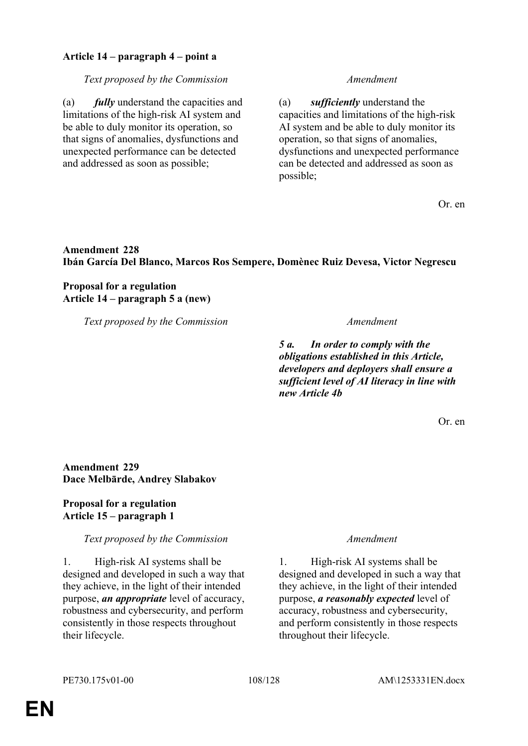## **Article 14 – paragraph 4 – point a**

#### *Text proposed by the Commission Amendment*

(a) *fully* understand the capacities and limitations of the high-risk AI system and be able to duly monitor its operation, so that signs of anomalies, dysfunctions and unexpected performance can be detected and addressed as soon as possible;

(a) *sufficiently* understand the capacities and limitations of the high-risk AI system and be able to duly monitor its operation, so that signs of anomalies, dysfunctions and unexpected performance can be detected and addressed as soon as possible;

Or. en

# **Amendment 228 Ibán García Del Blanco, Marcos Ros Sempere, Domènec Ruiz Devesa, Victor Negrescu**

### **Proposal for a regulation Article 14 – paragraph 5 a (new)**

*Text proposed by the Commission Amendment*

*5 a. In order to comply with the obligations established in this Article, developers and deployers shall ensure a sufficient level of AI literacy in line with new Article 4b*

Or. en

# **Amendment 229 Dace Melbārde, Andrey Slabakov**

### **Proposal for a regulation Article 15 – paragraph 1**

#### *Text proposed by the Commission Amendment*

1. High-risk AI systems shall be designed and developed in such a way that they achieve, in the light of their intended purpose, *an appropriate* level of accuracy, robustness and cybersecurity, and perform consistently in those respects throughout their lifecycle.

1. High-risk AI systems shall be designed and developed in such a way that they achieve, in the light of their intended purpose, *a reasonably expected* level of accuracy, robustness and cybersecurity, and perform consistently in those respects throughout their lifecycle.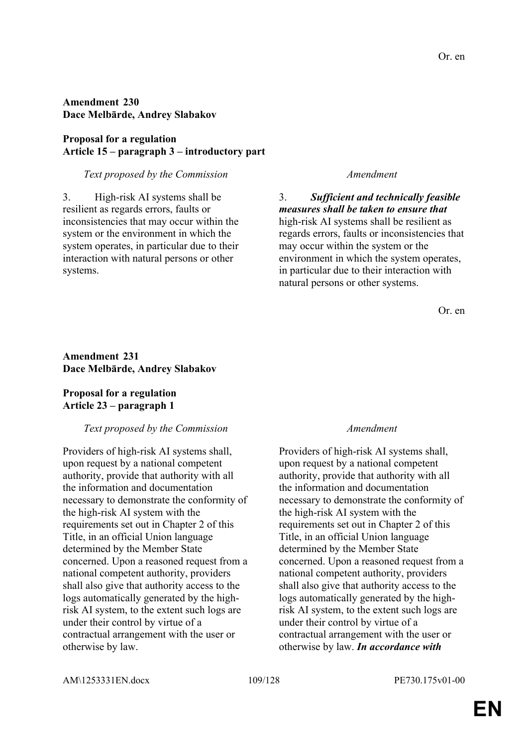### **Amendment 230 Dace Melbārde, Andrey Slabakov**

### **Proposal for a regulation Article 15 – paragraph 3 – introductory part**

#### *Text proposed by the Commission Amendment*

3. High-risk AI systems shall be resilient as regards errors, faults or inconsistencies that may occur within the system or the environment in which the system operates, in particular due to their interaction with natural persons or other systems.

3. *Sufficient and technically feasible measures shall be taken to ensure that* high-risk AI systems shall be resilient as regards errors, faults or inconsistencies that may occur within the system or the environment in which the system operates, in particular due to their interaction with natural persons or other systems.

Or. en

#### **Amendment 231 Dace Melbārde, Andrey Slabakov**

### **Proposal for a regulation Article 23 – paragraph 1**

#### *Text proposed by the Commission Amendment*

Providers of high-risk AI systems shall, upon request by a national competent authority, provide that authority with all the information and documentation necessary to demonstrate the conformity of the high-risk AI system with the requirements set out in Chapter 2 of this Title, in an official Union language determined by the Member State concerned. Upon a reasoned request from a national competent authority, providers shall also give that authority access to the logs automatically generated by the highrisk AI system, to the extent such logs are under their control by virtue of a contractual arrangement with the user or otherwise by law.

Providers of high-risk AI systems shall, upon request by a national competent authority, provide that authority with all the information and documentation necessary to demonstrate the conformity of the high-risk AI system with the requirements set out in Chapter 2 of this Title, in an official Union language determined by the Member State concerned. Upon a reasoned request from a national competent authority, providers shall also give that authority access to the logs automatically generated by the highrisk AI system, to the extent such logs are under their control by virtue of a contractual arrangement with the user or otherwise by law. *In accordance with*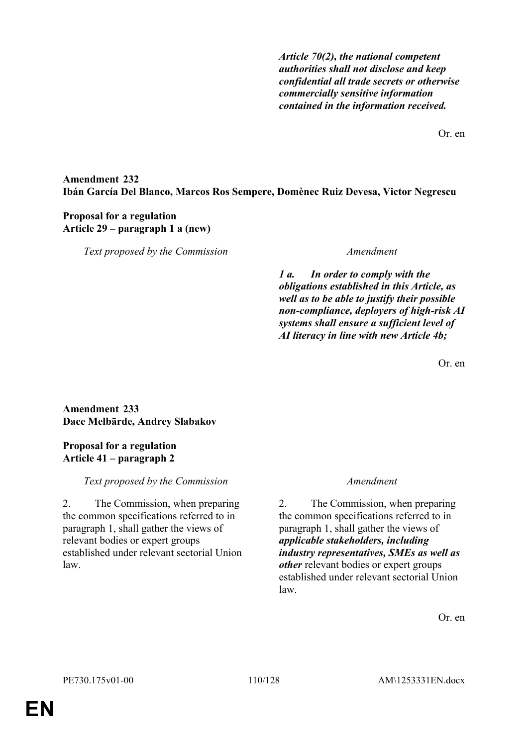*Article 70(2), the national competent authorities shall not disclose and keep confidential all trade secrets or otherwise commercially sensitive information contained in the information received.*

Or. en

## **Amendment 232 Ibán García Del Blanco, Marcos Ros Sempere, Domènec Ruiz Devesa, Victor Negrescu**

## **Proposal for a regulation Article 29 – paragraph 1 a (new)**

*Text proposed by the Commission Amendment*

*1 a. In order to comply with the obligations established in this Article, as well as to be able to justify their possible non-compliance, deployers of high-risk AI systems shall ensure a sufficient level of AI literacy in line with new Article 4b;*

Or. en

## **Amendment 233 Dace Melbārde, Andrey Slabakov**

## **Proposal for a regulation Article 41 – paragraph 2**

## *Text proposed by the Commission Amendment*

2. The Commission, when preparing the common specifications referred to in paragraph 1, shall gather the views of relevant bodies or expert groups established under relevant sectorial Union law.

2. The Commission, when preparing the common specifications referred to in paragraph 1, shall gather the views of *applicable stakeholders, including industry representatives, SMEs as well as other* relevant bodies or expert groups established under relevant sectorial Union law.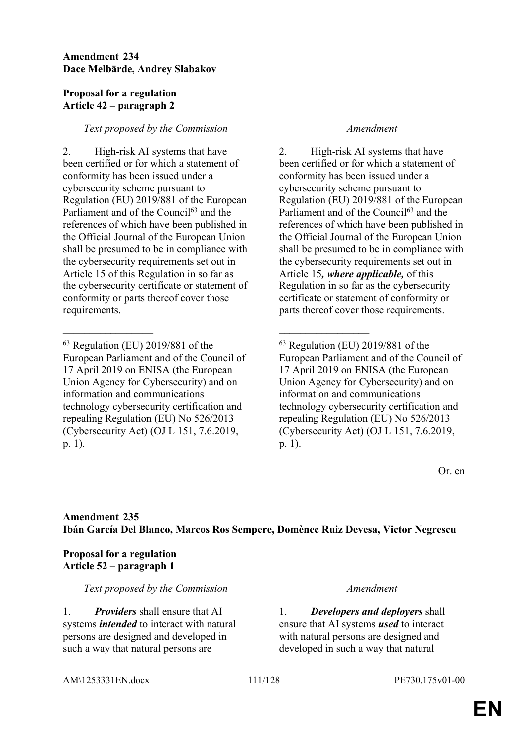### **Amendment 234 Dace Melbārde, Andrey Slabakov**

### **Proposal for a regulation Article 42 – paragraph 2**

### *Text proposed by the Commission Amendment*

2. High-risk AI systems that have been certified or for which a statement of conformity has been issued under a cybersecurity scheme pursuant to Regulation (EU) 2019/881 of the European Parliament and of the Council<sup>63</sup> and the references of which have been published in the Official Journal of the European Union shall be presumed to be in compliance with the cybersecurity requirements set out in Article 15 of this Regulation in so far as the cybersecurity certificate or statement of conformity or parts thereof cover those requirements.

\_\_\_\_\_\_\_\_\_\_\_\_\_\_\_\_\_ \_\_\_\_\_\_\_\_\_\_\_\_\_\_\_\_\_

2. High-risk AI systems that have been certified or for which a statement of conformity has been issued under a cybersecurity scheme pursuant to Regulation (EU) 2019/881 of the European Parliament and of the Council<sup>63</sup> and the references of which have been published in the Official Journal of the European Union shall be presumed to be in compliance with the cybersecurity requirements set out in Article 15*, where applicable,* of this Regulation in so far as the cybersecurity certificate or statement of conformity or parts thereof cover those requirements.

<sup>63</sup> Regulation (EU) 2019/881 of the European Parliament and of the Council of 17 April 2019 on ENISA (the European Union Agency for Cybersecurity) and on information and communications technology cybersecurity certification and repealing Regulation (EU) No 526/2013 (Cybersecurity Act) (OJ L 151, 7.6.2019, p. 1).

Or. en

## **Amendment 235 Ibán García Del Blanco, Marcos Ros Sempere, Domènec Ruiz Devesa, Victor Negrescu**

### **Proposal for a regulation Article 52 – paragraph 1**

#### *Text proposed by the Commission Amendment*

1. *Providers* shall ensure that AI systems *intended* to interact with natural persons are designed and developed in such a way that natural persons are

1. *Developers and deployers* shall ensure that AI systems *used* to interact with natural persons are designed and developed in such a way that natural

#### AM\1253331EN.docx 111/128 PE730.175v01-00

<sup>63</sup> Regulation (EU) 2019/881 of the European Parliament and of the Council of 17 April 2019 on ENISA (the European Union Agency for Cybersecurity) and on information and communications technology cybersecurity certification and repealing Regulation (EU) No 526/2013 (Cybersecurity Act) (OJ L 151, 7.6.2019, p. 1).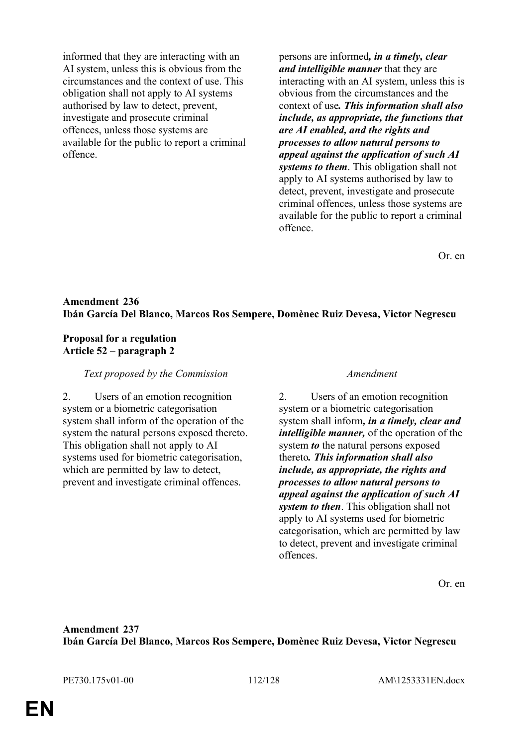informed that they are interacting with an AI system, unless this is obvious from the circumstances and the context of use. This obligation shall not apply to AI systems authorised by law to detect, prevent, investigate and prosecute criminal offences, unless those systems are available for the public to report a criminal offence.

persons are informed*, in a timely, clear and intelligible manner* that they are interacting with an AI system, unless this is obvious from the circumstances and the context of use*. This information shall also include, as appropriate, the functions that are AI enabled, and the rights and processes to allow natural persons to appeal against the application of such AI systems to them*. This obligation shall not apply to AI systems authorised by law to detect, prevent, investigate and prosecute criminal offences, unless those systems are available for the public to report a criminal offence.

Or. en

### **Amendment 236 Ibán García Del Blanco, Marcos Ros Sempere, Domènec Ruiz Devesa, Victor Negrescu**

#### **Proposal for a regulation Article 52 – paragraph 2**

#### *Text proposed by the Commission Amendment*

2. Users of an emotion recognition system or a biometric categorisation system shall inform of the operation of the system the natural persons exposed thereto. This obligation shall not apply to AI systems used for biometric categorisation, which are permitted by law to detect, prevent and investigate criminal offences.

2. Users of an emotion recognition system or a biometric categorisation system shall inform*, in a timely, clear and intelligible manner,* of the operation of the system *to* the natural persons exposed thereto*. This information shall also include, as appropriate, the rights and processes to allow natural persons to appeal against the application of such AI system to then*. This obligation shall not apply to AI systems used for biometric categorisation, which are permitted by law to detect, prevent and investigate criminal offences.

Or. en

### **Amendment 237 Ibán García Del Blanco, Marcos Ros Sempere, Domènec Ruiz Devesa, Victor Negrescu**

PE730.175v01-00 112/128 AM\1253331EN.docx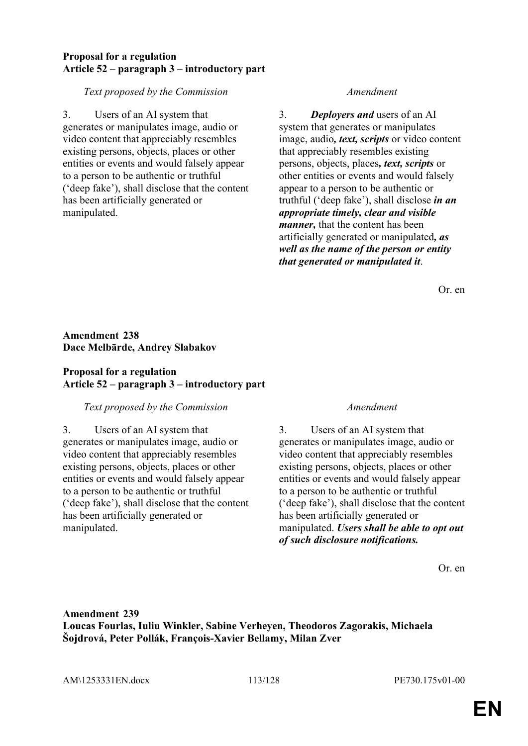### **Proposal for a regulation Article 52 – paragraph 3 – introductory part**

### *Text proposed by the Commission Amendment*

3. Users of an AI system that generates or manipulates image, audio or video content that appreciably resembles existing persons, objects, places or other entities or events and would falsely appear to a person to be authentic or truthful ('deep fake'), shall disclose that the content has been artificially generated or manipulated.

3. *Deployers and* users of an AI system that generates or manipulates image, audio*, text, scripts* or video content that appreciably resembles existing persons, objects, places*, text, scripts* or other entities or events and would falsely appear to a person to be authentic or truthful ('deep fake'), shall disclose *in an appropriate timely, clear and visible manner,* that the content has been artificially generated or manipulated*, as well as the name of the person or entity that generated or manipulated it*.

Or. en

## **Amendment 238 Dace Melbārde, Andrey Slabakov**

## **Proposal for a regulation Article 52 – paragraph 3 – introductory part**

## *Text proposed by the Commission Amendment*

3. Users of an AI system that generates or manipulates image, audio or video content that appreciably resembles existing persons, objects, places or other entities or events and would falsely appear to a person to be authentic or truthful ('deep fake'), shall disclose that the content has been artificially generated or manipulated.

3. Users of an AI system that generates or manipulates image, audio or video content that appreciably resembles existing persons, objects, places or other entities or events and would falsely appear to a person to be authentic or truthful ('deep fake'), shall disclose that the content has been artificially generated or manipulated. *Users shall be able to opt out of such disclosure notifications.*

Or. en

## **Amendment 239 Loucas Fourlas, Iuliu Winkler, Sabine Verheyen, Theodoros Zagorakis, Michaela Šojdrová, Peter Pollák, François-Xavier Bellamy, Milan Zver**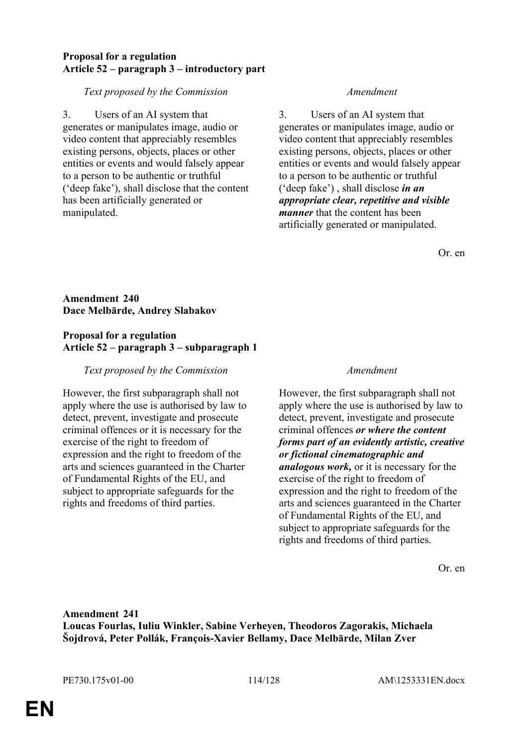### **Proposal for a regulation Article 52 – paragraph 3 – introductory part**

### *Text proposed by the Commission Amendment*

3. Users of an AI system that generates or manipulates image, audio or video content that appreciably resembles existing persons, objects, places or other entities or events and would falsely appear to a person to be authentic or truthful ('deep fake'), shall disclose that the content has been artificially generated or manipulated.

3. Users of an AI system that generates or manipulates image, audio or video content that appreciably resembles existing persons, objects, places or other entities or events and would falsely appear to a person to be authentic or truthful ('deep fake') , shall disclose *in an appropriate clear, repetitive and visible manner* that the content has been artificially generated or manipulated.

Or. en

## **Amendment 240 Dace Melbārde, Andrey Slabakov**

### **Proposal for a regulation Article 52 – paragraph 3 – subparagraph 1**

## *Text proposed by the Commission Amendment*

However, the first subparagraph shall not apply where the use is authorised by law to detect, prevent, investigate and prosecute criminal offences or it is necessary for the exercise of the right to freedom of expression and the right to freedom of the arts and sciences guaranteed in the Charter of Fundamental Rights of the EU, and subject to appropriate safeguards for the rights and freedoms of third parties.

However, the first subparagraph shall not apply where the use is authorised by law to detect, prevent, investigate and prosecute criminal offences *or where the content forms part of an evidently artistic, creative or fictional cinematographic and analogous work,* or it is necessary for the exercise of the right to freedom of expression and the right to freedom of the arts and sciences guaranteed in the Charter of Fundamental Rights of the EU, and subject to appropriate safeguards for the rights and freedoms of third parties.

Or. en

## **Amendment 241 Loucas Fourlas, Iuliu Winkler, Sabine Verheyen, Theodoros Zagorakis, Michaela Šojdrová, Peter Pollák, François-Xavier Bellamy, Dace Melbārde, Milan Zver**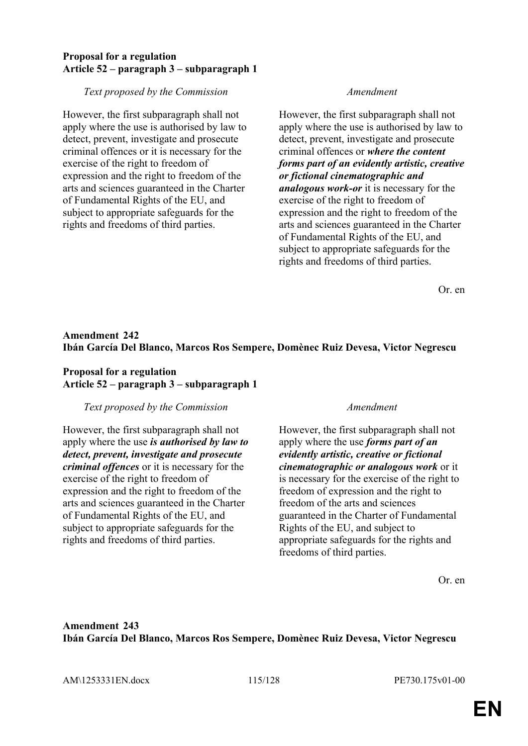### **Proposal for a regulation Article 52 – paragraph 3 – subparagraph 1**

#### *Text proposed by the Commission Amendment*

However, the first subparagraph shall not apply where the use is authorised by law to detect, prevent, investigate and prosecute criminal offences or it is necessary for the exercise of the right to freedom of expression and the right to freedom of the arts and sciences guaranteed in the Charter of Fundamental Rights of the EU, and subject to appropriate safeguards for the rights and freedoms of third parties.

However, the first subparagraph shall not apply where the use is authorised by law to detect, prevent, investigate and prosecute criminal offences or *where the content forms part of an evidently artistic, creative or fictional cinematographic and analogous work-or* it is necessary for the exercise of the right to freedom of expression and the right to freedom of the arts and sciences guaranteed in the Charter of Fundamental Rights of the EU, and subject to appropriate safeguards for the rights and freedoms of third parties.

Or. en

## **Amendment 242 Ibán García Del Blanco, Marcos Ros Sempere, Domènec Ruiz Devesa, Victor Negrescu**

### **Proposal for a regulation Article 52 – paragraph 3 – subparagraph 1**

#### *Text proposed by the Commission Amendment*

However, the first subparagraph shall not apply where the use *is authorised by law to detect, prevent, investigate and prosecute criminal offences* or it is necessary for the exercise of the right to freedom of expression and the right to freedom of the arts and sciences guaranteed in the Charter of Fundamental Rights of the EU, and subject to appropriate safeguards for the rights and freedoms of third parties.

However, the first subparagraph shall not apply where the use *forms part of an evidently artistic, creative or fictional cinematographic or analogous work* or it is necessary for the exercise of the right to freedom of expression and the right to freedom of the arts and sciences guaranteed in the Charter of Fundamental Rights of the EU, and subject to appropriate safeguards for the rights and freedoms of third parties.

Or. en

## **Amendment 243 Ibán García Del Blanco, Marcos Ros Sempere, Domènec Ruiz Devesa, Victor Negrescu**

AM\1253331EN.docx 115/128 PE730.175v01-00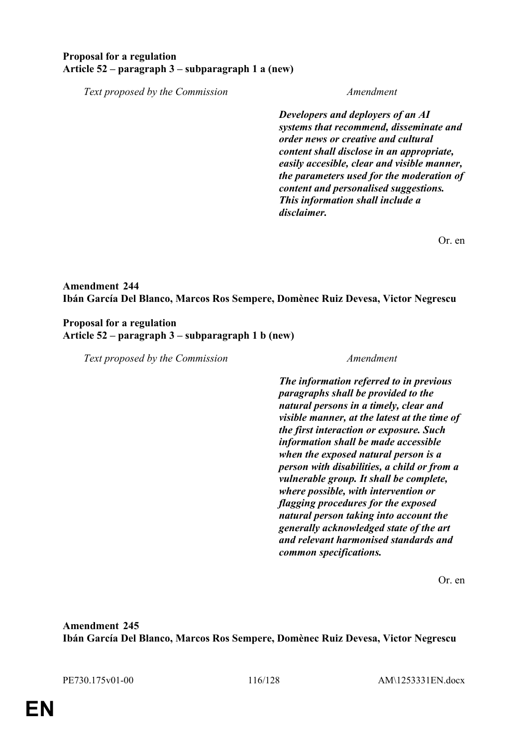### **Proposal for a regulation Article 52 – paragraph 3 – subparagraph 1 a (new)**

*Text proposed by the Commission Amendment*

*Developers and deployers of an AI systems that recommend, disseminate and order news or creative and cultural content shall disclose in an appropriate, easily accesible, clear and visible manner, the parameters used for the moderation of content and personalised suggestions. This information shall include a disclaimer.*

Or. en

## **Amendment 244 Ibán García Del Blanco, Marcos Ros Sempere, Domènec Ruiz Devesa, Victor Negrescu**

#### **Proposal for a regulation Article 52 – paragraph 3 – subparagraph 1 b (new)**

*Text proposed by the Commission Amendment*

*The information referred to in previous paragraphs shall be provided to the natural persons in a timely, clear and visible manner, at the latest at the time of the first interaction or exposure. Such information shall be made accessible when the exposed natural person is a person with disabilities, a child or from a vulnerable group. It shall be complete, where possible, with intervention or flagging procedures for the exposed natural person taking into account the generally acknowledged state of the art and relevant harmonised standards and common specifications.*

Or. en

**Amendment 245 Ibán García Del Blanco, Marcos Ros Sempere, Domènec Ruiz Devesa, Victor Negrescu**

PE730.175v01-00 116/128 AM\1253331EN.docx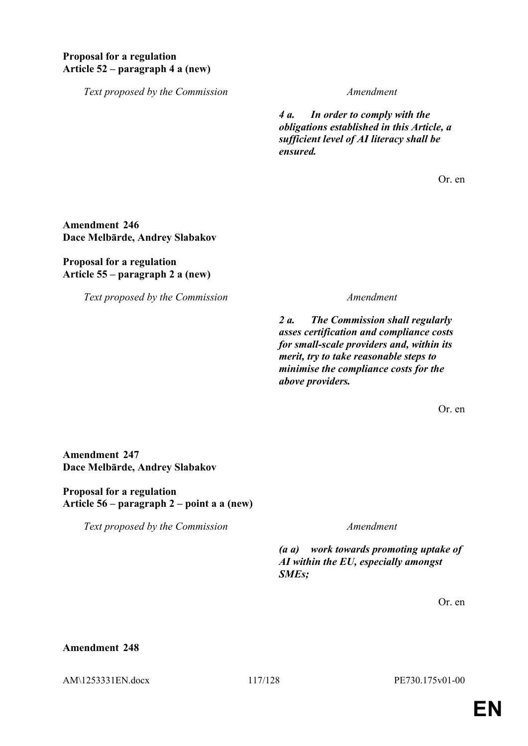## **Proposal for a regulation Article 52 – paragraph 4 a (new)**

*Text proposed by the Commission Amendment*

*4 a. In order to comply with the obligations established in this Article, a sufficient level of AI literacy shall be ensured.*

Or. en

## **Amendment 246 Dace Melbārde, Andrey Slabakov**

### **Proposal for a regulation Article 55 – paragraph 2 a (new)**

*Text proposed by the Commission Amendment*

*2 a. The Commission shall regularly asses certification and compliance costs for small-scale providers and, within its merit, try to take reasonable steps to minimise the compliance costs for the above providers.*

Or. en

### **Amendment 247 Dace Melbārde, Andrey Slabakov**

**Proposal for a regulation Article 56 – paragraph 2 – point a a (new)**

*Text proposed by the Commission Amendment*

*(a a) work towards promoting uptake of AI within the EU, especially amongst SMEs;*

Or. en

### **Amendment 248**

AM\1253331EN.docx 117/128 PE730.175v01-00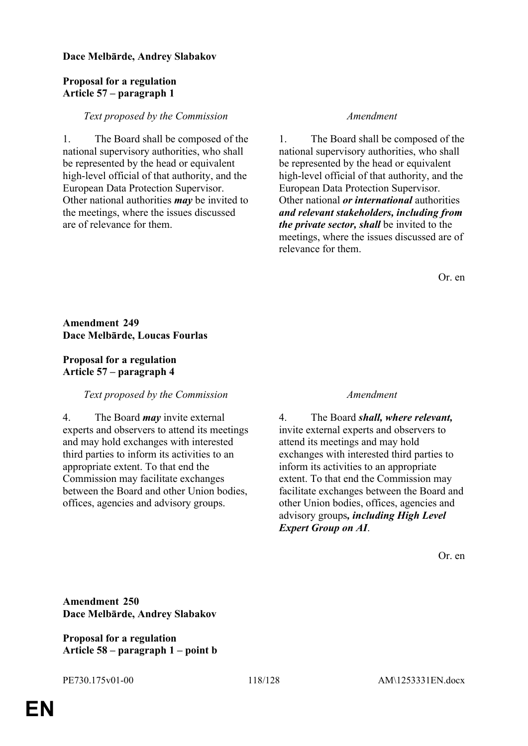### **Dace Melbārde, Andrey Slabakov**

## **Proposal for a regulation Article 57 – paragraph 1**

#### *Text proposed by the Commission Amendment*

1. The Board shall be composed of the national supervisory authorities, who shall be represented by the head or equivalent high-level official of that authority, and the European Data Protection Supervisor. Other national authorities *may* be invited to the meetings, where the issues discussed are of relevance for them.

1. The Board shall be composed of the national supervisory authorities, who shall be represented by the head or equivalent high-level official of that authority, and the European Data Protection Supervisor. Other national *or international* authorities *and relevant stakeholders, including from the private sector, shall* be invited to the meetings, where the issues discussed are of relevance for them.

Or. en

### **Amendment 249 Dace Melbārde, Loucas Fourlas**

### **Proposal for a regulation Article 57 – paragraph 4**

#### *Text proposed by the Commission Amendment*

4. The Board *may* invite external experts and observers to attend its meetings and may hold exchanges with interested third parties to inform its activities to an appropriate extent. To that end the Commission may facilitate exchanges between the Board and other Union bodies, offices, agencies and advisory groups.

4. The Board *shall, where relevant,* invite external experts and observers to attend its meetings and may hold exchanges with interested third parties to inform its activities to an appropriate extent. To that end the Commission may facilitate exchanges between the Board and other Union bodies, offices, agencies and advisory groups*, including High Level Expert Group on AI*.

Or. en

**Amendment 250 Dace Melbārde, Andrey Slabakov**

**Proposal for a regulation Article 58 – paragraph 1 – point b**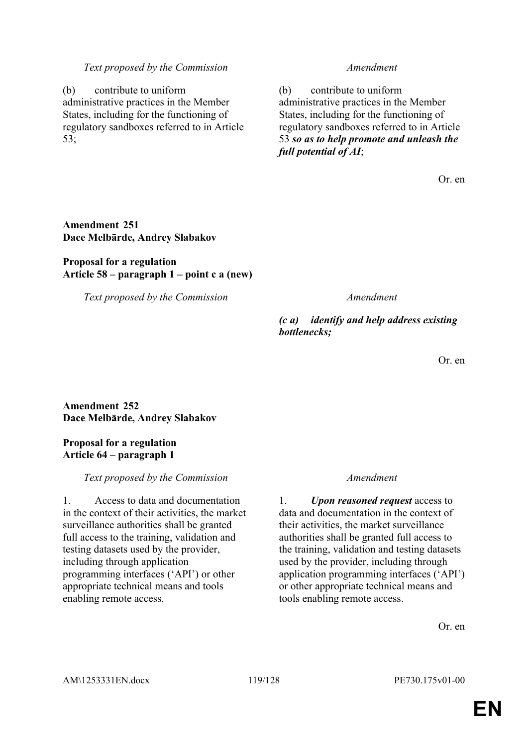#### *Text proposed by the Commission Amendment*

(b) contribute to uniform administrative practices in the Member States, including for the functioning of regulatory sandboxes referred to in Article 53;

(b) contribute to uniform administrative practices in the Member States, including for the functioning of regulatory sandboxes referred to in Article 53 *so as to help promote and unleash the full potential of AI*;

Or. en

## **Amendment 251 Dace Melbārde, Andrey Slabakov**

### **Proposal for a regulation Article 58 – paragraph 1 – point c a (new)**

*Text proposed by the Commission Amendment*

*(c a) identify and help address existing bottlenecks;*

Or. en

## **Amendment 252 Dace Melbārde, Andrey Slabakov**

### **Proposal for a regulation Article 64 – paragraph 1**

#### *Text proposed by the Commission Amendment*

1. Access to data and documentation in the context of their activities, the market surveillance authorities shall be granted full access to the training, validation and testing datasets used by the provider, including through application programming interfaces ('API') or other appropriate technical means and tools enabling remote access.

1. *Upon reasoned request* access to data and documentation in the context of their activities, the market surveillance authorities shall be granted full access to the training, validation and testing datasets used by the provider, including through application programming interfaces ('API') or other appropriate technical means and tools enabling remote access.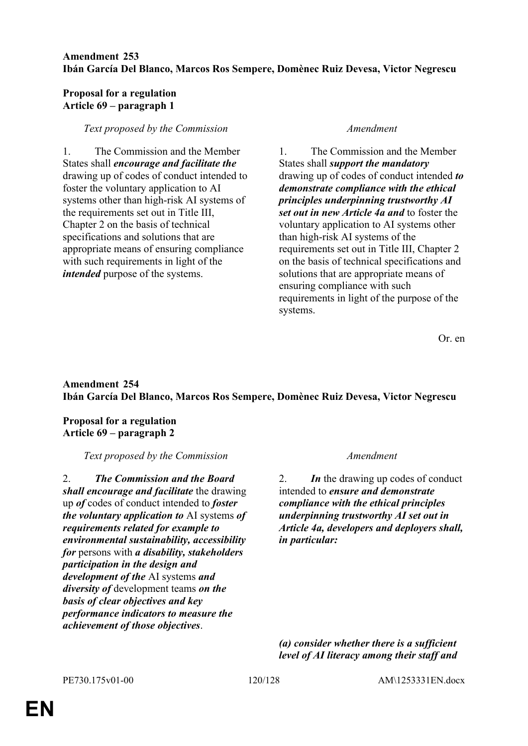### **Amendment 253 Ibán García Del Blanco, Marcos Ros Sempere, Domènec Ruiz Devesa, Victor Negrescu**

### **Proposal for a regulation Article 69 – paragraph 1**

### *Text proposed by the Commission Amendment*

1. The Commission and the Member States shall *encourage and facilitate the* drawing up of codes of conduct intended to foster the voluntary application to AI systems other than high-risk AI systems of the requirements set out in Title III, Chapter 2 on the basis of technical specifications and solutions that are appropriate means of ensuring compliance with such requirements in light of the *intended* purpose of the systems.

1. The Commission and the Member States shall *support the mandatory* drawing up of codes of conduct intended *to demonstrate compliance with the ethical principles underpinning trustworthy AI set out in new Article 4a and* to foster the voluntary application to AI systems other than high-risk AI systems of the requirements set out in Title III, Chapter 2 on the basis of technical specifications and solutions that are appropriate means of ensuring compliance with such requirements in light of the purpose of the systems.

Or. en

## **Amendment 254 Ibán García Del Blanco, Marcos Ros Sempere, Domènec Ruiz Devesa, Victor Negrescu**

**Proposal for a regulation Article 69 – paragraph 2**

*Text proposed by the Commission Amendment*

2. *The Commission and the Board shall encourage and facilitate* the drawing up *of* codes of conduct intended to *foster the voluntary application to* AI systems *of requirements related for example to environmental sustainability, accessibility for* persons with *a disability, stakeholders participation in the design and development of the* AI systems *and diversity of* development teams *on the basis of clear objectives and key performance indicators to measure the achievement of those objectives*.

2. *In* the drawing up codes of conduct intended to *ensure and demonstrate compliance with the ethical principles underpinning trustworthy AI set out in Article 4a, developers and deployers shall, in particular:*

*(a) consider whether there is a sufficient level of AI literacy among their staff and*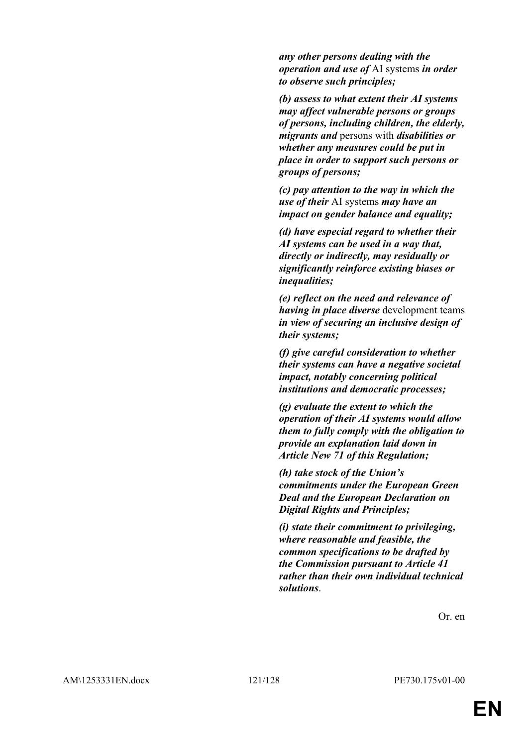*any other persons dealing with the operation and use of* AI systems *in order to observe such principles;*

*(b) assess to what extent their AI systems may affect vulnerable persons or groups of persons, including children, the elderly, migrants and* persons with *disabilities or whether any measures could be put in place in order to support such persons or groups of persons;*

*(c) pay attention to the way in which the use of their* AI systems *may have an impact on gender balance and equality;*

*(d) have especial regard to whether their AI systems can be used in a way that, directly or indirectly, may residually or significantly reinforce existing biases or inequalities;*

*(e) reflect on the need and relevance of having in place diverse* development teams *in view of securing an inclusive design of their systems;*

*(f) give careful consideration to whether their systems can have a negative societal impact, notably concerning political institutions and democratic processes;*

*(g) evaluate the extent to which the operation of their AI systems would allow them to fully comply with the obligation to provide an explanation laid down in Article New 71 of this Regulation;*

*(h) take stock of the Union's commitments under the European Green Deal and the European Declaration on Digital Rights and Principles;*

*(i) state their commitment to privileging, where reasonable and feasible, the common specifications to be drafted by the Commission pursuant to Article 41 rather than their own individual technical solutions*.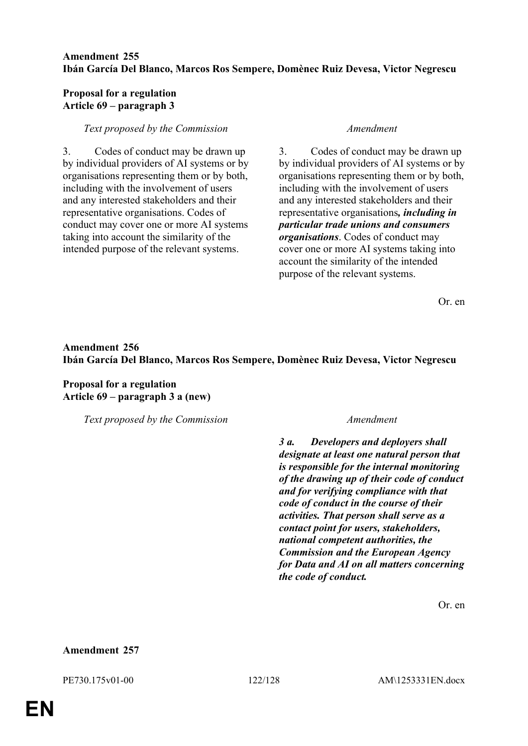### **Amendment 255 Ibán García Del Blanco, Marcos Ros Sempere, Domènec Ruiz Devesa, Victor Negrescu**

### **Proposal for a regulation Article 69 – paragraph 3**

#### *Text proposed by the Commission Amendment*

3. Codes of conduct may be drawn up by individual providers of AI systems or by organisations representing them or by both, including with the involvement of users and any interested stakeholders and their representative organisations. Codes of conduct may cover one or more AI systems taking into account the similarity of the intended purpose of the relevant systems.

3. Codes of conduct may be drawn up by individual providers of AI systems or by organisations representing them or by both, including with the involvement of users and any interested stakeholders and their representative organisations*, including in particular trade unions and consumers organisations*. Codes of conduct may cover one or more AI systems taking into account the similarity of the intended purpose of the relevant systems.

Or. en

## **Amendment 256 Ibán García Del Blanco, Marcos Ros Sempere, Domènec Ruiz Devesa, Victor Negrescu**

**Proposal for a regulation Article 69 – paragraph 3 a (new)**

*Text proposed by the Commission Amendment*

*3 a. Developers and deployers shall designate at least one natural person that is responsible for the internal monitoring of the drawing up of their code of conduct and for verifying compliance with that code of conduct in the course of their activities. That person shall serve as a contact point for users, stakeholders, national competent authorities, the Commission and the European Agency for Data and AI on all matters concerning the code of conduct.*

Or. en

#### **Amendment 257**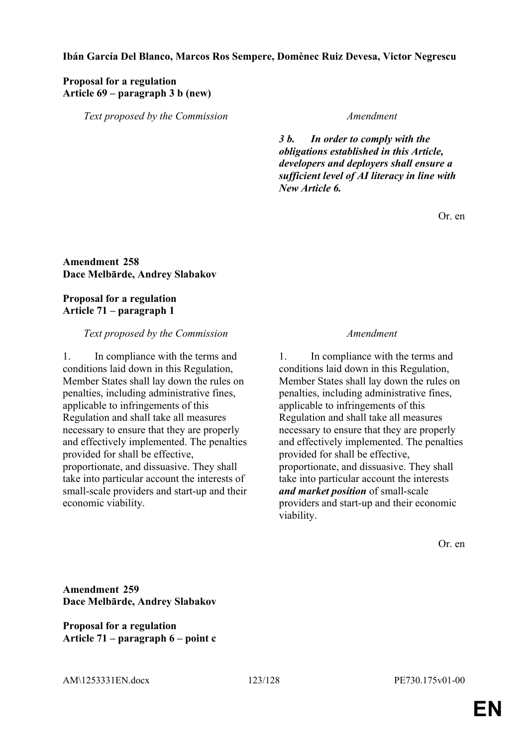### **Ibán García Del Blanco, Marcos Ros Sempere, Domènec Ruiz Devesa, Victor Negrescu**

## **Proposal for a regulation Article 69 – paragraph 3 b (new)**

*Text proposed by the Commission Amendment*

*3 b. In order to comply with the obligations established in this Article, developers and deployers shall ensure a sufficient level of AI literacy in line with New Article 6.*

Or. en

## **Amendment 258 Dace Melbārde, Andrey Slabakov**

### **Proposal for a regulation Article 71 – paragraph 1**

### *Text proposed by the Commission Amendment*

1. In compliance with the terms and conditions laid down in this Regulation, Member States shall lay down the rules on penalties, including administrative fines, applicable to infringements of this Regulation and shall take all measures necessary to ensure that they are properly and effectively implemented. The penalties provided for shall be effective, proportionate, and dissuasive. They shall take into particular account the interests of small-scale providers and start-up and their economic viability.

1. In compliance with the terms and conditions laid down in this Regulation, Member States shall lay down the rules on penalties, including administrative fines, applicable to infringements of this Regulation and shall take all measures necessary to ensure that they are properly and effectively implemented. The penalties provided for shall be effective, proportionate, and dissuasive. They shall take into particular account the interests *and market position* of small-scale providers and start-up and their economic viability.

Or. en

**Amendment 259 Dace Melbārde, Andrey Slabakov**

**Proposal for a regulation Article 71 – paragraph 6 – point c**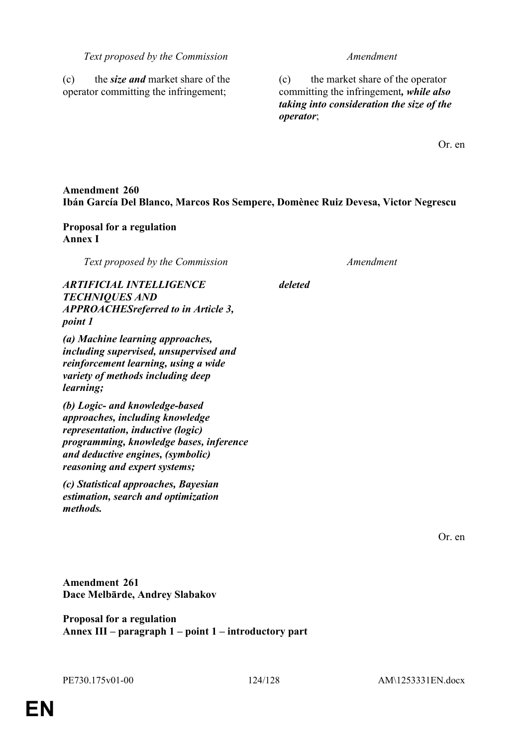#### *Text proposed by the Commission Amendment*

(c) the *size and* market share of the operator committing the infringement;

(c) the market share of the operator committing the infringement*, while also taking into consideration the size of the operator*;

Or. en

## **Amendment 260 Ibán García Del Blanco, Marcos Ros Sempere, Domènec Ruiz Devesa, Victor Negrescu**

### **Proposal for a regulation Annex I**

*Text proposed by the Commission Amendment*

*deleted*

*ARTIFICIAL INTELLIGENCE TECHNIQUES AND APPROACHESreferred to in Article 3, point 1*

*(a) Machine learning approaches, including supervised, unsupervised and reinforcement learning, using a wide variety of methods including deep learning;*

*(b) Logic- and knowledge-based approaches, including knowledge representation, inductive (logic) programming, knowledge bases, inference and deductive engines, (symbolic) reasoning and expert systems;*

*(c) Statistical approaches, Bayesian estimation, search and optimization methods.*

Or. en

**Amendment 261 Dace Melbārde, Andrey Slabakov**

**Proposal for a regulation Annex III – paragraph 1 – point 1 – introductory part**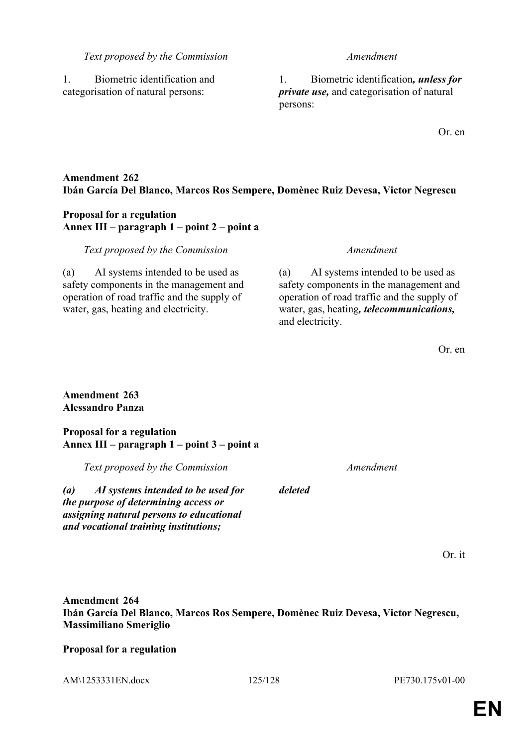#### *Text proposed by the Commission Amendment*

1. Biometric identification and categorisation of natural persons:

1. Biometric identification*, unless for private use,* and categorisation of natural persons:

Or. en

## **Amendment 262 Ibán García Del Blanco, Marcos Ros Sempere, Domènec Ruiz Devesa, Victor Negrescu**

### **Proposal for a regulation Annex III – paragraph 1 – point 2 – point a**

#### *Text proposed by the Commission Amendment*

(a) AI systems intended to be used as safety components in the management and operation of road traffic and the supply of water, gas, heating and electricity.

(a) AI systems intended to be used as safety components in the management and operation of road traffic and the supply of water, gas, heating*, telecommunications,* and electricity.

Or. en

### **Amendment 263 Alessandro Panza**

#### **Proposal for a regulation Annex III – paragraph 1 – point 3 – point a**

*Text proposed by the Commission Amendment*

*(a) AI systems intended to be used for the purpose of determining access or assigning natural persons to educational and vocational training institutions;*

Or. it

# **Amendment 264 Ibán García Del Blanco, Marcos Ros Sempere, Domènec Ruiz Devesa, Victor Negrescu, Massimiliano Smeriglio**

*deleted*

## **Proposal for a regulation**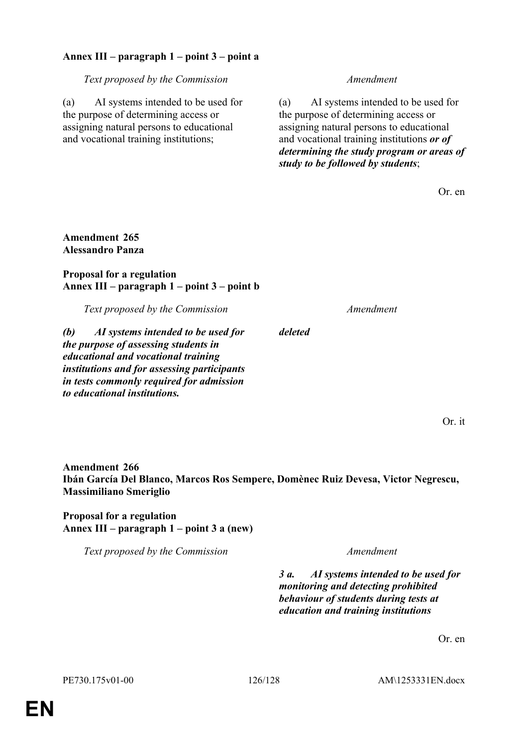## **Annex III – paragraph 1 – point 3 – point a**

*Text proposed by the Commission Amendment*

(a) AI systems intended to be used for the purpose of determining access or assigning natural persons to educational and vocational training institutions;

(a) AI systems intended to be used for the purpose of determining access or assigning natural persons to educational and vocational training institutions *or of determining the study program or areas of study to be followed by students*;

Or. en

### **Amendment 265 Alessandro Panza**

### **Proposal for a regulation Annex III – paragraph 1 – point 3 – point b**

*Text proposed by the Commission Amendment*

*(b) AI systems intended to be used for the purpose of assessing students in educational and vocational training institutions and for assessing participants in tests commonly required for admission to educational institutions.*

Or. it

**Amendment 266 Ibán García Del Blanco, Marcos Ros Sempere, Domènec Ruiz Devesa, Victor Negrescu, Massimiliano Smeriglio**

*deleted*

**Proposal for a regulation Annex III – paragraph 1 – point 3 a (new)**

*Text proposed by the Commission Amendment*

*3 a. AI systems intended to be used for monitoring and detecting prohibited behaviour of students during tests at education and training institutions*

Or. en

PE730.175v01-00 126/128 AM\1253331EN.docx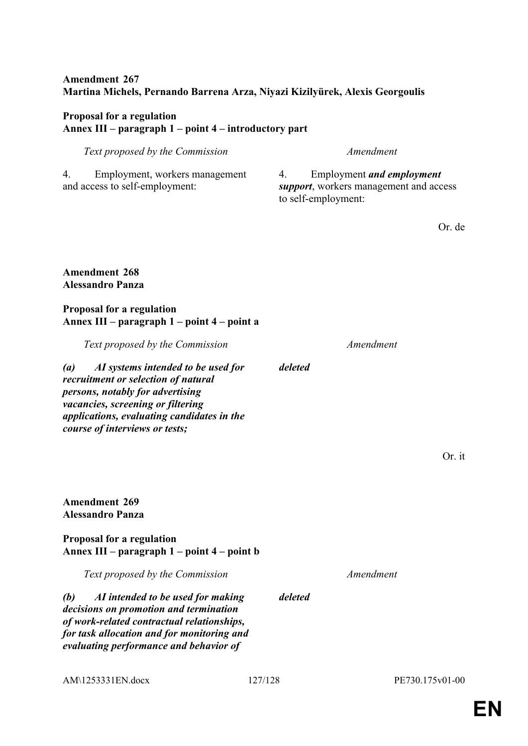## **Amendment 267 Martina Michels, Pernando Barrena Arza, Niyazi Kizilyürek, Alexis Georgoulis**

# **Proposal for a regulation Annex III – paragraph 1 – point 4 – introductory part**

| Text proposed by the Commission                                                                                                                                                                                                                         | Amendment                                                                                               |
|---------------------------------------------------------------------------------------------------------------------------------------------------------------------------------------------------------------------------------------------------------|---------------------------------------------------------------------------------------------------------|
| Employment, workers management<br>4.<br>and access to self-employment:                                                                                                                                                                                  | <b>Employment and employment</b><br>4.<br>support, workers management and access<br>to self-employment: |
|                                                                                                                                                                                                                                                         | Or. de                                                                                                  |
| <b>Amendment 268</b><br><b>Alessandro Panza</b>                                                                                                                                                                                                         |                                                                                                         |
| <b>Proposal for a regulation</b><br>Annex III - paragraph 1 - point 4 - point a                                                                                                                                                                         |                                                                                                         |
| Text proposed by the Commission                                                                                                                                                                                                                         | Amendment                                                                                               |
| AI systems intended to be used for<br>$\left( a\right)$<br>recruitment or selection of natural<br>persons, notably for advertising<br>vacancies, screening or filtering<br>applications, evaluating candidates in the<br>course of interviews or tests; | deleted                                                                                                 |
|                                                                                                                                                                                                                                                         | Or. it                                                                                                  |
|                                                                                                                                                                                                                                                         |                                                                                                         |
| <b>Amendment 269</b><br><b>Alessandro Panza</b>                                                                                                                                                                                                         |                                                                                                         |
| Proposal for a regulation<br>Annex III – paragraph 1 – point 4 – point b                                                                                                                                                                                |                                                                                                         |
| Text proposed by the Commission                                                                                                                                                                                                                         | Amendment                                                                                               |
| AI intended to be used for making<br>(b)<br>decisions on promotion and termination<br>of work-related contractual relationships,<br>for task allocation and for monitoring and<br>evaluating performance and behavior of                                | deleted                                                                                                 |
|                                                                                                                                                                                                                                                         |                                                                                                         |